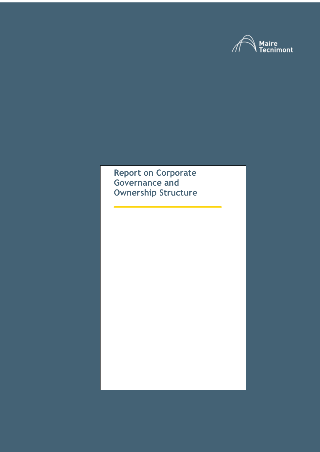

**Report on Corporate Governance and Ownership Structure**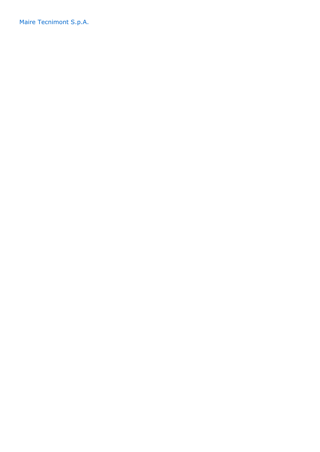Maire Tecnimont S.p.A.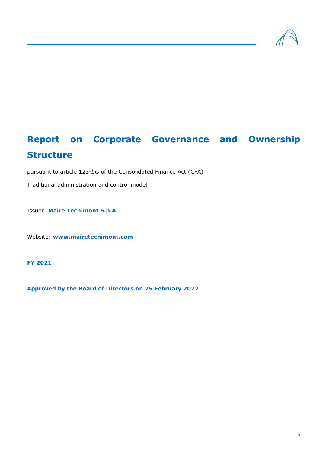

# **Report on Corporate Governance and Ownership Structure**

pursuant to article 123-*bis* of the Consolidated Finance Act (CFA)

Traditional administration and control model

Issuer: **Maire Tecnimont S.p.A.**

Website: **www.mairetecnimont.com**

**FY 2021**

**Approved by the Board of Directors on 25 February 2022**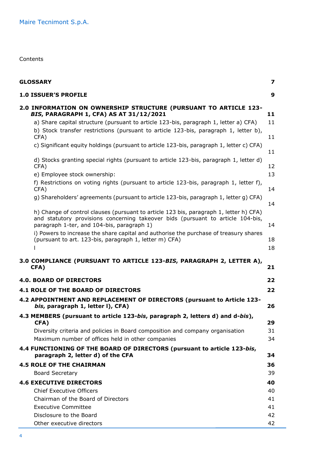Contents

| <b>GLOSSARY</b>                                                                                                                                                                                                         | 7                |
|-------------------------------------------------------------------------------------------------------------------------------------------------------------------------------------------------------------------------|------------------|
| <b>1.0 ISSUER'S PROFILE</b>                                                                                                                                                                                             | $\boldsymbol{9}$ |
| 2.0 INFORMATION ON OWNERSHIP STRUCTURE (PURSUANT TO ARTICLE 123-<br>BIS, PARAGRAPH 1, CFA) AS AT 31/12/2021<br>a) Share capital structure (pursuant to article 123-bis, paragraph 1, letter a) CFA)                     | 11<br>11         |
| b) Stock transfer restrictions (pursuant to article 123-bis, paragraph 1, letter b),<br>CFA)                                                                                                                            | 11               |
| c) Significant equity holdings (pursuant to article 123-bis, paragraph 1, letter c) CFA)                                                                                                                                | 11               |
| d) Stocks granting special rights (pursuant to article 123-bis, paragraph 1, letter d)<br>CFA)                                                                                                                          | 12               |
| e) Employee stock ownership:                                                                                                                                                                                            | 13               |
| f) Restrictions on voting rights (pursuant to article 123-bis, paragraph 1, letter f),<br>CFA)                                                                                                                          | 14               |
| g) Shareholders' agreements (pursuant to article 123-bis, paragraph 1, letter g) CFA)                                                                                                                                   | 14               |
| h) Change of control clauses (pursuant to article 123 bis, paragraph 1, letter h) CFA)<br>and statutory provisions concerning takeover bids (pursuant to article 104-bis,<br>paragraph 1-ter, and 104-bis, paragraph 1) | 14               |
| i) Powers to increase the share capital and authorise the purchase of treasury shares<br>(pursuant to art. 123-bis, paragraph 1, letter m) CFA)                                                                         | 18<br>18         |
|                                                                                                                                                                                                                         |                  |
| 3.0 COMPLIANCE (PURSUANT TO ARTICLE 123-BIS, PARAGRAPH 2, LETTER A),<br>CFA)                                                                                                                                            | 21               |
| <b>4.0. BOARD OF DIRECTORS</b>                                                                                                                                                                                          | 22               |
| <b>4.1 ROLE OF THE BOARD OF DIRECTORS</b>                                                                                                                                                                               | 22               |
| 4.2 APPOINTMENT AND REPLACEMENT OF DIRECTORS (pursuant to Article 123-<br>bis, paragraph 1, letter I), CFA)                                                                                                             | 26               |
| 4.3 MEMBERS (pursuant to article 123-bis, paragraph 2, letters d) and d-bis),<br>CFA)                                                                                                                                   | 29               |
| Diversity criteria and policies in Board composition and company organisation                                                                                                                                           | 31               |
| Maximum number of offices held in other companies                                                                                                                                                                       | 34               |
| 4.4 FUNCTIONING OF THE BOARD OF DIRECTORS (pursuant to article 123-bis,<br>paragraph 2, letter d) of the CFA                                                                                                            | 34               |
| <b>4.5 ROLE OF THE CHAIRMAN</b>                                                                                                                                                                                         | 36               |
| <b>Board Secretary</b>                                                                                                                                                                                                  | 39               |
| <b>4.6 EXECUTIVE DIRECTORS</b>                                                                                                                                                                                          | 40               |
| <b>Chief Executive Officers</b>                                                                                                                                                                                         | 40               |
| Chairman of the Board of Directors                                                                                                                                                                                      | 41               |
| <b>Executive Committee</b>                                                                                                                                                                                              | 41               |
| Disclosure to the Board<br>Other executive directors                                                                                                                                                                    | 42<br>42         |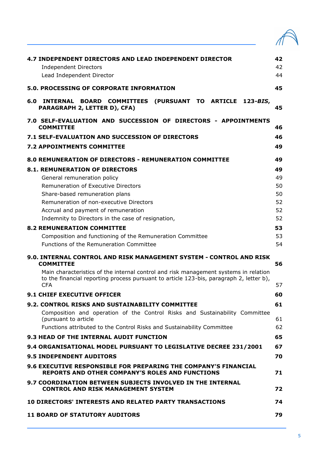

| <b>4.7 INDEPENDENT DIRECTORS AND LEAD INDEPENDENT DIRECTOR</b><br><b>Independent Directors</b><br>Lead Independent Director                                                                   | 42<br>42<br>44 |
|-----------------------------------------------------------------------------------------------------------------------------------------------------------------------------------------------|----------------|
| <b>5.0. PROCESSING OF CORPORATE INFORMATION</b>                                                                                                                                               | 45             |
| 123-BIS,<br>6.0<br>INTERNAL BOARD COMMITTEES<br>(PURSUANT TO ARTICLE<br>PARAGRAPH 2, LETTER D), CFA)                                                                                          | 45             |
| 7.0 SELF-EVALUATION AND SUCCESSION OF DIRECTORS - APPOINTMENTS<br><b>COMMITTEE</b>                                                                                                            | 46             |
| <b>7.1 SELF-EVALUATION AND SUCCESSION OF DIRECTORS</b>                                                                                                                                        | 46             |
| <b>7.2 APPOINTMENTS COMMITTEE</b>                                                                                                                                                             | 49             |
| 8.0 REMUNERATION OF DIRECTORS - REMUNERATION COMMITTEE                                                                                                                                        | 49             |
| <b>8.1. REMUNERATION OF DIRECTORS</b>                                                                                                                                                         | 49             |
| General remuneration policy                                                                                                                                                                   | 49             |
| <b>Remuneration of Executive Directors</b>                                                                                                                                                    | 50             |
| Share-based remuneration plans                                                                                                                                                                | 50             |
| Remuneration of non-executive Directors                                                                                                                                                       | 52             |
| Accrual and payment of remuneration                                                                                                                                                           | 52             |
| Indemnity to Directors in the case of resignation,                                                                                                                                            | 52             |
| <b>8.2 REMUNERATION COMMITTEE</b>                                                                                                                                                             | 53             |
| Composition and functioning of the Remuneration Committee                                                                                                                                     | 53             |
| Functions of the Remuneration Committee                                                                                                                                                       | 54             |
| 9.0. INTERNAL CONTROL AND RISK MANAGEMENT SYSTEM - CONTROL AND RISK<br><b>COMMITTEE</b>                                                                                                       | 56             |
| Main characteristics of the internal control and risk management systems in relation<br>to the financial reporting process pursuant to article 123-bis, paragraph 2, letter b),<br><b>CFA</b> | 57             |
| <b>9.1 CHIEF EXECUTIVE OFFICER</b>                                                                                                                                                            | 60             |
| 9.2. CONTROL RISKS AND SUSTAINABILITY COMMITTEE                                                                                                                                               | 61             |
| Composition and operation of the Control Risks and Sustainability Committee<br>(pursuant to article                                                                                           | 61             |
| Functions attributed to the Control Risks and Sustainability Committee                                                                                                                        | 62             |
| 9.3 HEAD OF THE INTERNAL AUDIT FUNCTION                                                                                                                                                       | 65             |
| 9.4 ORGANISATIONAL MODEL PURSUANT TO LEGISLATIVE DECREE 231/2001                                                                                                                              | 67             |
| <b>9.5 INDEPENDENT AUDITORS</b>                                                                                                                                                               | 70             |
| 9.6 EXECUTIVE RESPONSIBLE FOR PREPARING THE COMPANY'S FINANCIAL<br><b>REPORTS AND OTHER COMPANY'S ROLES AND FUNCTIONS</b>                                                                     | 71             |
| 9.7 COORDINATION BETWEEN SUBJECTS INVOLVED IN THE INTERNAL<br><b>CONTROL AND RISK MANAGEMENT SYSTEM</b>                                                                                       | 72             |
| <b>10 DIRECTORS' INTERESTS AND RELATED PARTY TRANSACTIONS</b>                                                                                                                                 | 74             |
| <b>11 BOARD OF STATUTORY AUDITORS</b>                                                                                                                                                         | 79             |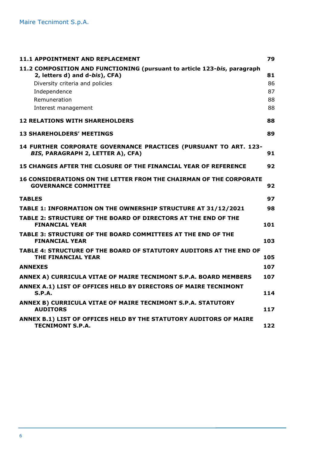| <b>11.1 APPOINTMENT AND REPLACEMENT</b>                                                                    | 79  |
|------------------------------------------------------------------------------------------------------------|-----|
| 11.2 COMPOSITION AND FUNCTIONING (pursuant to article 123-bis, paragraph<br>2, letters d) and d-bis), CFA) | 81  |
| Diversity criteria and policies                                                                            | 86  |
| Independence                                                                                               | 87  |
| Remuneration                                                                                               | 88  |
| Interest management                                                                                        | 88  |
| <b>12 RELATIONS WITH SHAREHOLDERS</b>                                                                      | 88  |
| <b>13 SHAREHOLDERS' MEETINGS</b>                                                                           | 89  |
| 14 FURTHER CORPORATE GOVERNANCE PRACTICES (PURSUANT TO ART. 123-<br>BIS, PARAGRAPH 2, LETTER A), CFA)      | 91  |
| <b>15 CHANGES AFTER THE CLOSURE OF THE FINANCIAL YEAR OF REFERENCE</b>                                     | 92  |
| 16 CONSIDERATIONS ON THE LETTER FROM THE CHAIRMAN OF THE CORPORATE<br><b>GOVERNANCE COMMITTEE</b>          | 92  |
| <b>TABLES</b>                                                                                              | 97  |
| TABLE 1: INFORMATION ON THE OWNERSHIP STRUCTURE AT 31/12/2021                                              | 98  |
| TABLE 2: STRUCTURE OF THE BOARD OF DIRECTORS AT THE END OF THE<br><b>FINANCIAL YEAR</b>                    | 101 |
| TABLE 3: STRUCTURE OF THE BOARD COMMITTEES AT THE END OF THE<br><b>FINANCIAL YEAR</b>                      | 103 |
| TABLE 4: STRUCTURE OF THE BOARD OF STATUTORY AUDITORS AT THE END OF<br><b>THE FINANCIAL YEAR</b>           | 105 |
| <b>ANNEXES</b>                                                                                             | 107 |
| ANNEX A) CURRICULA VITAE OF MAIRE TECNIMONT S.P.A. BOARD MEMBERS                                           | 107 |
| ANNEX A.1) LIST OF OFFICES HELD BY DIRECTORS OF MAIRE TECNIMONT<br>S.P.A.                                  | 114 |
| ANNEX B) CURRICULA VITAE OF MAIRE TECNIMONT S.P.A. STATUTORY<br><b>AUDITORS</b>                            | 117 |
| ANNEX B.1) LIST OF OFFICES HELD BY THE STATUTORY AUDITORS OF MAIRE<br><b>TECNIMONT S.P.A.</b>              | 122 |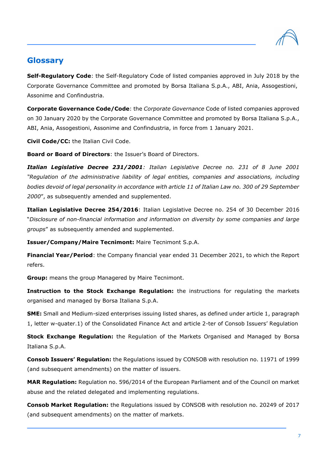

# <span id="page-6-0"></span>**Glossary**

**Self-Regulatory Code**: the Self-Regulatory Code of listed companies approved in July 2018 by the Corporate Governance Committee and promoted by Borsa Italiana S.p.A., ABI, Ania, Assogestioni, Assonime and Confindustria.

**Corporate Governance Code/Code**: the *Corporate Governance* Code of listed companies approved on 30 January 2020 by the Corporate Governance Committee and promoted by Borsa Italiana S.p.A., ABI, Ania, Assogestioni, Assonime and Confindustria, in force from 1 January 2021.

**Civil Code/CC:** the Italian Civil Code.

**Board or Board of Directors**: the Issuer's Board of Directors.

*Italian Legislative Decree 231/2001: Italian Legislative Decree no. 231 of 8 June 2001 "Regulation of the administrative liability of legal entities, companies and associations, including bodies devoid of legal personality in accordance with article 11 of Italian Law no. 300 of 29 September 2000*", as subsequently amended and supplemented.

**Italian Legislative Decree 254/2016**: Italian Legislative Decree no. 254 of 30 December 2016 "*Disclosure of non-financial information and information on diversity by some companies and large groups*" as subsequently amended and supplemented.

**Issuer/Company/Maire Tecnimont:** Maire Tecnimont S.p.A.

**Financial Year/Period**: the Company financial year ended 31 December 2021, to which the Report refers.

**Group:** means the group Managered by Maire Tecnimont.

**Instruction to the Stock Exchange Regulation:** the instructions for regulating the markets organised and managed by Borsa Italiana S.p.A.

**SME:** Small and Medium-sized enterprises issuing listed shares, as defined under article 1, paragraph 1, letter w-quater.1) of the Consolidated Finance Act and article 2-ter of Consob Issuers' Regulation

**Stock Exchange Regulation:** the Regulation of the Markets Organised and Managed by Borsa Italiana S.p.A.

**Consob Issuers' Regulation:** the Regulations issued by CONSOB with resolution no. 11971 of 1999 (and subsequent amendments) on the matter of issuers.

**MAR Regulation:** Regulation no. 596/2014 of the European Parliament and of the Council on market abuse and the related delegated and implementing regulations.

**Consob Market Regulation:** the Regulations issued by CONSOB with resolution no. 20249 of 2017 (and subsequent amendments) on the matter of markets.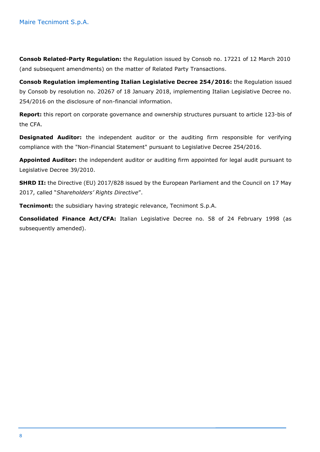**Consob Related-Party Regulation:** the Regulation issued by Consob no. 17221 of 12 March 2010 (and subsequent amendments) on the matter of Related Party Transactions.

**Consob Regulation implementing Italian Legislative Decree 254/2016:** the Regulation issued by Consob by resolution no. 20267 of 18 January 2018, implementing Italian Legislative Decree no. 254/2016 on the disclosure of non-financial information.

**Report:** this report on corporate governance and ownership structures pursuant to article 123-bis of the CFA.

**Designated Auditor:** the independent auditor or the auditing firm responsible for verifying compliance with the "Non-Financial Statement" pursuant to Legislative Decree 254/2016.

**Appointed Auditor:** the independent auditor or auditing firm appointed for legal audit pursuant to Legislative Decree 39/2010.

**SHRD II:** the Directive (EU) 2017/828 issued by the European Parliament and the Council on 17 May 2017, called "*Shareholders' Rights Directive*".

**Tecnimont:** the subsidiary having strategic relevance, Tecnimont S.p.A.

**Consolidated Finance Act/CFA:** Italian Legislative Decree no. 58 of 24 February 1998 (as subsequently amended).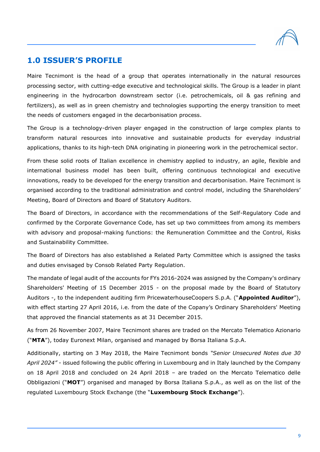

## <span id="page-8-0"></span>**1.0 ISSUER'S PROFILE**

Maire Tecnimont is the head of a group that operates internationally in the natural resources processing sector, with cutting-edge executive and technological skills. The Group is a leader in plant engineering in the hydrocarbon downstream sector (i.e. petrochemicals, oil & gas refining and fertilizers), as well as in green chemistry and technologies supporting the energy transition to meet the needs of customers engaged in the decarbonisation process.

The Group is a technology-driven player engaged in the construction of large complex plants to transform natural resources into innovative and sustainable products for everyday industrial applications, thanks to its high-tech DNA originating in pioneering work in the petrochemical sector.

From these solid roots of Italian excellence in chemistry applied to industry, an agile, flexible and international business model has been built, offering continuous technological and executive innovations, ready to be developed for the energy transition and decarbonisation. Maire Tecnimont is organised according to the traditional administration and control model, including the Shareholders' Meeting, Board of Directors and Board of Statutory Auditors.

The Board of Directors, in accordance with the recommendations of the Self-Regulatory Code and confirmed by the Corporate Governance Code, has set up two committees from among its members with advisory and proposal-making functions: the Remuneration Committee and the Control, Risks and Sustainability Committee.

The Board of Directors has also established a Related Party Committee which is assigned the tasks and duties envisaged by Consob Related Party Regulation.

The mandate of legal audit of the accounts for FYs 2016-2024 was assigned by the Company's ordinary Shareholders' Meeting of 15 December 2015 - on the proposal made by the Board of Statutory Auditors -, to the independent auditing firm PricewaterhouseCoopers S.p.A. ("**Appointed Auditor**"), with effect starting 27 April 2016, i.e. from the date of the Copany's Ordinary Shareholders' Meeting that approved the financial statements as at 31 December 2015.

As from 26 November 2007, Maire Tecnimont shares are traded on the Mercato Telematico Azionario ("**MTA**"), today Euronext Milan, organised and managed by Borsa Italiana S.p.A.

Additionally, starting on 3 May 2018, the Maire Tecnimont bonds *"Senior Unsecured Notes due 30 April 2024"* - issued following the public offering in Luxembourg and in Italy launched by the Company on 18 April 2018 and concluded on 24 April 2018 – are traded on the Mercato Telematico delle Obbligazioni ("**MOT**") organised and managed by Borsa Italiana S.p.A., as well as on the list of the regulated Luxembourg Stock Exchange (the "**Luxembourg Stock Exchange**").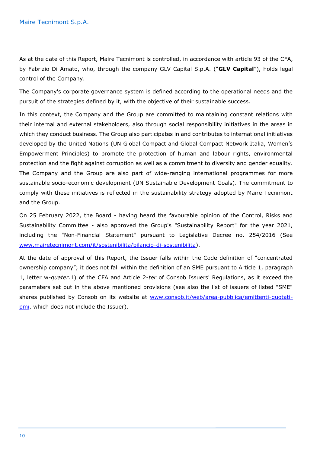As at the date of this Report, Maire Tecnimont is controlled, in accordance with article 93 of the CFA, by Fabrizio Di Amato, who, through the company GLV Capital S.p.A. ("**GLV Capital**"), holds legal control of the Company.

The Company's corporate governance system is defined according to the operational needs and the pursuit of the strategies defined by it, with the objective of their sustainable success.

In this context, the Company and the Group are committed to maintaining constant relations with their internal and external stakeholders, also through social responsibility initiatives in the areas in which they conduct business. The Group also participates in and contributes to international initiatives developed by the United Nations (UN Global Compact and Global Compact Network Italia, Women's Empowerment Principles) to promote the protection of human and labour rights, environmental protection and the fight against corruption as well as a commitment to diversity and gender equality. The Company and the Group are also part of wide-ranging international programmes for more sustainable socio-economic development (UN Sustainable Development Goals). The commitment to comply with these initiatives is reflected in the sustainability strategy adopted by Maire Tecnimont and the Group.

On 25 February 2022, the Board - having heard the favourable opinion of the Control, Risks and Sustainability Committee - also approved the Group's "Sustainability Report" for the year 2021, including the "Non-Financial Statement" pursuant to Legislative Decree no. 254/2016 (See [www.mairetecnimont.com/it/sostenibilita/bilancio-di-sostenibilita\)](http://www.mairetecnimont.com/it/sostenibilita/bilancio-di-sostenibilita).

At the date of approval of this Report, the Issuer falls within the Code definition of "concentrated ownership company"; it does not fall within the definition of an SME pursuant to Article 1, paragraph 1, letter w-*quater*.1) of the CFA and Article 2-*ter* of Consob Issuers' Regulations, as it exceed the parameters set out in the above mentioned provisions (see also the list of issuers of listed "SME" shares published by Consob on its website at [www.consob.it/web/area-pubblica/emittenti-quotati](http://www.consob.it/web/area-pubblica/emittenti-quotati-pmi)[pmi,](http://www.consob.it/web/area-pubblica/emittenti-quotati-pmi) which does not include the Issuer).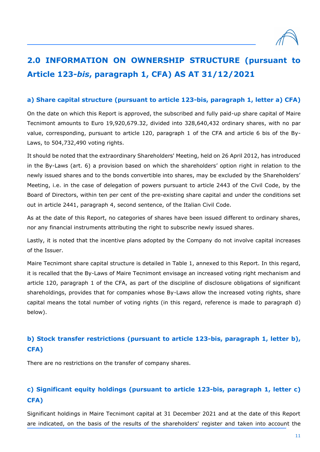

# <span id="page-10-0"></span>**2.0 INFORMATION ON OWNERSHIP STRUCTURE (pursuant to Article 123-***bis***, paragraph 1, CFA) AS AT 31/12/2021**

#### <span id="page-10-1"></span>**a) Share capital structure (pursuant to article 123-bis, paragraph 1, letter a) CFA)**

On the date on which this Report is approved, the subscribed and fully paid-up share capital of Maire Tecnimont amounts to Euro 19,920,679.32, divided into 328,640,432 ordinary shares, with no par value, corresponding, pursuant to article 120, paragraph 1 of the CFA and article 6 bis of the By-Laws, to 504,732,490 voting rights.

It should be noted that the extraordinary Shareholders' Meeting, held on 26 April 2012, has introduced in the By-Laws (art. 6) a provision based on which the shareholders' option right in relation to the newly issued shares and to the bonds convertible into shares, may be excluded by the Shareholders' Meeting, i.e. in the case of delegation of powers pursuant to article 2443 of the Civil Code, by the Board of Directors, within ten per cent of the pre-existing share capital and under the conditions set out in article 2441, paragraph 4, second sentence, of the Italian Civil Code.

As at the date of this Report, no categories of shares have been issued different to ordinary shares, nor any financial instruments attributing the right to subscribe newly issued shares.

Lastly, it is noted that the incentive plans adopted by the Company do not involve capital increases of the Issuer.

Maire Tecnimont share capital structure is detailed in Table 1, annexed to this Report. In this regard, it is recalled that the By-Laws of Maire Tecnimont envisage an increased voting right mechanism and article 120, paragraph 1 of the CFA, as part of the discipline of disclosure obligations of significant shareholdings, provides that for companies whose By-Laws allow the increased voting rights, share capital means the total number of voting rights (in this regard, reference is made to paragraph d) below).

# <span id="page-10-2"></span>**b) Stock transfer restrictions (pursuant to article 123-bis, paragraph 1, letter b), CFA)**

There are no restrictions on the transfer of company shares.

# <span id="page-10-3"></span>**c) Significant equity holdings (pursuant to article 123-bis, paragraph 1, letter c) CFA)**

Significant holdings in Maire Tecnimont capital at 31 December 2021 and at the date of this Report are indicated, on the basis of the results of the shareholders' register and taken into account the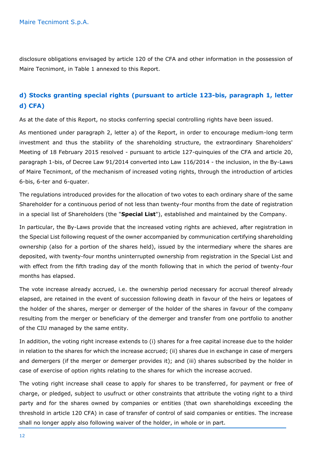disclosure obligations envisaged by article 120 of the CFA and other information in the possession of Maire Tecnimont, in Table 1 annexed to this Report.

# <span id="page-11-0"></span>**d) Stocks granting special rights (pursuant to article 123-bis, paragraph 1, letter d) CFA)**

As at the date of this Report, no stocks conferring special controlling rights have been issued.

As mentioned under paragraph 2, letter a) of the Report, in order to encourage medium-long term investment and thus the stability of the shareholding structure, the extraordinary Shareholders' Meeting of 18 February 2015 resolved - pursuant to article 127-quinquies of the CFA and article 20, paragraph 1-bis, of Decree Law 91/2014 converted into Law 116/2014 - the inclusion, in the By-Laws of Maire Tecnimont, of the mechanism of increased voting rights, through the introduction of articles 6-bis, 6-ter and 6-quater.

The regulations introduced provides for the allocation of two votes to each ordinary share of the same Shareholder for a continuous period of not less than twenty-four months from the date of registration in a special list of Shareholders (the "**Special List**"), established and maintained by the Company.

In particular, the By-Laws provide that the increased voting rights are achieved, after registration in the Special List following request of the owner accompanied by communication certifying shareholding ownership (also for a portion of the shares held), issued by the intermediary where the shares are deposited, with twenty-four months uninterrupted ownership from registration in the Special List and with effect from the fifth trading day of the month following that in which the period of twenty-four months has elapsed.

The vote increase already accrued, i.e. the ownership period necessary for accrual thereof already elapsed, are retained in the event of succession following death in favour of the heirs or legatees of the holder of the shares, merger or demerger of the holder of the shares in favour of the company resulting from the merger or beneficiary of the demerger and transfer from one portfolio to another of the CIU managed by the same entity.

In addition, the voting right increase extends to (i) shares for a free capital increase due to the holder in relation to the shares for which the increase accrued; (ii) shares due in exchange in case of mergers and demergers (if the merger or demerger provides it); and (iii) shares subscribed by the holder in case of exercise of option rights relating to the shares for which the increase accrued.

The voting right increase shall cease to apply for shares to be transferred, for payment or free of charge, or pledged, subject to usufruct or other constraints that attribute the voting right to a third party and for the shares owned by companies or entities (that own shareholdings exceeding the threshold in article 120 CFA) in case of transfer of control of said companies or entities. The increase shall no longer apply also following waiver of the holder, in whole or in part.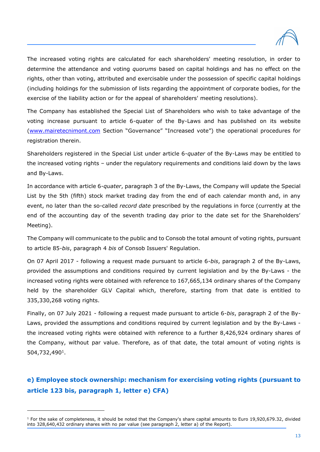

The increased voting rights are calculated for each shareholders' meeting resolution, in order to determine the attendance and voting *quorums* based on capital holdings and has no effect on the rights, other than voting, attributed and exercisable under the possession of specific capital holdings (including holdings for the submission of lists regarding the appointment of corporate bodies, for the exercise of the liability action or for the appeal of shareholders' meeting resolutions).

The Company has established the Special List of Shareholders who wish to take advantage of the voting increase pursuant to article 6-quater of the By-Laws and has published on its website [\(www.mairetecnimont.com](http://www.mairetecnimont.com/) Section "Governance" "Increased vote") the operational procedures for registration therein.

Shareholders registered in the Special List under article 6-*quater* of the By-Laws may be entitled to the increased voting rights – under the regulatory requirements and conditions laid down by the laws and By-Laws.

In accordance with article 6-*quater*, paragraph 3 of the By-Laws, the Company will update the Special List by the 5th (fifth) stock market trading day from the end of each calendar month and, in any event, no later than the so-called *record date* prescribed by the regulations in force (currently at the end of the accounting day of the seventh trading day prior to the date set for the Shareholders' Meeting).

The Company will communicate to the public and to Consob the total amount of voting rights, pursuant to article 85-*bis*, paragraph 4 *bis* of Consob Issuers' Regulation.

On 07 April 2017 - following a request made pursuant to article 6-*bis*, paragraph 2 of the By-Laws, provided the assumptions and conditions required by current legislation and by the By-Laws - the increased voting rights were obtained with reference to 167,665,134 ordinary shares of the Company held by the shareholder GLV Capital which, therefore, starting from that date is entitled to 335,330,268 voting rights.

Finally, on 07 July 2021 - following a request made pursuant to article 6-*bis*, paragraph 2 of the By-Laws, provided the assumptions and conditions required by current legislation and by the By-Laws the increased voting rights were obtained with reference to a further 8,426,924 ordinary shares of the Company, without par value. Therefore, as of that date, the total amount of voting rights is 504,732,490<sup>1</sup>.

# <span id="page-12-0"></span>**e) Employee stock ownership: mechanism for exercising voting rights (pursuant to article 123 bis, paragraph 1, letter e) CFA)**

 $1$  For the sake of completeness, it should be noted that the Company's share capital amounts to Euro 19,920,679.32, divided into 328,640,432 ordinary shares with no par value (see paragraph 2, letter a) of the Report).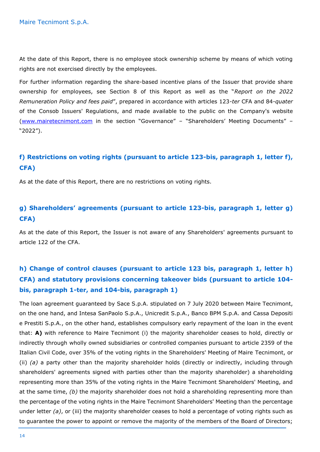At the date of this Report, there is no employee stock ownership scheme by means of which voting rights are not exercised directly by the employees.

For further information regarding the share-based incentive plans of the Issuer that provide share ownership for employees, see Section 8 of this Report as well as the "*Report on the 2022 Remuneration Policy and fees paid*", prepared in accordance with articles 123-*ter* CFA and 84-*quater* of the Consob Issuers' Regulations, and made available to the public on the Company's website [\(www.mairetecnimont.com](http://www.mairetecnimont.com/) in the section "Governance" – "Shareholders' Meeting Documents" – "2022").

# <span id="page-13-0"></span>**f) Restrictions on voting rights (pursuant to article 123-bis, paragraph 1, letter f), CFA)**

As at the date of this Report, there are no restrictions on voting rights.

## <span id="page-13-1"></span>**g) Shareholders' agreements (pursuant to article 123-bis, paragraph 1, letter g) CFA)**

As at the date of this Report, the Issuer is not aware of any Shareholders' agreements pursuant to article 122 of the CFA.

# <span id="page-13-2"></span>**h) Change of control clauses (pursuant to article 123 bis, paragraph 1, letter h) CFA) and statutory provisions concerning takeover bids (pursuant to article 104 bis, paragraph 1-ter, and 104-bis, paragraph 1)**

The loan agreement guaranteed by Sace S.p.A. stipulated on 7 July 2020 between Maire Tecnimont, on the one hand, and Intesa SanPaolo S.p.A., Unicredit S.p.A., Banco BPM S.p.A. and Cassa Depositi e Prestiti S.p.A., on the other hand, establishes compulsory early repayment of the loan in the event that: **A)** with reference to Maire Tecnimont (i) the majority shareholder ceases to hold, directly or indirectly through wholly owned subsidiaries or controlled companies pursuant to article 2359 of the Italian Civil Code, over 35% of the voting rights in the Shareholders' Meeting of Maire Tecnimont, or (ii) *(a)* a party other than the majority shareholder holds (directly or indirectly, including through shareholders' agreements signed with parties other than the majority shareholder) a shareholding representing more than 35% of the voting rights in the Maire Tecnimont Shareholders' Meeting, and at the same time, *(b)* the majority shareholder does not hold a shareholding representing more than the percentage of the voting rights in the Maire Tecnimont Shareholders' Meeting than the percentage under letter *(a)*, or (iii) the majority shareholder ceases to hold a percentage of voting rights such as to guarantee the power to appoint or remove the majority of the members of the Board of Directors;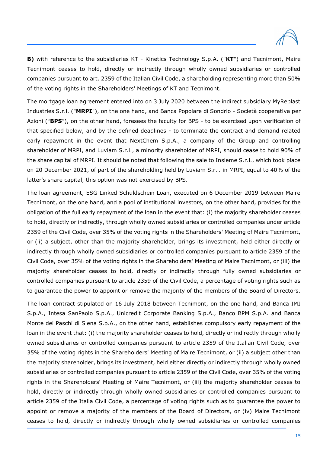

**B)** with reference to the subsidiaries KT - Kinetics Technology S.p.A. ("**KT**") and Tecnimont, Maire Tecnimont ceases to hold, directly or indirectly through wholly owned subsidiaries or controlled companies pursuant to art. 2359 of the Italian Civil Code, a shareholding representing more than 50% of the voting rights in the Shareholders' Meetings of KT and Tecnimont.

The mortgage loan agreement entered into on 3 July 2020 between the indirect subsidiary MyReplast Industries S.r.l. ("**MRPI**"), on the one hand, and Banca Popolare di Sondrio - Società cooperativa per Azioni ("**BPS**"), on the other hand, foresees the faculty for BPS - to be exercised upon verification of that specified below, and by the defined deadlines - to terminate the contract and demand related early repayment in the event that NextChem S.p.A., a company of the Group and controlling shareholder of MRPI, and Luviam S.r.l., a minority shareholder of MRPI, should cease to hold 90% of the share capital of MRPI. It should be noted that following the sale to Insieme S.r.l., which took place on 20 December 2021, of part of the shareholding held by Luviam S.r.l. in MRPI, equal to 40% of the latter's share capital, this option was not exercised by BPS.

The loan agreement, ESG Linked Schuldschein Loan, executed on 6 December 2019 between Maire Tecnimont, on the one hand, and a pool of institutional investors, on the other hand, provides for the obligation of the full early repayment of the loan in the event that: (i) the majority shareholder ceases to hold, directly or indirectly, through wholly owned subsidiaries or controlled companies under article 2359 of the Civil Code, over 35% of the voting rights in the Shareholders' Meeting of Maire Tecnimont, or (ii) a subject, other than the majority shareholder, brings its investment, held either directly or indirectly through wholly owned subsidiaries or controlled companies pursuant to article 2359 of the Civil Code, over 35% of the voting rights in the Shareholders' Meeting of Maire Tecnimont, or (iii) the majority shareholder ceases to hold, directly or indirectly through fully owned subsidiaries or controlled companies pursuant to article 2359 of the Civil Code, a percentage of voting rights such as to guarantee the power to appoint or remove the majority of the members of the Board of Directors.

The loan contract stipulated on 16 July 2018 between Tecnimont, on the one hand, and Banca IMI S.p.A., Intesa SanPaolo S.p.A., Unicredit Corporate Banking S.p.A., Banco BPM S.p.A. and Banca Monte dei Paschi di Siena S.p.A., on the other hand, establishes compulsory early repayment of the loan in the event that: (i) the majority shareholder ceases to hold, directly or indirectly through wholly owned subsidiaries or controlled companies pursuant to article 2359 of the Italian Civil Code, over 35% of the voting rights in the Shareholders' Meeting of Maire Tecnimont, or (ii) a subject other than the majority shareholder, brings its investment, held either directly or indirectly through wholly owned subsidiaries or controlled companies pursuant to article 2359 of the Civil Code, over 35% of the voting rights in the Shareholders' Meeting of Maire Tecnimont, or (iii) the majority shareholder ceases to hold, directly or indirectly through wholly owned subsidiaries or controlled companies pursuant to article 2359 of the Italia Civil Code, a percentage of voting rights such as to guarantee the power to appoint or remove a majority of the members of the Board of Directors, or (iv) Maire Tecnimont ceases to hold, directly or indirectly through wholly owned subsidiaries or controlled companies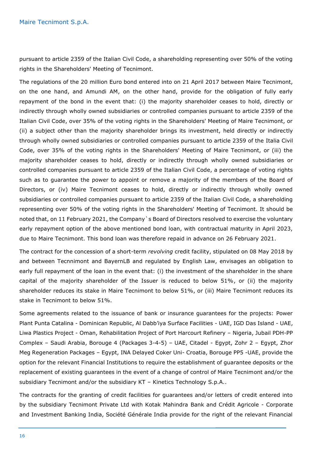Maire Tecnimont S.p.A.

pursuant to article 2359 of the Italian Civil Code, a shareholding representing over 50% of the voting rights in the Shareholders' Meeting of Tecnimont.

The regulations of the 20 million Euro bond entered into on 21 April 2017 between Maire Tecnimont, on the one hand, and Amundi AM, on the other hand, provide for the obligation of fully early repayment of the bond in the event that: (i) the majority shareholder ceases to hold, directly or indirectly through wholly owned subsidiaries or controlled companies pursuant to article 2359 of the Italian Civil Code, over 35% of the voting rights in the Shareholders' Meeting of Maire Tecnimont, or (ii) a subject other than the majority shareholder brings its investment, held directly or indirectly through wholly owned subsidiaries or controlled companies pursuant to article 2359 of the Italia Civil Code, over 35% of the voting rights in the Shareholders' Meeting of Maire Tecnimont, or (iii) the majority shareholder ceases to hold, directly or indirectly through wholly owned subsidiaries or controlled companies pursuant to article 2359 of the Italian Civil Code, a percentage of voting rights such as to guarantee the power to appoint or remove a majority of the members of the Board of Directors, or (iv) Maire Tecnimont ceases to hold, directly or indirectly through wholly owned subsidiaries or controlled companies pursuant to article 2359 of the Italian Civil Code, a shareholding representing over 50% of the voting rights in the Shareholders' Meeting of Tecnimont. It should be noted that, on 11 February 2021, the Company`s Board of Directors resolved to exercise the voluntary early repayment option of the above mentioned bond loan, with contractual maturity in April 2023, due to Maire Tecnimont. This bond loan was therefore repaid in advance on 26 February 2021.

The contract for the concession of a short-term *revolving* credit facility, stipulated on 08 May 2018 by and between Tecnnimont and BayernLB and regulated by English Law, envisages an obligation to early full repayment of the loan in the event that: (i) the investment of the shareholder in the share capital of the majority shareholder of the Issuer is reduced to below 51%, or (ii) the majority shareholder reduces its stake in Maire Tecnimont to below 51%, or (iii) Maire Tecnimont reduces its stake in Tecnimont to below 51%.

Some agreements related to the issuance of bank or insurance guarantees for the projects: Power Plant Punta Catalina - Dominican Republic, Al Dabb'iya Surface Facilities - UAE, IGD Das Island - UAE, Liwa Plastics Project - Oman, Rehabilitation Project of Port Harcourt Refinery – Nigeria, Jubail PDH-PP Complex – Saudi Arabia, Borouge 4 (Packages 3-4-5) – UAE, Citadel - Egypt, Zohr 2 – Egypt, Zhor Meg Regeneration Packages – Egypt, INA Delayed Coker Uni- Croatia, Borouge PP5 -UAE, provide the option for the relevant Financial Institutions to require the establishment of guarantee deposits or the replacement of existing guarantees in the event of a change of control of Maire Tecnimont and/or the subsidiary Tecnimont and/or the subsidiary KT – Kinetics Technology S.p.A..

The contracts for the granting of credit facilities for guarantees and/or letters of credit entered into by the subsidiary Tecnimont Private Ltd with Kotak Mahindra Bank and Crédit Agricole - Corporate and Investment Banking India, Société Générale India provide for the right of the relevant Financial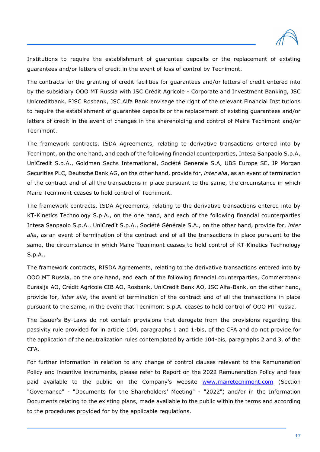

Institutions to require the establishment of guarantee deposits or the replacement of existing guarantees and/or letters of credit in the event of loss of control by Tecnimont.

The contracts for the granting of credit facilities for guarantees and/or letters of credit entered into by the subsidiary OOO MT Russia with JSC Crédit Agricole - Corporate and Investment Banking, JSC Unicreditbank, PJSC Rosbank, JSC Alfa Bank envisage the right of the relevant Financial Institutions to require the establishment of guarantee deposits or the replacement of existing guarantees and/or letters of credit in the event of changes in the shareholding and control of Maire Tecnimont and/or Tecnimont.

The framework contracts, ISDA Agreements, relating to derivative transactions entered into by Tecnimont, on the one hand, and each of the following financial counterparties, Intesa Sanpaolo S.p.A, UniCredit S.p.A., Goldman Sachs International, Société Generale S.A, UBS Europe SE, JP Morgan Securities PLC, Deutsche Bank AG, on the other hand, provide for, *inter alia*, as an event of termination of the contract and of all the transactions in place pursuant to the same, the circumstance in which Maire Tecnimont ceases to hold control of Tecnimont.

The framework contracts, ISDA Agreements, relating to the derivative transactions entered into by KT-Kinetics Technology S.p.A., on the one hand, and each of the following financial counterparties Intesa Sanpaolo S.p.A., UniCredit S.p.A., Société Générale S.A., on the other hand, provide for, *inter alia*, as an event of termination of the contract and of all the transactions in place pursuant to the same, the circumstance in which Maire Tecnimont ceases to hold control of KT-Kinetics Technology S.p.A..

The framework contracts, RISDA Agreements, relating to the derivative transactions entered into by OOO MT Russia, on the one hand, and each of the following financial counterparties, Commerzbank Eurasija AO, Crédit Agricole CIB AO, Rosbank, UniCredit Bank AO, JSC Alfa-Bank, on the other hand, provide for, *inter alia*, the event of termination of the contract and of all the transactions in place pursuant to the same, in the event that Tecnimont S.p.A. ceases to hold control of OOO MT Russia.

The Issuer's By-Laws do not contain provisions that derogate from the provisions regarding the passivity rule provided for in article 104, paragraphs 1 and 1-bis, of the CFA and do not provide for the application of the neutralization rules contemplated by article 104-bis, paragraphs 2 and 3, of the CFA.

For further information in relation to any change of control clauses relevant to the Remuneration Policy and incentive instruments, please refer to Report on the 2022 Remuneration Policy and fees paid available to the public on the Company's website **[www.mairetecnimont.com](http://www.mairetecnimont.com/)** (Section "Governance" - "Documents for the Shareholders' Meeting" - "2022") and/or in the Information Documents relating to the existing plans, made available to the public within the terms and according to the procedures provided for by the applicable regulations.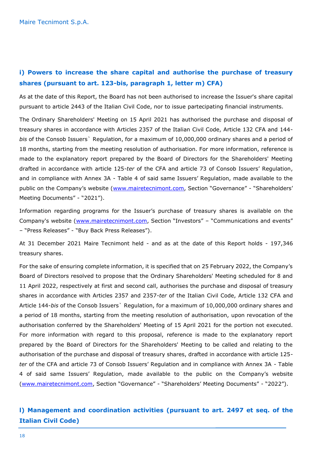## <span id="page-17-0"></span>**i) Powers to increase the share capital and authorise the purchase of treasury shares (pursuant to art. 123-bis, paragraph 1, letter m) CFA)**

As at the date of this Report, the Board has not been authorised to increase the Issuer's share capital pursuant to article 2443 of the Italian Civil Code, nor to issue partecipating financial instruments.

The Ordinary Shareholders' Meeting on 15 April 2021 has authorised the purchase and disposal of treasury shares in accordance with Articles 2357 of the Italian Civil Code, Article 132 CFA and 144 *bis* of the Consob Issuers` Regulation, for a maximum of 10,000,000 ordinary shares and a period of 18 months, starting from the meeting resolution of authorisation. For more information, reference is made to the explanatory report prepared by the Board of Directors for the Shareholders' Meeting drafted in accordance with article 125-*ter* of the CFA and article 73 of Consob Issuers' Regulation, and in compliance with Annex 3A - Table 4 of said same Issuers' Regulation, made available to the public on the Company's website ([www.mairetecnimont.com](http://www.mairetecnimont.com/), Section "Governance" - "Shareholders' Meeting Documents" - "2021").

Information regarding programs for the Issuer's purchase of treasury shares is available on the Company's website [\(www.mairetecnimont.com](http://www.mairetecnimont.com/), Section "Investors" - "Communications and events" – "Press Releases" - "Buy Back Press Releases").

At 31 December 2021 Maire Tecnimont held - and as at the date of this Report holds - 197,346 treasury shares.

For the sake of ensuring complete information, it is specified that on 25 February 2022, the Company's Board of Directors resolved to propose that the Ordinary Shareholders' Meeting scheduled for 8 and 11 April 2022, respectively at first and second call, authorises the purchase and disposal of treasury shares in accordance with Articles 2357 and 2357-*ter* of the Italian Civil Code, Article 132 CFA and Article 144-*bis* of the Consob Issuers` Regulation, for a maximum of 10,000,000 ordinary shares and a period of 18 months, starting from the meeting resolution of authorisation, upon revocation of the authorisation conferred by the Shareholders' Meeting of 15 April 2021 for the portion not executed. For more information with regard to this proposal, reference is made to the explanatory report prepared by the Board of Directors for the Shareholders' Meeting to be called and relating to the authorisation of the purchase and disposal of treasury shares, drafted in accordance with article 125 *ter* of the CFA and article 73 of Consob Issuers' Regulation and in compliance with Annex 3A - Table 4 of said same Issuers' Regulation, made available to the public on the Company's website [\(www.mairetecnimont.com](http://www.mairetecnimont.com/), Section "Governance" - "Shareholders' Meeting Documents" - "2022").

### <span id="page-17-1"></span>**l) Management and coordination activities (pursuant to art. 2497 et seq. of the Italian Civil Code)**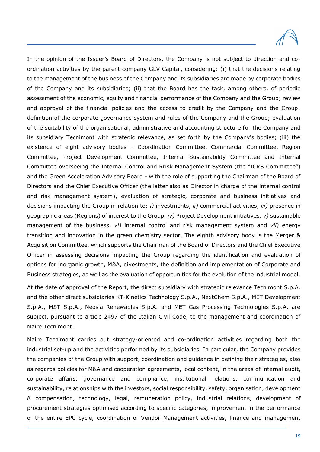

In the opinion of the Issuer's Board of Directors, the Company is not subject to direction and coordination activities by the parent company GLV Capital, considering: (i) that the decisions relating to the management of the business of the Company and its subsidiaries are made by corporate bodies of the Company and its subsidiaries; (ii) that the Board has the task, among others, of periodic assessment of the economic, equity and financial performance of the Company and the Group; review and approval of the financial policies and the access to credit by the Company and the Group; definition of the corporate governance system and rules of the Company and the Group; evaluation of the suitability of the organisational, administrative and accounting structure for the Company and its subsidiary Tecnimont with strategic relevance, as set forth by the Company's bodies; (iii) the existence of eight advisory bodies – Coordination Committee, Commercial Committee, Region Committee, Project Development Committee, Internal Sustainability Committee and Internal Committee overseeing the Internal Control and Rrisk Management System (the "ICRS Committee") and the Green Acceleration Advisory Board - with the role of supporting the Chairman of the Board of Directors and the Chief Executive Officer (the latter also as Director in charge of the internal control and risk management system), evaluation of strategic, corporate and business initiatives and decisions impacting the Group in relation to: *i)* investments, *ii)* commercial activities, *iii)* presence in geographic areas (Regions) of interest to the Group, *iv)* Project Development initiatives, *v)* sustainable management of the business, *vi)* internal control and risk management system and *vii)* energy transition and innovation in the green chemistry sector. The eighth advisory body is the Merger & Acquisition Committee, which supports the Chairman of the Board of Directors and the Chief Executive Officer in assessing decisions impacting the Group regarding the identification and evaluation of options for inorganic growth, M&A, divestments, the definition and implementation of Corporate and Business strategies, as well as the evaluation of opportunities for the evolution of the industrial model.

At the date of approval of the Report, the direct subsidiary with strategic relevance Tecnimont S.p.A. and the other direct subsidiaries KT-Kinetics Technology S.p.A., NextChem S.p.A., MET Development S.p.A., MST S.p.A., Neosia Renewables S.p.A. and MET Gas Processing Technologies S.p.A. are subject, pursuant to article 2497 of the Italian Civil Code, to the management and coordination of Maire Tecnimont.

Maire Tecnimont carries out strategy-oriented and co-ordination activities regarding both the industrial set-up and the activities performed by its subsidiaries. In particular, the Company provides the companies of the Group with support, coordination and guidance in defining their strategies, also as regards policies for M&A and cooperation agreements, local content, in the areas of internal audit, corporate affairs, governance and compliance, institutional relations, communication and sustainability, relationships with the investors, social responsibility, safety, organisation, development & compensation, technology, legal, remuneration policy, industrial relations, development of procurement strategies optimised according to specific categories, improvement in the performance of the entire EPC cycle, coordination of Vendor Management activities, finance and management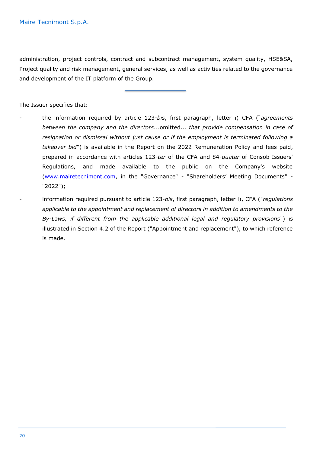administration, project controls, contract and subcontract management, system quality, HSE&SA, Project quality and risk management, general services, as well as activities related to the governance and development of the IT platform of the Group.

The Issuer specifies that:

- the information required by article 123-*bis*, first paragraph, letter i) CFA ("*agreements between the company and the directors*...omitted... *that provide compensation in case of resignation or dismissal without just cause or if the employment is terminated following a takeover bid*") is available in the Report on the 2022 Remuneration Policy and fees paid, prepared in accordance with articles 123-*ter* of the CFA and 84-*quater* of Consob Issuers' Regulations, and made available to the public on the Company's website [\(www.mairetecnimont.com,](http://www.mairetecnimont.com/) in the "Governance" - "Shareholders' Meeting Documents" - "2022");
- information required pursuant to article 123-*bis*, first paragraph, letter l), CFA ("*regulations applicable to the appointment and replacement of directors in addition to amendments to the By-Laws, if different from the applicable additional legal and regulatory provisions*") is illustrated in Section 4.2 of the Report ("Appointment and replacement"), to which reference is made.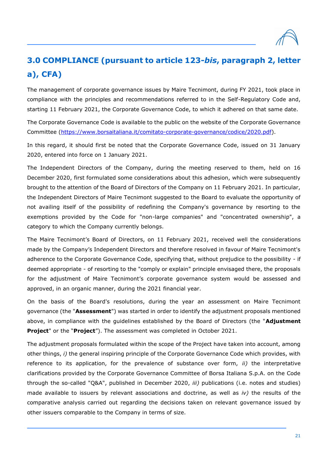

# <span id="page-20-0"></span>**3.0 COMPLIANCE (pursuant to article 123-***bis***, paragraph 2, letter a), CFA)**

The management of corporate governance issues by Maire Tecnimont, during FY 2021, took place in compliance with the principles and recommendations referred to in the Self-Regulatory Code and, starting 11 February 2021, the Corporate Governance Code, to which it adhered on that same date.

The Corporate Governance Code is available to the public on the website of the Corporate Governance Committee [\(https://www.borsaitaliana.it/comitato-corporate-governance/codice/2020.pdf\)](https://www.borsaitaliana.it/comitato-corporate-governance/codice/2020.pdf).

In this regard, it should first be noted that the Corporate Governance Code, issued on 31 January 2020, entered into force on 1 January 2021.

The Independent Directors of the Company, during the meeting reserved to them, held on 16 December 2020, first formulated some considerations about this adhesion, which were subsequently brought to the attention of the Board of Directors of the Company on 11 February 2021. In particular, the Independent Directors of Maire Tecnimont suggested to the Board to evaluate the opportunity of not availing itself of the possibility of redefining the Company's governance by resorting to the exemptions provided by the Code for "non-large companies" and "concentrated ownership", a category to which the Company currently belongs.

The Maire Tecnimont's Board of Directors, on 11 February 2021, received well the considerations made by the Company's Independent Directors and therefore resolved in favour of Maire Tecnimont's adherence to the Corporate Governance Code, specifying that, without prejudice to the possibility - if deemed appropriate - of resorting to the "comply or explain" principle envisaged there, the proposals for the adjustment of Maire Tecnimont's corporate governance system would be assessed and approved, in an organic manner, during the 2021 financial year.

On the basis of the Board's resolutions, during the year an assessment on Maire Tecnimont governance (the "**Assessment**") was started in order to identify the adjustment proposals mentioned above, in compliance with the guidelines established by the Board of Directors (the "**Adjustment Project**" or the "**Project**"). The assessment was completed in October 2021.

The adjustment proposals formulated within the scope of the Project have taken into account, among other things, *i)* the general inspiring principle of the Corporate Governance Code which provides, with reference to its application, for the prevalence of substance over form, *ii)* the interpretative clarifications provided by the Corporate Governance Committee of Borsa Italiana S.p.A. on the Code through the so-called "Q&A", published in December 2020, *iii)* publications (i.e. notes and studies) made available to issuers by relevant associations and doctrine, as well as *iv)* the results of the comparative analysis carried out regarding the decisions taken on relevant governance issued by other issuers comparable to the Company in terms of size.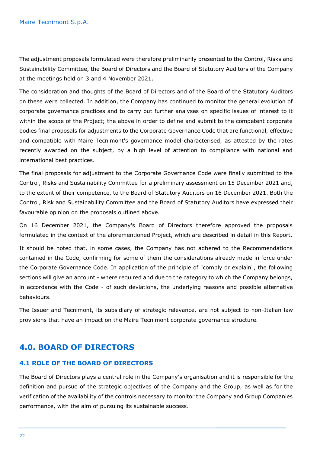The adjustment proposals formulated were therefore preliminarily presented to the Control, Risks and Sustainability Committee, the Board of Directors and the Board of Statutory Auditors of the Company at the meetings held on 3 and 4 November 2021.

The consideration and thoughts of the Board of Directors and of the Board of the Statutory Auditors on these were collected. In addition, the Company has continued to monitor the general evolution of corporate governance practices and to carry out further analyses on specific issues of interest to it within the scope of the Project; the above in order to define and submit to the competent corporate bodies final proposals for adjustments to the Corporate Governance Code that are functional, effective and compatible with Maire Tecnimont's governance model characterised, as attested by the rates recently awarded on the subject, by a high level of attention to compliance with national and international best practices.

The final proposals for adjustment to the Corporate Governance Code were finally submitted to the Control, Risks and Sustainability Committee for a preliminary assessment on 15 December 2021 and, to the extent of their competence, to the Board of Statutory Auditors on 16 December 2021. Both the Control, Risk and Sustainability Committee and the Board of Statutory Auditors have expressed their favourable opinion on the proposals outlined above.

On 16 December 2021, the Company's Board of Directors therefore approved the proposals formulated in the context of the aforementioned Project, which are described in detail in this Report.

It should be noted that, in some cases, the Company has not adhered to the Recommendations contained in the Code, confirming for some of them the considerations already made in force under the Corporate Governance Code. In application of the principle of "comply or explain", the following sections will give an account - where required and due to the category to which the Company belongs, in accordance with the Code - of such deviations, the underlying reasons and possible alternative behaviours.

The Issuer and Tecnimont, its subsidiary of strategic relevance, are not subject to non-Italian law provisions that have an impact on the Maire Tecnimont corporate governance structure.

## <span id="page-21-0"></span>**4.0. BOARD OF DIRECTORS**

#### <span id="page-21-1"></span>**4.1 ROLE OF THE BOARD OF DIRECTORS**

The Board of Directors plays a central role in the Company's organisation and it is responsible for the definition and pursue of the strategic objectives of the Company and the Group, as well as for the verification of the availability of the controls necessary to monitor the Company and Group Companies performance, with the aim of pursuing its sustainable success.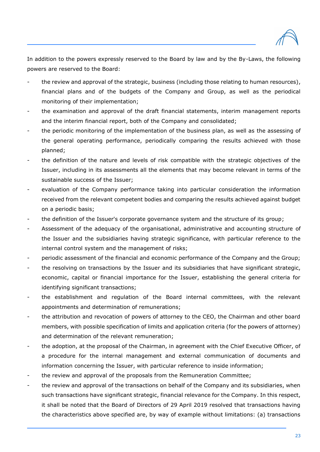

In addition to the powers expressly reserved to the Board by law and by the By-Laws, the following powers are reserved to the Board:

- the review and approval of the strategic, business (including those relating to human resources), financial plans and of the budgets of the Company and Group, as well as the periodical monitoring of their implementation;
- the examination and approval of the draft financial statements, interim management reports and the interim financial report, both of the Company and consolidated;
- the periodic monitoring of the implementation of the business plan, as well as the assessing of the general operating performance, periodically comparing the results achieved with those planned;
- the definition of the nature and levels of risk compatible with the strategic objectives of the Issuer, including in its assessments all the elements that may become relevant in terms of the sustainable success of the Issuer;
- evaluation of the Company performance taking into particular consideration the information received from the relevant competent bodies and comparing the results achieved against budget on a periodic basis;
- the definition of the Issuer's corporate governance system and the structure of its group;
- Assessment of the adequacy of the organisational, administrative and accounting structure of the Issuer and the subsidiaries having strategic significance, with particular reference to the internal control system and the management of risks;
- periodic assessment of the financial and economic performance of the Company and the Group;
- the resolving on transactions by the Issuer and its subsidiaries that have significant strategic, economic, capital or financial importance for the Issuer, establishing the general criteria for identifying significant transactions;
- the establishment and regulation of the Board internal committees, with the relevant appointments and determination of remunerations;
- the attribution and revocation of powers of attorney to the CEO, the Chairman and other board members, with possible specification of limits and application criteria (for the powers of attorney) and determination of the relevant remuneration;
- the adoption, at the proposal of the Chairman, in agreement with the Chief Executive Officer, of a procedure for the internal management and external communication of documents and information concerning the Issuer, with particular reference to inside information;
- the review and approval of the proposals from the Remuneration Committee;
- the review and approval of the transactions on behalf of the Company and its subsidiaries, when such transactions have significant strategic, financial relevance for the Company. In this respect, it shall be noted that the Board of Directors of 29 April 2019 resolved that transactions having the characteristics above specified are, by way of example without limitations: (a) transactions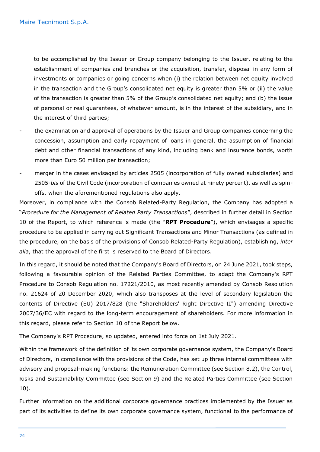to be accomplished by the Issuer or Group company belonging to the Issuer, relating to the establishment of companies and branches or the acquisition, transfer, disposal in any form of investments or companies or going concerns when (i) the relation between net equity involved in the transaction and the Group's consolidated net equity is greater than 5% or (ii) the value of the transaction is greater than 5% of the Group's consolidated net equity; and (b) the issue of personal or real guarantees, of whatever amount, is in the interest of the subsidiary, and in the interest of third parties;

- the examination and approval of operations by the Issuer and Group companies concerning the concession, assumption and early repayment of loans in general, the assumption of financial debt and other financial transactions of any kind, including bank and insurance bonds, worth more than Euro 50 million per transaction;
- merger in the cases envisaged by articles 2505 (incorporation of fully owned subsidiaries) and 2505-*bis* of the Civil Code (incorporation of companies owned at ninety percent), as well as spinoffs, when the aforementioned regulations also apply.

Moreover, in compliance with the Consob Related-Party Regulation, the Company has adopted a "*Procedure for the Management of Related Party Transactions*", described in further detail in Section 10 of the Report, to which reference is made (the "**RPT Procedure**"), which envisages a specific procedure to be applied in carrying out Significant Transactions and Minor Transactions (as defined in the procedure, on the basis of the provisions of Consob Related-Party Regulation), establishing, *inter alia*, that the approval of the first is reserved to the Board of Directors.

In this regard, it should be noted that the Company's Board of Directors, on 24 June 2021, took steps, following a favourable opinion of the Related Parties Committee, to adapt the Company's RPT Procedure to Consob Regulation no. 17221/2010, as most recently amended by Consob Resolution no. 21624 of 20 December 2020, which also transposes at the level of secondary legislation the contents of Directive (EU) 2017/828 (the "Shareholders' Right Directive II") amending Directive 2007/36/EC with regard to the long-term encouragement of shareholders. For more information in this regard, please refer to Section 10 of the Report below.

The Company's RPT Procedure, so updated, entered into force on 1st July 2021.

Within the framework of the definition of its own corporate governance system, the Company's Board of Directors, in compliance with the provisions of the Code, has set up three internal committees with advisory and proposal-making functions: the Remuneration Committee (see Section 8.2), the Control, Risks and Sustainability Committee (see Section 9) and the Related Parties Committee (see Section 10).

Further information on the additional corporate governance practices implemented by the Issuer as part of its activities to define its own corporate governance system, functional to the performance of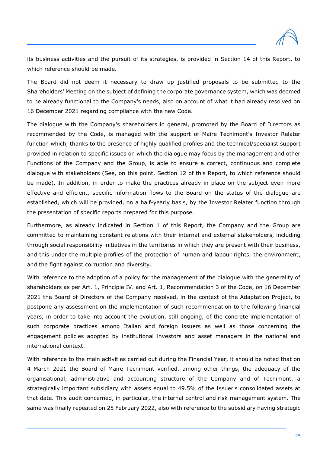

its business activities and the pursuit of its strategies, is provided in Section 14 of this Report, to which reference should be made.

The Board did not deem it necessary to draw up justified proposals to be submitted to the Shareholders' Meeting on the subject of defining the corporate governance system, which was deemed to be already functional to the Company's needs, also on account of what it had already resolved on 16 December 2021 regarding compliance with the new Code.

The dialogue with the Company's shareholders in general, promoted by the Board of Directors as recommended by the Code, is managed with the support of Maire Tecnimont's Investor Relater function which, thanks to the presence of highly qualified profiles and the technical/specialist support provided in relation to specific issues on which the dialogue may focus by the management and other Functions of the Company and the Group, is able to ensure a correct, continuous and complete dialogue with stakeholders (See, on this point, Section 12 of this Report, to which reference should be made). In addition, in order to make the practices already in place on the subject even more effective and efficient, specific information flows to the Board on the status of the dialogue are established, which will be provided, on a half-yearly basis, by the Investor Relater function through the presentation of specific reports prepared for this purpose.

Furthermore, as already indicated in Section 1 of this Report, the Company and the Group are committed to maintaining constant relations with their internal and external stakeholders, including through social responsibility initiatives in the territories in which they are present with their business, and this under the multiple profiles of the protection of human and labour rights, the environment, and the fight against corruption and diversity.

With reference to the adoption of a policy for the management of the dialogue with the generality of shareholders as per Art. 1, Principle IV. and Art. 1, Recommendation 3 of the Code, on 16 December 2021 the Board of Directors of the Company resolved, in the context of the Adaptation Project, to postpone any assessment on the implementation of such recommendation to the following financial years, in order to take into account the evolution, still ongoing, of the concrete implementation of such corporate practices among Italian and foreign issuers as well as those concerning the engagement policies adopted by institutional investors and asset managers in the national and international context.

With reference to the main activities carried out during the Financial Year, it should be noted that on 4 March 2021 the Board of Maire Tecnimont verified, among other things, the adequacy of the organisational, administrative and accounting structure of the Company and of Tecnimont, a strategically important subsidiary with assets equal to 49.5% of the Issuer's consolidated assets at that date. This audit concerned, in particular, the internal control and risk management system. The same was finally repeated on 25 February 2022, also with reference to the subsidiary having strategic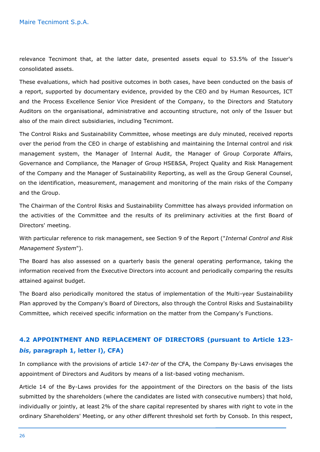relevance Tecnimont that, at the latter date, presented assets equal to 53.5% of the Issuer's consolidated assets.

These evaluations, which had positive outcomes in both cases, have been conducted on the basis of a report, supported by documentary evidence, provided by the CEO and by Human Resources, ICT and the Process Excellence Senior Vice President of the Company, to the Directors and Statutory Auditors on the organisational, administrative and accounting structure, not only of the Issuer but also of the main direct subsidiaries, including Tecnimont.

The Control Risks and Sustainability Committee, whose meetings are duly minuted, received reports over the period from the CEO in charge of establishing and maintaining the Internal control and risk management system, the Manager of Internal Audit, the Manager of Group Corporate Affairs, Governance and Compliance, the Manager of Group HSE&SA, Project Quality and Risk Management of the Company and the Manager of Sustainability Reporting, as well as the Group General Counsel, on the identification, measurement, management and monitoring of the main risks of the Company and the Group.

The Chairman of the Control Risks and Sustainability Committee has always provided information on the activities of the Committee and the results of its preliminary activities at the first Board of Directors' meeting.

With particular reference to risk management, see Section 9 of the Report ("*Internal Control and Risk Management System*").

The Board has also assessed on a quarterly basis the general operating performance, taking the information received from the Executive Directors into account and periodically comparing the results attained against budget.

The Board also periodically monitored the status of implementation of the Multi-year Sustainability Plan approved by the Company's Board of Directors, also through the Control Risks and Sustainability Committee, which received specific information on the matter from the Company's Functions.

# <span id="page-25-0"></span>**4.2 APPOINTMENT AND REPLACEMENT OF DIRECTORS (pursuant to Article 123** *bis***, paragraph 1, letter l), CFA)**

In compliance with the provisions of article 147-*ter* of the CFA, the Company By-Laws envisages the appointment of Directors and Auditors by means of a list-based voting mechanism.

Article 14 of the By-Laws provides for the appointment of the Directors on the basis of the lists submitted by the shareholders (where the candidates are listed with consecutive numbers) that hold, individually or jointly, at least 2% of the share capital represented by shares with right to vote in the ordinary Shareholders' Meeting, or any other different threshold set forth by Consob. In this respect,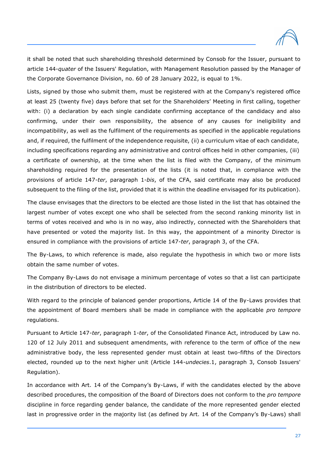

it shall be noted that such shareholding threshold determined by Consob for the Issuer, pursuant to article 144-*quater* of the Issuers' Regulation, with Management Resolution passed by the Manager of the Corporate Governance Division, no. 60 of 28 January 2022, is equal to 1%.

Lists, signed by those who submit them, must be registered with at the Company's registered office at least 25 (twenty five) days before that set for the Shareholders' Meeting in first calling, together with: (i) a declaration by each single candidate confirming acceptance of the candidacy and also confirming, under their own responsibility, the absence of any causes for ineligibility and incompatibility, as well as the fulfilment of the requirements as specified in the applicable regulations and, if required, the fulfilment of the independence requisite, (ii) a curriculum vitae of each candidate, including specifications regarding any administrative and control offices held in other companies, (iii) a certificate of ownership, at the time when the list is filed with the Company, of the minimum shareholding required for the presentation of the lists (it is noted that, in compliance with the provisions of article 147-*ter*, paragraph 1-*bis*, of the CFA, said certificate may also be produced subsequent to the filing of the list, provided that it is within the deadline envisaged for its publication).

The clause envisages that the directors to be elected are those listed in the list that has obtained the largest number of votes except one who shall be selected from the second ranking minority list in terms of votes received and who is in no way, also indirectly, connected with the Shareholders that have presented or voted the majority list. In this way, the appointment of a minority Director is ensured in compliance with the provisions of article 147-*ter*, paragraph 3, of the CFA.

The By-Laws, to which reference is made, also regulate the hypothesis in which two or more lists obtain the same number of votes.

The Company By-Laws do not envisage a minimum percentage of votes so that a list can participate in the distribution of directors to be elected.

With regard to the principle of balanced gender proportions, Article 14 of the By-Laws provides that the appointment of Board members shall be made in compliance with the applicable *pro tempore* regulations.

Pursuant to Article 147-*ter*, paragraph 1-*ter*, of the Consolidated Finance Act, introduced by Law no. 120 of 12 July 2011 and subsequent amendments, with reference to the term of office of the new administrative body, the less represented gender must obtain at least two-fifths of the Directors elected, rounded up to the next higher unit (Article 144-*undecies*.1, paragraph 3, Consob Issuers' Regulation).

In accordance with Art. 14 of the Company's By-Laws, if with the candidates elected by the above described procedures, the composition of the Board of Directors does not conform to the *pro tempore* discipline in force regarding gender balance, the candidate of the more represented gender elected last in progressive order in the majority list (as defined by Art. 14 of the Company's By-Laws) shall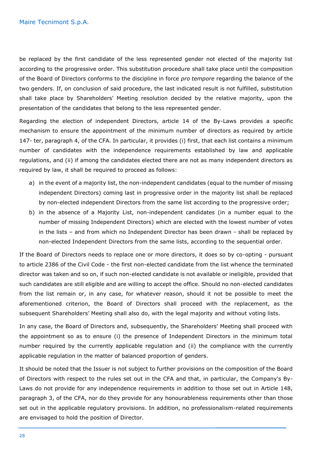be replaced by the first candidate of the less represented gender not elected of the majority list according to the progressive order. This substitution procedure shall take place until the composition of the Board of Directors conforms to the discipline in force *pro tempore* regarding the balance of the two genders. If, on conclusion of said procedure, the last indicated result is not fulfilled, substitution shall take place by Shareholders' Meeting resolution decided by the relative majority, upon the presentation of the candidates that belong to the less represented gender.

Regarding the election of independent Directors, article 14 of the By-Laws provides a specific mechanism to ensure the appointment of the minimum number of directors as required by article 147- ter, paragraph 4, of the CFA. In particular, it provides (i) first, that each list contains a minimum number of candidates with the independence requirements established by law and applicable regulations, and (ii) if among the candidates elected there are not as many independent directors as required by law, it shall be required to proceed as follows:

- a) in the event of a majority list, the non-independent candidates (equal to the number of missing independent Directors) coming last in progressive order in the majority list shall be replaced by non-elected independent Directors from the same list according to the progressive order;
- b) in the absence of a Majority List, non-independent candidates (in a number equal to the number of missing Independent Directors) which are elected with the lowest number of votes in the lists – and from which no Independent Director has been drawn - shall be replaced by non-elected Independent Directors from the same lists, according to the sequential order.

If the Board of Directors needs to replace one or more directors, it does so by co-opting - pursuant to article 2386 of the Civil Code - the first non-elected candidate from the list whence the terminated director was taken and so on, if such non-elected candidate is not available or ineligible, provided that such candidates are still eligible and are willing to accept the office. Should no non-elected candidates from the list remain or, in any case, for whatever reason, should it not be possible to meet the aforementioned criterion, the Board of Directors shall proceed with the replacement, as the subsequent Shareholders' Meeting shall also do, with the legal majority and without voting lists.

In any case, the Board of Directors and, subsequently, the Shareholders' Meeting shall proceed with the appointment so as to ensure (i) the presence of Independent Directors in the minimum total number required by the currently applicable regulation and (ii) the compliance with the currently applicable regulation in the matter of balanced proportion of genders.

It should be noted that the Issuer is not subject to further provisions on the composition of the Board of Directors with respect to the rules set out in the CFA and that, in particular, the Company's By-Laws do not provide for any independence requirements in addition to those set out in Article 148, paragraph 3, of the CFA, nor do they provide for any honourableness requirements other than those set out in the applicable regulatory provisions. In addition, no professionalism-related requirements are envisaged to hold the position of Director.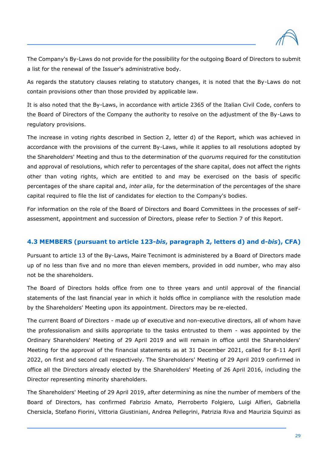

The Company's By-Laws do not provide for the possibility for the outgoing Board of Directors to submit a list for the renewal of the Issuer's administrative body.

As regards the statutory clauses relating to statutory changes, it is noted that the By-Laws do not contain provisions other than those provided by applicable law.

It is also noted that the By-Laws, in accordance with article 2365 of the Italian Civil Code, confers to the Board of Directors of the Company the authority to resolve on the adjustment of the By-Laws to regulatory provisions.

The increase in voting rights described in Section 2, letter d) of the Report, which was achieved in accordance with the provisions of the current By-Laws, while it applies to all resolutions adopted by the Shareholders' Meeting and thus to the determination of the *quorums* required for the constitution and approval of resolutions, which refer to percentages of the share capital, does not affect the rights other than voting rights, which are entitled to and may be exercised on the basis of specific percentages of the share capital and, *inter alia*, for the determination of the percentages of the share capital required to file the list of candidates for election to the Company's bodies.

For information on the role of the Board of Directors and Board Committees in the processes of selfassessment, appointment and succession of Directors, please refer to Section 7 of this Report.

#### <span id="page-28-0"></span>**4.3 MEMBERS (pursuant to article 123-***bis***, paragraph 2, letters d) and d-***bis***), CFA)**

Pursuant to article 13 of the By-Laws, Maire Tecnimont is administered by a Board of Directors made up of no less than five and no more than eleven members, provided in odd number, who may also not be the shareholders.

The Board of Directors holds office from one to three years and until approval of the financial statements of the last financial year in which it holds office in compliance with the resolution made by the Shareholders' Meeting upon its appointment. Directors may be re-elected.

The current Board of Directors - made up of executive and non-executive directors, all of whom have the professionalism and skills appropriate to the tasks entrusted to them - was appointed by the Ordinary Shareholders' Meeting of 29 April 2019 and will remain in office until the Shareholders' Meeting for the approval of the financial statements as at 31 December 2021, called for 8-11 April 2022, on first and second call respectively. The Shareholders' Meeting of 29 April 2019 confirmed in office all the Directors already elected by the Shareholders' Meeting of 26 April 2016, including the Director representing minority shareholders.

The Shareholders' Meeting of 29 April 2019, after determining as nine the number of members of the Board of Directors, has confirmed Fabrizio Amato, Pierroberto Folgiero, Luigi Alfieri, Gabriella Chersicla, Stefano Fiorini, Vittoria Giustiniani, Andrea Pellegrini, Patrizia Riva and Maurizia Squinzi as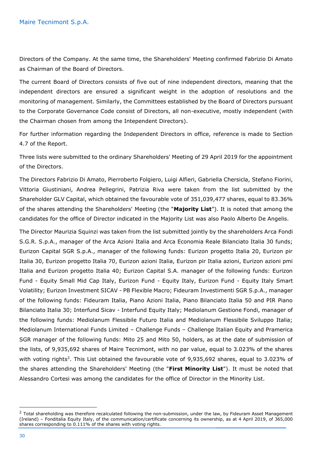Directors of the Company. At the same time, the Shareholders' Meeting confirmed Fabrizio Di Amato as Chairman of the Board of Directors.

The current Board of Directors consists of five out of nine independent directors, meaning that the independent directors are ensured a significant weight in the adoption of resolutions and the monitoring of management. Similarly, the Committees established by the Board of Directors pursuant to the Corporate Governance Code consist of Directors, all non-executive, mostly independent (with the Chairman chosen from among the Intependent Directors).

For further information regarding the Independent Directors in office, reference is made to Section 4.7 of the Report.

Three lists were submitted to the ordinary Shareholders' Meeting of 29 April 2019 for the appointment of the Directors.

The Directors Fabrizio Di Amato, Pierroberto Folgiero, Luigi Alfieri, Gabriella Chersicla, Stefano Fiorini, Vittoria Giustiniani, Andrea Pellegrini, Patrizia Riva were taken from the list submitted by the Shareholder GLV Capital, which obtained the favourable vote of 351,039,477 shares, equal to 83.36% of the shares attending the Shareholders' Meeting (the "**Majority List**"). It is noted that among the candidates for the office of Director indicated in the Majority List was also Paolo Alberto De Angelis.

The Director Maurizia Squinzi was taken from the list submitted jointly by the shareholders Arca Fondi S.G.R. S.p.A., manager of the Arca Azioni Italia and Arca Economia Reale Bilanciato Italia 30 funds; Eurizon Capital SGR S.p.A., manager of the following funds: Eurizon progetto Italia 20, Eurizon pir Italia 30, Eurizon progetto Italia 70, Eurizon azioni Italia, Eurizon pir Italia azioni, Eurizon azioni pmi Italia and Eurizon progetto Italia 40; Eurizon Capital S.A. manager of the following funds: Eurizon Fund - Equity Small Mid Cap Italy, Eurizon Fund - Equity Italy, Eurizon Fund - Equity Italy Smart Volatility; Eurizon Investment SICAV - PB Flexible Macro; Fideuram Investimenti SGR S.p.A., manager of the following funds: Fideuram Italia, Piano Azioni Italia, Piano Bilanciato Italia 50 and PIR Piano Bilanciato Italia 30; Interfund Sicav - Interfund Equity Italy; Mediolanum Gestione Fondi, manager of the following funds: Mediolanum Flessibile Futuro Italia and Mediolanum Flessibile Sviluppo Italia; Mediolanum International Funds Limited – Challenge Funds – Challenge Italian Equity and Pramerica SGR manager of the following funds: Mito 25 and Mito 50, holders, as at the date of submission of the lists, of 9,935,692 shares of Maire Tecnimont, with no par value, equal to 3.023% of the shares with voting rights<sup>2</sup>. This List obtained the favourable vote of 9,935,692 shares, equal to 3.023% of the shares attending the Shareholders' Meeting (the "**First Minority List**"). It must be noted that Alessandro Cortesi was among the candidates for the office of Director in the Minority List.

 $2$  Total shareholding was therefore recalculated following the non-submission, under the law, by Fideuram Asset Management (Ireland) – Fonditalia Equity Italy, of the communication/certificate concerning its ownership, as at 4 April 2019, of 365,000 shares corresponding to 0.111% of the shares with voting rights.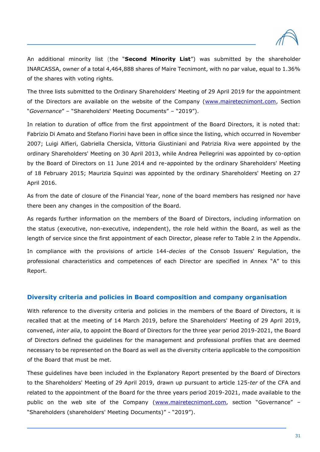

An additional minority list (the "**Second Minority List**") was submitted by the shareholder INARCASSA, owner of a total 4,464,888 shares of Maire Tecnimont, with no par value, equal to 1.36% of the shares with voting rights.

The three lists submitted to the Ordinary Shareholders' Meeting of 29 April 2019 for the appointment of the Directors are available on the website of the Company [\(www.mairetecnimont.com,](http://www.mairetecnimont.com/) Section "*Governance*" – "Shareholders' Meeting Documents" – "2019").

In relation to duration of office from the first appointment of the Board Directors, it is noted that: Fabrizio Di Amato and Stefano Fiorini have been in office since the listing, which occurred in November 2007; Luigi Alfieri, Gabriella Chersicla, Vittoria Giustiniani and Patrizia Riva were appointed by the ordinary Shareholders' Meeting on 30 April 2013, while Andrea Pellegrini was appointed by co-option by the Board of Directors on 11 June 2014 and re-appointed by the ordinary Shareholders' Meeting of 18 February 2015; Maurizia Squinzi was appointed by the ordinary Shareholders' Meeting on 27 April 2016.

As from the date of closure of the Financial Year, none of the board members has resigned nor have there been any changes in the composition of the Board.

As regards further information on the members of the Board of Directors, including information on the status (executive, non-executive, independent), the role held within the Board, as well as the length of service since the first appointment of each Director, please refer to Table 2 in the Appendix.

In compliance with the provisions of article 144-*decies* of the Consob Issuers' Regulation, the professional characteristics and competences of each Director are specified in Annex "A" to this Report.

#### <span id="page-30-0"></span>**Diversity criteria and policies in Board composition and company organisation**

With reference to the diversity criteria and policies in the members of the Board of Directors, it is recalled that at the meeting of 14 March 2019, before the Shareholders' Meeting of 29 April 2019, convened, *inter alia*, to appoint the Board of Directors for the three year period 2019-2021, the Board of Directors defined the guidelines for the management and professional profiles that are deemed necessary to be represented on the Board as well as the diversity criteria applicable to the composition of the Board that must be met.

These guidelines have been included in the Explanatory Report presented by the Board of Directors to the Shareholders' Meeting of 29 April 2019, drawn up pursuant to article 125-*ter* of the CFA and related to the appointment of the Board for the three years period 2019-2021, made available to the public on the web site of the Company [\(www.mairetecnimont.com](http://www.mairetecnimont.com/), section "Governance" – "Shareholders (shareholders' Meeting Documents)" - "2019").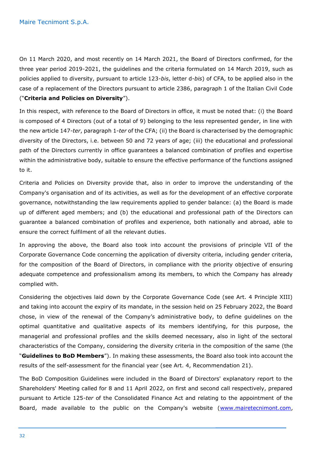On 11 March 2020, and most recently on 14 March 2021, the Board of Directors confirmed, for the three year period 2019-2021, the guidelines and the criteria formulated on 14 March 2019, such as policies applied to diversity, pursuant to article 123-*bis*, letter d-*bis*) of CFA, to be applied also in the case of a replacement of the Directors pursuant to article 2386, paragraph 1 of the Italian Civil Code ("**Criteria and Policies on Diversity**").

In this respect, with reference to the Board of Directors in office, it must be noted that: (i) the Board is composed of 4 Directors (out of a total of 9) belonging to the less represented gender, in line with the new article 147-*ter*, paragraph 1-*ter* of the CFA; (ii) the Board is characterised by the demographic diversity of the Directors, i.e. between 50 and 72 years of age; (iii) the educational and professional path of the Directors currently in office guarantees a balanced combination of profiles and expertise within the administrative body, suitable to ensure the effective performance of the functions assigned to it.

Criteria and Policies on Diversity provide that, also in order to improve the understanding of the Company's organisation and of its activities, as well as for the development of an effective corporate governance, notwithstanding the law requirements applied to gender balance: (a) the Board is made up of different aged members; and (b) the educational and professional path of the Directors can guarantee a balanced combination of profiles and experience, both nationally and abroad, able to ensure the correct fulfilment of all the relevant duties.

In approving the above, the Board also took into account the provisions of principle VII of the Corporate Governance Code concerning the application of diversity criteria, including gender criteria, for the composition of the Board of Directors, in compliance with the priority objective of ensuring adequate competence and professionalism among its members, to which the Company has already complied with.

Considering the objectives laid down by the Corporate Governance Code (see Art. 4 Principle XIII) and taking into account the expiry of its mandate, in the session held on 25 February 2022, the Board chose, in view of the renewal of the Company's administrative body, to define guidelines on the optimal quantitative and qualitative aspects of its members identifying, for this purpose, the managerial and professional profiles and the skills deemed necessary, also in light of the sectoral characteristics of the Company, considering the diversity criteria in the composition of the same (the "**Guidelines to BoD Members**"). In making these assessments, the Board also took into account the results of the self-assessment for the financial year (see Art. 4, Recommendation 21).

The BoD Composition Guidelines were included in the Board of Directors' explanatory report to the Shareholders' Meeting called for 8 and 11 April 2022, on first and second call respectively, prepared pursuant to Article 125-*ter* of the Consolidated Finance Act and relating to the appointment of the Board, made available to the public on the Company's website [\(www.mairetecnimont.com,](http://www.mairetecnimont.com/)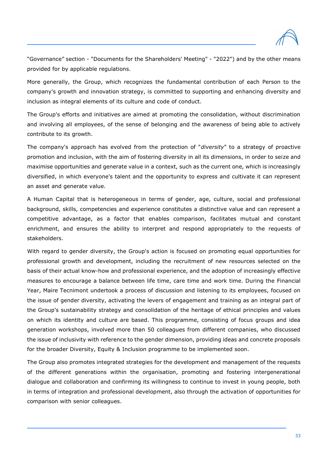

"Governance" section - "Documents for the Shareholders' Meeting" - "2022") and by the other means provided for by applicable regulations.

More generally, the Group, which recognizes the fundamental contribution of each Person to the company's growth and innovation strategy, is committed to supporting and enhancing diversity and inclusion as integral elements of its culture and code of conduct.

The Group's efforts and initiatives are aimed at promoting the consolidation, without discrimination and involving all employees, of the sense of belonging and the awareness of being able to actively contribute to its growth.

The company's approach has evolved from the protection of "*diversity*" to a strategy of proactive promotion and inclusion, with the aim of fostering diversity in all its dimensions, in order to seize and maximise opportunities and generate value in a context, such as the current one, which is increasingly diversified, in which everyone's talent and the opportunity to express and cultivate it can represent an asset and generate value.

A Human Capital that is heterogeneous in terms of gender, age, culture, social and professional background, skills, competencies and experience constitutes a distinctive value and can represent a competitive advantage, as a factor that enables comparison, facilitates mutual and constant enrichment, and ensures the ability to interpret and respond appropriately to the requests of stakeholders.

With regard to gender diversity, the Group's action is focused on promoting equal opportunities for professional growth and development, including the recruitment of new resources selected on the basis of their actual know-how and professional experience, and the adoption of increasingly effective measures to encourage a balance between life time, care time and work time. During the Financial Year, Maire Tecnimont undertook a process of discussion and listening to its employees, focused on the issue of gender diversity, activating the levers of engagement and training as an integral part of the Group's sustainability strategy and consolidation of the heritage of ethical principles and values on which its identity and culture are based. This programme, consisting of focus groups and idea generation workshops, involved more than 50 colleagues from different companies, who discussed the issue of inclusivity with reference to the gender dimension, providing ideas and concrete proposals for the broader Diversity, Equity & Inclusion programme to be implemented soon.

The Group also promotes integrated strategies for the development and management of the requests of the different generations within the organisation, promoting and fostering intergenerational dialogue and collaboration and confirming its willingness to continue to invest in young people, both in terms of integration and professional development, also through the activation of opportunities for comparison with senior colleagues.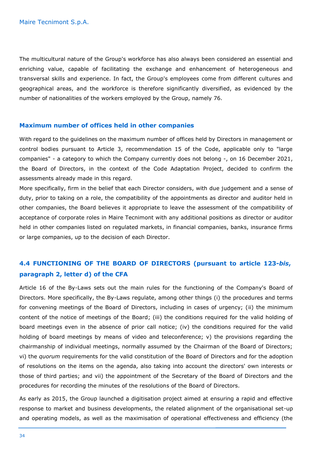The multicultural nature of the Group's workforce has also always been considered an essential and enriching value, capable of facilitating the exchange and enhancement of heterogeneous and transversal skills and experience. In fact, the Group's employees come from different cultures and geographical areas, and the workforce is therefore significantly diversified, as evidenced by the number of nationalities of the workers employed by the Group, namely 76.

#### <span id="page-33-0"></span>**Maximum number of offices held in other companies**

With regard to the guidelines on the maximum number of offices held by Directors in management or control bodies pursuant to Article 3, recommendation 15 of the Code, applicable only to "large companies" - a category to which the Company currently does not belong -, on 16 December 2021, the Board of Directors, in the context of the Code Adaptation Project, decided to confirm the assessments already made in this regard.

More specifically, firm in the belief that each Director considers, with due judgement and a sense of duty, prior to taking on a role, the compatibility of the appointments as director and auditor held in other companies, the Board believes it appropriate to leave the assessment of the compatibility of acceptance of corporate roles in Maire Tecnimont with any additional positions as director or auditor held in other companies listed on regulated markets, in financial companies, banks, insurance firms or large companies, up to the decision of each Director.

### <span id="page-33-1"></span>**4.4 FUNCTIONING OF THE BOARD OF DIRECTORS (pursuant to article 123-***bis***, paragraph 2, letter d) of the CFA**

Article 16 of the By-Laws sets out the main rules for the functioning of the Company's Board of Directors. More specifically, the By-Laws regulate, among other things (i) the procedures and terms for convening meetings of the Board of Directors, including in cases of urgency; (ii) the minimum content of the notice of meetings of the Board; (iii) the conditions required for the valid holding of board meetings even in the absence of prior call notice; (iv) the conditions required for the valid holding of board meetings by means of video and teleconference; v) the provisions regarding the chairmanship of individual meetings, normally assumed by the Chairman of the Board of Directors; vi) the *quorum* requirements for the valid constitution of the Board of Directors and for the adoption of resolutions on the items on the agenda, also taking into account the directors' own interests or those of third parties; and vii) the appointment of the Secretary of the Board of Directors and the procedures for recording the minutes of the resolutions of the Board of Directors.

As early as 2015, the Group launched a digitisation project aimed at ensuring a rapid and effective response to market and business developments, the related alignment of the organisational set-up and operating models, as well as the maximisation of operational effectiveness and efficiency (the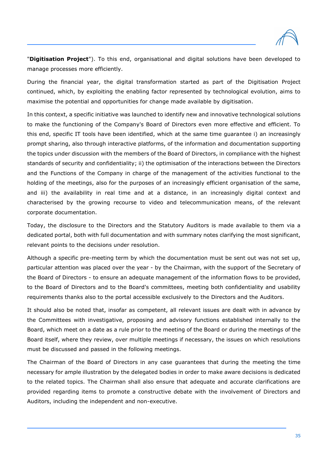

"**Digitisation Project**"). To this end, organisational and digital solutions have been developed to manage processes more efficiently.

During the financial year, the digital transformation started as part of the Digitisation Project continued, which, by exploiting the enabling factor represented by technological evolution, aims to maximise the potential and opportunities for change made available by digitisation.

In this context, a specific initiative was launched to identify new and innovative technological solutions to make the functioning of the Company's Board of Directors even more effective and efficient. To this end, specific IT tools have been identified, which at the same time guarantee i) an increasingly prompt sharing, also through interactive platforms, of the information and documentation supporting the topics under discussion with the members of the Board of Directors, in compliance with the highest standards of security and confidentiality; ii) the optimisation of the interactions between the Directors and the Functions of the Company in charge of the management of the activities functional to the holding of the meetings, also for the purposes of an increasingly efficient organisation of the same, and iii) the availability in real time and at a distance, in an increasingly digital context and characterised by the growing recourse to video and telecommunication means, of the relevant corporate documentation.

Today, the disclosure to the Directors and the Statutory Auditors is made available to them via a dedicated portal, both with full documentation and with summary notes clarifying the most significant, relevant points to the decisions under resolution.

Although a specific pre-meeting term by which the documentation must be sent out was not set up, particular attention was placed over the year - by the Chairman, with the support of the Secretary of the Board of Directors - to ensure an adequate management of the information flows to be provided, to the Board of Directors and to the Board's committees, meeting both confidentiality and usability requirements thanks also to the portal accessible exclusively to the Directors and the Auditors.

It should also be noted that, insofar as competent, all relevant issues are dealt with in advance by the Committees with investigative, proposing and advisory functions established internally to the Board, which meet on a date as a rule prior to the meeting of the Board or during the meetings of the Board itself, where they review, over multiple meetings if necessary, the issues on which resolutions must be discussed and passed in the following meetings.

The Chairman of the Board of Directors in any case guarantees that during the meeting the time necessary for ample illustration by the delegated bodies in order to make aware decisions is dedicated to the related topics. The Chairman shall also ensure that adequate and accurate clarifications are provided regarding items to promote a constructive debate with the involvement of Directors and Auditors, including the independent and non-executive.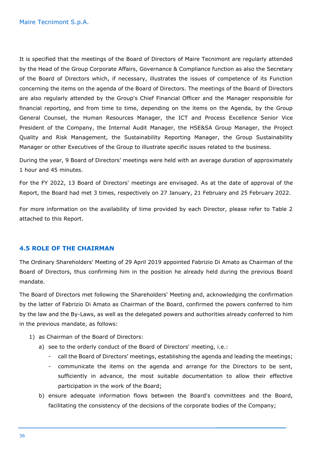It is specified that the meetings of the Board of Directors of Maire Tecnimont are regularly attended by the Head of the Group Corporate Affairs, Governance & Compliance function as also the Secretary of the Board of Directors which, if necessary, illustrates the issues of competence of its Function concerning the items on the agenda of the Board of Directors. The meetings of the Board of Directors are also regularly attended by the Group's Chief Financial Officer and the Manager responsible for financial reporting, and from time to time, depending on the items on the Agenda, by the Group General Counsel, the Human Resources Manager, the ICT and Process Excellence Senior Vice President of the Company, the Internal Audit Manager, the HSE&SA Group Manager, the Project Quality and Risk Management, the Sustainability Reporting Manager, the Group Sustainability Manager or other Executives of the Group to illustrate specific issues related to the business.

During the year, 9 Board of Directors' meetings were held with an average duration of approximately 1 hour and 45 minutes.

For the FY 2022, 13 Board of Directors' meetings are envisaged. As at the date of approval of the Report, the Board had met 3 times, respectively on 27 January, 21 February and 25 February 2022.

For more information on the availability of time provided by each Director, please refer to Table 2 attached to this Report.

#### <span id="page-35-0"></span>**4.5 ROLE OF THE CHAIRMAN**

The Ordinary Shareholders' Meeting of 29 April 2019 appointed Fabrizio Di Amato as Chairman of the Board of Directors, thus confirming him in the position he already held during the previous Board mandate.

The Board of Directors met following the Shareholders' Meeting and, acknowledging the confirmation by the latter of Fabrizio Di Amato as Chairman of the Board, confirmed the powers conferred to him by the law and the By-Laws, as well as the delegated powers and authorities already conferred to him in the previous mandate, as follows:

- 1) as Chairman of the Board of Directors:
	- a) see to the orderly conduct of the Board of Directors' meeting, i.e.:
		- call the Board of Directors' meetings, establishing the agenda and leading the meetings;
		- communicate the items on the agenda and arrange for the Directors to be sent, sufficiently in advance, the most suitable documentation to allow their effective participation in the work of the Board;
	- b) ensure adequate information flows between the Board's committees and the Board, facilitating the consistency of the decisions of the corporate bodies of the Company;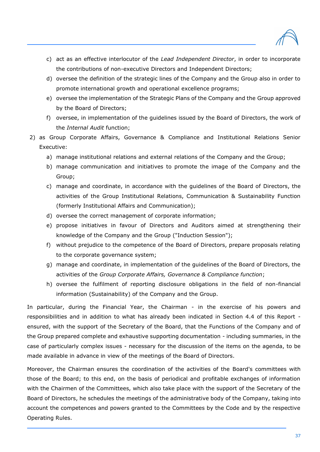

- c) act as an effective interlocutor of the *Lead Independent Director*, in order to incorporate the contributions of non-executive Directors and Independent Directors;
- d) oversee the definition of the strategic lines of the Company and the Group also in order to promote international growth and operational excellence programs;
- e) oversee the implementation of the Strategic Plans of the Company and the Group approved by the Board of Directors;
- f) oversee, in implementation of the guidelines issued by the Board of Directors, the work of the *Internal Audit* function;
- 2) as Group Corporate Affairs, Governance & Compliance and Institutional Relations Senior Executive:
	- a) manage institutional relations and external relations of the Company and the Group;
	- b) manage communication and initiatives to promote the image of the Company and the Group;
	- c) manage and coordinate, in accordance with the guidelines of the Board of Directors, the activities of the Group Institutional Relations, Communication & Sustainability Function (formerly Institutional Affairs and Communication);
	- d) oversee the correct management of corporate information;
	- e) propose initiatives in favour of Directors and Auditors aimed at strengthening their knowledge of the Company and the Group ("Induction Session");
	- f) without prejudice to the competence of the Board of Directors, prepare proposals relating to the corporate governance system;
	- g) manage and coordinate, in implementation of the guidelines of the Board of Directors, the activities of the *Group Corporate Affairs, Governance & Compliance function*;
	- h) oversee the fulfilment of reporting disclosure obligations in the field of non-financial information (Sustainability) of the Company and the Group.

In particular, during the Financial Year, the Chairman - in the exercise of his powers and responsibilities and in addition to what has already been indicated in Section 4.4 of this Report ensured, with the support of the Secretary of the Board, that the Functions of the Company and of the Group prepared complete and exhaustive supporting documentation - including summaries, in the case of particularly complex issues - necessary for the discussion of the items on the agenda, to be made available in advance in view of the meetings of the Board of Directors.

Moreover, the Chairman ensures the coordination of the activities of the Board's committees with those of the Board; to this end, on the basis of periodical and profitable exchanges of information with the Chairmen of the Committees, which also take place with the support of the Secretary of the Board of Directors, he schedules the meetings of the administrative body of the Company, taking into account the competences and powers granted to the Committees by the Code and by the respective Operating Rules.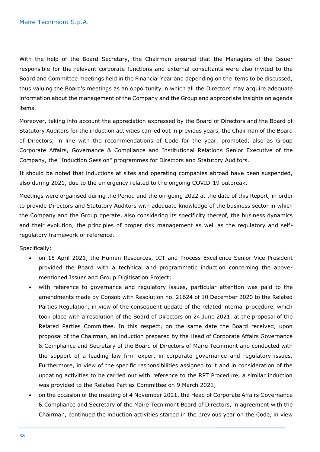With the help of the Board Secretary, the Chairman ensured that the Managers of the Issuer responsible for the relevant corporate functions and external consultants were also invited to the Board and Committee meetings held in the Financial Year and depending on the items to be discussed, thus valuing the Board's meetings as an opportunity in which all the Directors may acquire adequate information about the management of the Company and the Group and appropriate insights on agenda items.

Moreover, taking into account the appreciation expressed by the Board of Directors and the Board of Statutory Auditors for the induction activities carried out in previous years, the Chairman of the Board of Directors, in line with the recommendations of Code for the year, promoted, also as Group Corporate Affairs, Governance & Compliance and Institutional Relations Senior Executive of the Company, the "Induction Session" programmes for Directors and Statutory Auditors.

It should be noted that inductions at sites and operating companies abroad have been suspended, also during 2021, due to the emergency related to the ongoing COVID-19 outbreak.

Meetings were organised during the Period and the on-going 2022 at the date of this Report, in order to provide Directors and Statutory Auditors with adequate knowledge of the business sector in which the Company and the Group operate, also considering its specificity thereof, the business dynamics and their evolution, the principles of proper risk management as well as the regulatory and selfregulatory framework of reference.

Specifically:

- on 15 April 2021, the Human Resources, ICT and Process Excellence Senior Vice President provided the Board with a technical and programmatic induction concerning the abovementioned Issuer and Group Digitisation Project;
- with reference to governance and regulatory issues, particular attention was paid to the amendments made by Consob with Resolution no. 21624 of 10 December 2020 to the Related Parties Regulation, in view of the consequent update of the related internal procedure, which took place with a resolution of the Board of Directors on 24 June 2021, at the proposal of the Related Parties Committee. In this respect, on the same date the Board received, upon proposal of the Chairman, an induction prepared by the Head of Corporate Affairs Governance & Compliance and Secretary of the Board of Directors of Maire Tecnimont and conducted with the support of a leading law firm expert in corporate governance and regulatory issues. Furthermore, in view of the specific responsibilities assigned to it and in consideration of the updating activities to be carried out with reference to the RPT Procedure, a similar induction was provided to the Related Parties Committee on 9 March 2021;
- on the occasion of the meeting of 4 November 2021, the Head of Corporate Affairs Governance & Compliance and Secretary of the Maire Tecnimont Board of Directors, in agreement with the Chairman, continued the induction activities started in the previous year on the Code, in view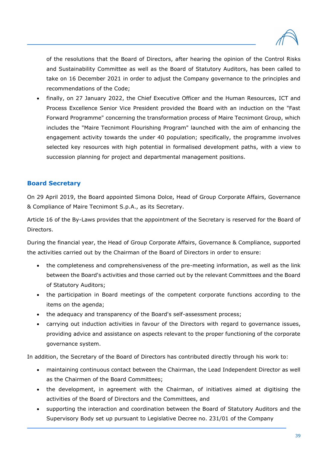

of the resolutions that the Board of Directors, after hearing the opinion of the Control Risks and Sustainability Committee as well as the Board of Statutory Auditors, has been called to take on 16 December 2021 in order to adjust the Company governance to the principles and recommendations of the Code;

• finally, on 27 January 2022, the Chief Executive Officer and the Human Resources, ICT and Process Excellence Senior Vice President provided the Board with an induction on the "Fast Forward Programme" concerning the transformation process of Maire Tecnimont Group, which includes the "Maire Tecnimont Flourishing Program" launched with the aim of enhancing the engagement activity towards the under 40 population; specifically, the programme involves selected key resources with high potential in formalised development paths, with a view to succession planning for project and departmental management positions.

## **Board Secretary**

On 29 April 2019, the Board appointed Simona Dolce, Head of Group Corporate Affairs, Governance & Compliance of Maire Tecnimont S.p.A., as its Secretary.

Article 16 of the By-Laws provides that the appointment of the Secretary is reserved for the Board of Directors.

During the financial year, the Head of Group Corporate Affairs, Governance & Compliance, supported the activities carried out by the Chairman of the Board of Directors in order to ensure:

- the completeness and comprehensiveness of the pre-meeting information, as well as the link between the Board's activities and those carried out by the relevant Committees and the Board of Statutory Auditors;
- the participation in Board meetings of the competent corporate functions according to the items on the agenda;
- the adequacy and transparency of the Board's self-assessment process;
- carrying out induction activities in favour of the Directors with regard to governance issues, providing advice and assistance on aspects relevant to the proper functioning of the corporate governance system.

In addition, the Secretary of the Board of Directors has contributed directly through his work to:

- maintaining continuous contact between the Chairman, the Lead Independent Director as well as the Chairmen of the Board Committees;
- the development, in agreement with the Chairman, of initiatives aimed at digitising the activities of the Board of Directors and the Committees, and
- supporting the interaction and coordination between the Board of Statutory Auditors and the Supervisory Body set up pursuant to Legislative Decree no. 231/01 of the Company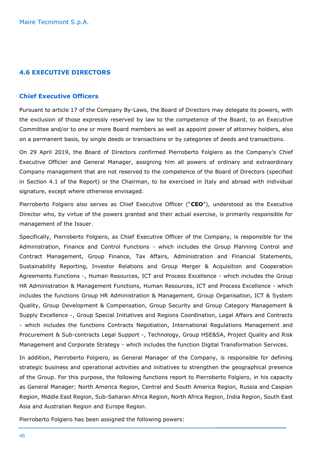#### **4.6 EXECUTIVE DIRECTORS**

#### **Chief Executive Officers**

Pursuant to article 17 of the Company By-Laws, the Board of Directors may delegate its powers, with the exclusion of those expressly reserved by law to the competence of the Board, to an Executive Committee and/or to one or more Board members as well as appoint power of attorney holders, also on a permanent basis, by single deeds or transactions or by categories of deeds and transactions.

On 29 April 2019, the Board of Directors confirmed Pierroberto Folgiero as the Company's Chief Executive Officier and General Manager, assigning him all powers of ordinary and extraordinary Company management that are not reserved to the competence of the Board of Directors (specified in Section 4.1 of the Report) or the Chairman, to be exercised in Italy and abroad with individual signature, except where otherwise envisaged.

Pierroberto Folgiero also serves as Chief Executive Officer ("**CEO**"), understood as the Executive Director who, by virtue of the powers granted and their actual exercise, is primarily responsible for management of the Issuer.

Specifically, Pierroberto Folgiero, as Chief Executive Officer of the Company, is responsible for the Administration, Finance and Control Functions - which includes the Group Planning Control and Contract Management, Group Finance, Tax Affairs, Administration and Financial Statements, Sustainability Reporting, Investor Relations and Group Merger & Acquisition and Cooperation Agreements Functions -, Human Resources, ICT and Process Excellence - which includes the Group HR Administration & Management Functions, Human Resources, ICT and Process Excellence - which includes the functions Group HR Administration & Management, Group Organisation, ICT & System Quality, Group Development & Compensation, Group Security and Group Category Management & Supply Excellence -, Group Special Initiatives and Regions Coordination, Legal Affairs and Contracts - which includes the functions Contracts Negotiation, International Regulations Management and Procurement & Sub-contracts Legal Support -, Technology, Group HSE&SA, Project Quality and Risk Management and Corporate Strategy - which includes the function Digital Transformation Services.

In addition, Pierroberto Folgiero, as General Manager of the Company, is responsible for defining strategic business and operational activities and initiatives to strengthen the geographical presence of the Group. For this purpose, the following functions report to Pierroberto Folgiero, in his capacity as General Manager: North America Region, Central and South America Region, Russia and Caspian Region, Middle East Region, Sub-Saharan Africa Region, North Africa Region, India Region, South East Asia and Australian Region and Europe Region.

Pierroberto Folgiero has been assigned the following powers: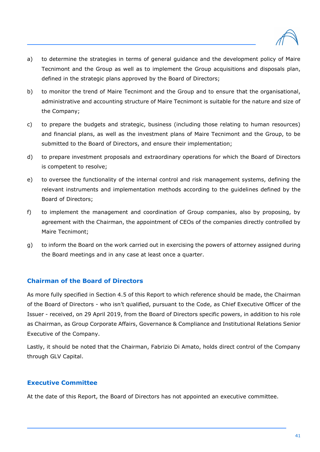

- a) to determine the strategies in terms of general guidance and the development policy of Maire Tecnimont and the Group as well as to implement the Group acquisitions and disposals plan, defined in the strategic plans approved by the Board of Directors;
- b) to monitor the trend of Maire Tecnimont and the Group and to ensure that the organisational, administrative and accounting structure of Maire Tecnimont is suitable for the nature and size of the Company;
- c) to prepare the budgets and strategic, business (including those relating to human resources) and financial plans, as well as the investment plans of Maire Tecnimont and the Group, to be submitted to the Board of Directors, and ensure their implementation;
- d) to prepare investment proposals and extraordinary operations for which the Board of Directors is competent to resolve;
- e) to oversee the functionality of the internal control and risk management systems, defining the relevant instruments and implementation methods according to the guidelines defined by the Board of Directors;
- f) to implement the management and coordination of Group companies, also by proposing, by agreement with the Chairman, the appointment of CEOs of the companies directly controlled by Maire Tecnimont;
- g) to inform the Board on the work carried out in exercising the powers of attorney assigned during the Board meetings and in any case at least once a quarter.

## **Chairman of the Board of Directors**

As more fully specified in Section 4.5 of this Report to which reference should be made, the Chairman of the Board of Directors - who isn't qualified, pursuant to the Code, as Chief Executive Officer of the Issuer - received, on 29 April 2019, from the Board of Directors specific powers, in addition to his role as Chairman, as Group Corporate Affairs, Governance & Compliance and Institutional Relations Senior Executive of the Company.

Lastly, it should be noted that the Chairman, Fabrizio Di Amato, holds direct control of the Company through GLV Capital.

## **Executive Committee**

At the date of this Report, the Board of Directors has not appointed an executive committee.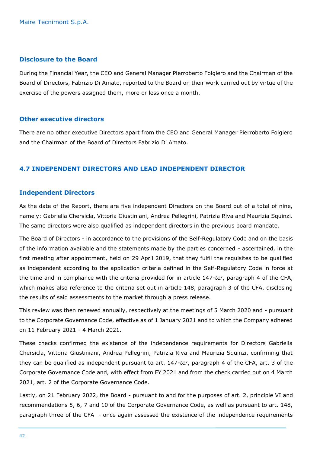#### **Disclosure to the Board**

During the Financial Year, the CEO and General Manager Pierroberto Folgiero and the Chairman of the Board of Directors, Fabrizio Di Amato, reported to the Board on their work carried out by virtue of the exercise of the powers assigned them, more or less once a month.

#### **Other executive directors**

There are no other executive Directors apart from the CEO and General Manager Pierroberto Folgiero and the Chairman of the Board of Directors Fabrizio Di Amato.

#### **4.7 INDEPENDENT DIRECTORS AND LEAD INDEPENDENT DIRECTOR**

#### **Independent Directors**

As the date of the Report, there are five independent Directors on the Board out of a total of nine, namely: Gabriella Chersicla, Vittoria Giustiniani, Andrea Pellegrini, Patrizia Riva and Maurizia Squinzi. The same directors were also qualified as independent directors in the previous board mandate.

The Board of Directors - in accordance to the provisions of the Self-Regulatory Code and on the basis of the information available and the statements made by the parties concerned - ascertained, in the first meeting after appointment, held on 29 April 2019, that they fulfil the requisites to be qualified as independent according to the application criteria defined in the Self-Regulatory Code in force at the time and in compliance with the criteria provided for in article 147-*ter*, paragraph 4 of the CFA, which makes also reference to the criteria set out in article 148, paragraph 3 of the CFA, disclosing the results of said assessments to the market through a press release.

This review was then renewed annually, respectively at the meetings of 5 March 2020 and - pursuant to the Corporate Governance Code, effective as of 1 January 2021 and to which the Company adhered on 11 February 2021 - 4 March 2021.

These checks confirmed the existence of the independence requirements for Directors Gabriella Chersicla, Vittoria Giustiniani, Andrea Pellegrini, Patrizia Riva and Maurizia Squinzi, confirming that they can be qualified as independent pursuant to art. 147-*ter*, paragraph 4 of the CFA, art. 3 of the Corporate Governance Code and, with effect from FY 2021 and from the check carried out on 4 March 2021, art. 2 of the Corporate Governance Code.

Lastly, on 21 February 2022, the Board - pursuant to and for the purposes of art. 2, principle VI and recommendations 5, 6, 7 and 10 of the Corporate Governance Code, as well as pursuant to art. 148, paragraph three of the CFA - once again assessed the existence of the independence requirements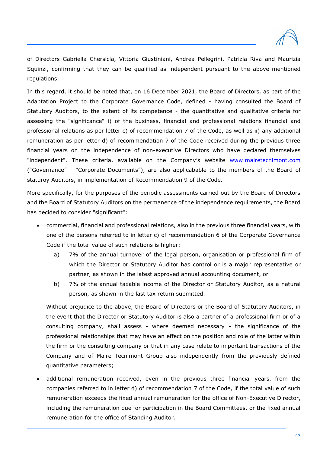

of Directors Gabriella Chersicla, Vittoria Giustiniani, Andrea Pellegrini, Patrizia Riva and Maurizia Squinzi, confirming that they can be qualified as independent pursuant to the above-mentioned regulations.

In this regard, it should be noted that, on 16 December 2021, the Board of Directors, as part of the Adaptation Project to the Corporate Governance Code, defined - having consulted the Board of Statutory Auditors, to the extent of its competence - the quantitative and qualitative criteria for assessing the "significance" i) of the business, financial and professional relations financial and professional relations as per letter c) of recommendation 7 of the Code, as well as ii) any additional remuneration as per letter d) of recommendation 7 of the Code received during the previous three financial years on the independence of non-executive Directors who have declared themselves "independent". These criteria, available on the Company's website [www.mairetecnimont.com](http://www.mairetecnimont.com/) ("Governance" – "Corporate Documents"), are also applicabable to the members of the Board of staturoy Auditors, in implementation of Recommendation 9 of the Code.

More specifically, for the purposes of the periodic assessments carried out by the Board of Directors and the Board of Statutory Auditors on the permanence of the independence requirements, the Board has decided to consider "significant":

- commercial, financial and professional relations, also in the previous three financial years, with one of the persons referred to in letter c) of recommendation 6 of the Corporate Governance Code if the total value of such relations is higher:
	- a) 7% of the annual turnover of the legal person, organisation or professional firm of which the Director or Statutory Auditor has control or is a major representative or partner, as shown in the latest approved annual accounting document, or
	- b) 7% of the annual taxable income of the Director or Statutory Auditor, as a natural person, as shown in the last tax return submitted.

Without prejudice to the above, the Board of Directors or the Board of Statutory Auditors, in the event that the Director or Statutory Auditor is also a partner of a professional firm or of a consulting company, shall assess - where deemed necessary - the significance of the professional relationships that may have an effect on the position and role of the latter within the firm or the consulting company or that in any case relate to important transactions of the Company and of Maire Tecnimont Group also independently from the previously defined quantitative parameters;

• additional remuneration received, even in the previous three financial years, from the companies referred to in letter d) of recommendation 7 of the Code, if the total value of such remuneration exceeds the fixed annual remuneration for the office of Non-Executive Director, including the remuneration due for participation in the Board Committees, or the fixed annual remuneration for the office of Standing Auditor.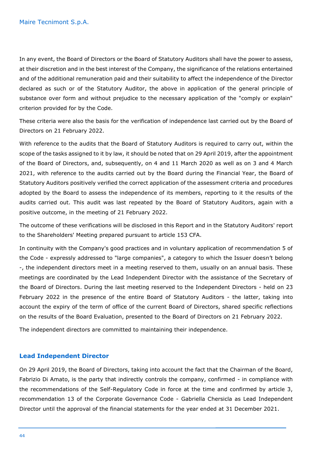In any event, the Board of Directors or the Board of Statutory Auditors shall have the power to assess, at their discretion and in the best interest of the Company, the significance of the relations entertained and of the additional remuneration paid and their suitability to affect the independence of the Director declared as such or of the Statutory Auditor, the above in application of the general principle of substance over form and without prejudice to the necessary application of the "comply or explain" criterion provided for by the Code.

These criteria were also the basis for the verification of independence last carried out by the Board of Directors on 21 February 2022.

With reference to the audits that the Board of Statutory Auditors is required to carry out, within the scope of the tasks assigned to it by law, it should be noted that on 29 April 2019, after the appointment of the Board of Directors, and, subsequently, on 4 and 11 March 2020 as well as on 3 and 4 March 2021, with reference to the audits carried out by the Board during the Financial Year, the Board of Statutory Auditors positively verified the correct application of the assessment criteria and procedures adopted by the Board to assess the independence of its members, reporting to it the results of the audits carried out. This audit was last repeated by the Board of Statutory Auditors, again with a positive outcome, in the meeting of 21 February 2022.

The outcome of these verifications will be disclosed in this Report and in the Statutory Auditors' report to the Shareholders' Meeting prepared pursuant to article 153 CFA.

In continuity with the Company's good practices and in voluntary application of recommendation 5 of the Code - expressly addressed to "large companies", a category to which the Issuer doesn't belong -, the independent directors meet in a meeting reserved to them, usually on an annual basis. These meetings are coordinated by the Lead Independent Director with the assistance of the Secretary of the Board of Directors. During the last meeting reserved to the Independent Directors - held on 23 February 2022 in the presence of the entire Board of Statutory Auditors - the latter, taking into account the expiry of the term of office of the current Board of Directors, shared specific reflections on the results of the Board Evaluation, presented to the Board of Directors on 21 February 2022.

The independent directors are committed to maintaining their independence.

### **Lead Independent Director**

On 29 April 2019, the Board of Directors, taking into account the fact that the Chairman of the Board, Fabrizio Di Amato, is the party that indirectly controls the company, confirmed - in compliance with the recommendations of the Self-Regulatory Code in force at the time and confirmed by article 3, recommendation 13 of the Corporate Governance Code - Gabriella Chersicla as Lead Independent Director until the approval of the financial statements for the year ended at 31 December 2021.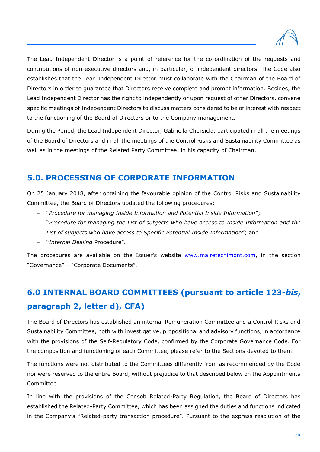

The Lead Independent Director is a point of reference for the co-ordination of the requests and contributions of non-executive directors and, in particular, of independent directors. The Code also establishes that the Lead Independent Director must collaborate with the Chairman of the Board of Directors in order to guarantee that Directors receive complete and prompt information. Besides, the Lead Independent Director has the right to independently or upon request of other Directors, convene specific meetings of Independent Directors to discuss matters considered to be of interest with respect to the functioning of the Board of Directors or to the Company management.

During the Period, the Lead Independent Director, Gabriella Chersicla, participated in all the meetings of the Board of Directors and in all the meetings of the Control Risks and Sustainability Committee as well as in the meetings of the Related Party Committee, in his capacity of Chairman.

# **5.0. PROCESSING OF CORPORATE INFORMATION**

On 25 January 2018, after obtaining the favourable opinion of the Control Risks and Sustainability Committee, the Board of Directors updated the following procedures:

- "*Procedure for managing Inside Information and Potential Inside Information*";
- "*Procedure for managing the List of subjects who have access to Inside Information and the List of subjects who have access to Specific Potential Inside Information*"; and
- "*Internal Dealing* Procedure".

The procedures are available on the Issuer's website [www.mairetecnimont.com,](http://www.mairetecnimont.com/) in the section "Governance" – "Corporate Documents".

# **6.0 INTERNAL BOARD COMMITTEES (pursuant to article 123-***bis***, paragraph 2, letter d), CFA)**

The Board of Directors has established an internal Remuneration Committee and a Control Risks and Sustainability Committee, both with investigative, propositional and advisory functions, in accordance with the provisions of the Self-Regulatory Code, confirmed by the Corporate Governance Code. For the composition and functioning of each Committee, please refer to the Sections devoted to them.

The functions were not distributed to the Committees differently from as recommended by the Code nor were reserved to the entire Board, without prejudice to that described below on the Appointments Committee.

In line with the provisions of the Consob Related-Party Regulation, the Board of Directors has established the Related-Party Committee, which has been assigned the duties and functions indicated in the Company's "Related-party transaction procedure". Pursuant to the express resolution of the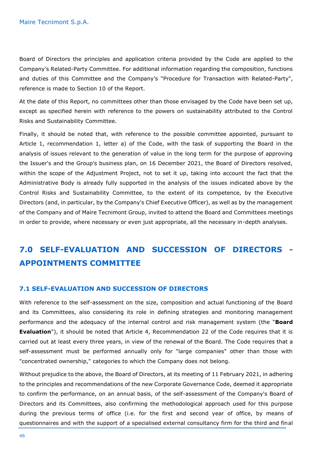Board of Directors the principles and application criteria provided by the Code are applied to the Company's Related-Party Committee. For additional information regarding the composition, functions and duties of this Committee and the Company's "Procedure for Transaction with Related-Party", reference is made to Section 10 of the Report.

At the date of this Report, no committees other than those envisaged by the Code have been set up, except as specified herein with reference to the powers on sustainability attributed to the Control Risks and Sustainability Committee.

Finally, it should be noted that, with reference to the possible committee appointed, pursuant to Article 1, recommendation 1, letter a) of the Code, with the task of supporting the Board in the analysis of issues relevant to the generation of value in the long term for the purpose of approving the Issuer's and the Group's business plan, on 16 December 2021, the Board of Directors resolved, within the scope of the Adjustment Project, not to set it up, taking into account the fact that the Administrative Body is already fully supported in the analysis of the issues indicated above by the Control Risks and Sustainability Committee, to the extent of its competence, by the Executive Directors (and, in particular, by the Company's Chief Executive Officer), as well as by the management of the Company and of Maire Tecnimont Group, invited to attend the Board and Committees meetings in order to provide, where necessary or even just appropriate, all the necessary in-depth analyses.

# **7.0 SELF-EVALUATION AND SUCCESSION OF DIRECTORS - APPOINTMENTS COMMITTEE**

#### **7.1 SELF-EVALUATION AND SUCCESSION OF DIRECTORS**

With reference to the self-assessment on the size, composition and actual functioning of the Board and its Committees, also considering its role in defining strategies and monitoring management performance and the adequacy of the internal control and risk management system (the "**Board Evaluation**"), it should be noted that Article 4, Recommendation 22 of the Code requires that it is carried out at least every three years, in view of the renewal of the Board. The Code requires that a self-assessment must be performed annually only for "large companies" other than those with "concentrated ownership," categories to which the Company does not belong.

Without prejudice to the above, the Board of Directors, at its meeting of 11 February 2021, in adhering to the principles and recommendations of the new Corporate Governance Code, deemed it appropriate to confirm the performance, on an annual basis, of the self-assessment of the Company's Board of Directors and its Committees, also confirming the methodological approach used for this purpose during the previous terms of office (i.e. for the first and second year of office, by means of questionnaires and with the support of a specialised external consultancy firm for the third and final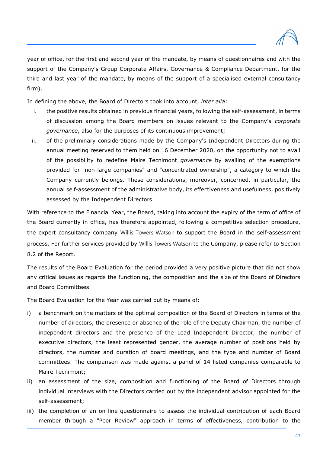

year of office, for the first and second year of the mandate, by means of questionnaires and with the support of the Company's Group Corporate Affairs, Governance & Compliance Department, for the third and last year of the mandate, by means of the support of a specialised external consultancy firm).

In defining the above, the Board of Directors took into account, *inter alia*:

- i. the positive results obtained in previous financial years, following the self-assessment, in terms of discussion among the Board members on issues relevant to the Company's *corporate governance*, also for the purposes of its continuous improvement;
- ii. of the preliminary considerations made by the Company's Independent Directors during the annual meeting reserved to them held on 16 December 2020, on the opportunity not to avail of the possibility to redefine Maire Tecnimont *governance* by availing of the exemptions provided for "non-large companies" and "concentrated ownership", a category to which the Company currently belongs. These considerations, moreover, concerned, in particular, the annual self-assessment of the administrative body, its effectiveness and usefulness, positively assessed by the Independent Directors.

With reference to the Financial Year, the Board, taking into account the expiry of the term of office of the Board currently in office, has therefore appointed, following a competitive selection procedure, the expert consultancy company Willis Towers Watson to support the Board in the self-assessment process. For further services provided by Willis Towers Watson to the Company, please refer to Section 8.2 of the Report.

The results of the Board Evaluation for the period provided a very positive picture that did not show any critical issues as regards the functioning, the composition and the size of the Board of Directors and Board Committees.

The Board Evaluation for the Year was carried out by means of:

- i) a benchmark on the matters of the optimal composition of the Board of Directors in terms of the number of directors, the presence or absence of the role of the Deputy Chairman, the number of independent directors and the presence of the Lead Independent Director, the number of executive directors, the least represented gender, the average number of positions held by directors, the number and duration of board meetings, and the type and number of Board committees. The comparison was made against a panel of 14 listed companies comparable to Maire Tecnimont;
- ii) an assessment of the size, composition and functioning of the Board of Directors through individual interviews with the Directors carried out by the independent advisor appointed for the self-assessment;
- iii) the completion of an on-line questionnaire to assess the individual contribution of each Board member through a "Peer Review" approach in terms of effectiveness, contribution to the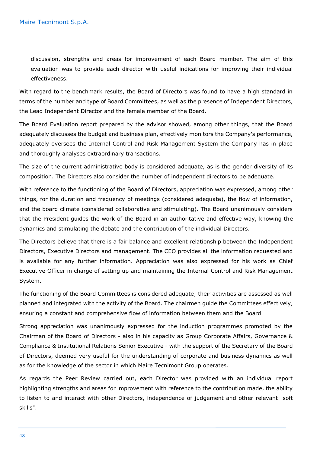discussion, strengths and areas for improvement of each Board member. The aim of this evaluation was to provide each director with useful indications for improving their individual effectiveness.

With regard to the benchmark results, the Board of Directors was found to have a high standard in terms of the number and type of Board Committees, as well as the presence of Independent Directors, the Lead Independent Director and the female member of the Board.

The Board Evaluation report prepared by the advisor showed, among other things, that the Board adequately discusses the budget and business plan, effectively monitors the Company's performance, adequately oversees the Internal Control and Risk Management System the Company has in place and thoroughly analyses extraordinary transactions.

The size of the current administrative body is considered adequate, as is the gender diversity of its composition. The Directors also consider the number of independent directors to be adequate.

With reference to the functioning of the Board of Directors, appreciation was expressed, among other things, for the duration and frequency of meetings (considered adequate), the flow of information, and the board climate (considered collaborative and stimulating). The Board unanimously considers that the President guides the work of the Board in an authoritative and effective way, knowing the dynamics and stimulating the debate and the contribution of the individual Directors.

The Directors believe that there is a fair balance and excellent relationship between the Independent Directors, Executive Directors and management. The CEO provides all the information requested and is available for any further information. Appreciation was also expressed for his work as Chief Executive Officer in charge of setting up and maintaining the Internal Control and Risk Management System.

The functioning of the Board Committees is considered adequate; their activities are assessed as well planned and integrated with the activity of the Board. The chairmen guide the Committees effectively, ensuring a constant and comprehensive flow of information between them and the Board.

Strong appreciation was unanimously expressed for the induction programmes promoted by the Chairman of the Board of Directors - also in his capacity as Group Corporate Affairs, Governance & Compliance & Institutional Relations Senior Executive - with the support of the Secretary of the Board of Directors, deemed very useful for the understanding of corporate and business dynamics as well as for the knowledge of the sector in which Maire Tecnimont Group operates.

As regards the Peer Review carried out, each Director was provided with an individual report highlighting strengths and areas for improvement with reference to the contribution made, the ability to listen to and interact with other Directors, independence of judgement and other relevant "soft skills".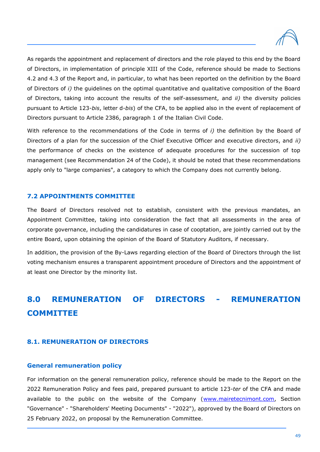

As regards the appointment and replacement of directors and the role played to this end by the Board of Directors, in implementation of principle XIII of the Code, reference should be made to Sections 4.2 and 4.3 of the Report and, in particular, to what has been reported on the definition by the Board of Directors of *i)* the guidelines on the optimal quantitative and qualitative composition of the Board of Directors, taking into account the results of the self-assessment, and *ii)* the diversity policies pursuant to Article 123-*bis*, letter d-*bis*) of the CFA, to be applied also in the event of replacement of Directors pursuant to Article 2386, paragraph 1 of the Italian Civil Code.

With reference to the recommendations of the Code in terms of *i)* the definition by the Board of Directors of a plan for the succession of the Chief Executive Officer and executive directors, and *ii)*  the performance of checks on the existence of adequate procedures for the succession of top management (see Recommendation 24 of the Code), it should be noted that these recommendations apply only to "large companies", a category to which the Company does not currently belong.

### **7.2 APPOINTMENTS COMMITTEE**

The Board of Directors resolved not to establish, consistent with the previous mandates, an Appointment Committee, taking into consideration the fact that all assessments in the area of corporate governance, including the candidatures in case of cooptation, are jointly carried out by the entire Board, upon obtaining the opinion of the Board of Statutory Auditors, if necessary.

In addition, the provision of the By-Laws regarding election of the Board of Directors through the list voting mechanism ensures a transparent appointment procedure of Directors and the appointment of at least one Director by the minority list.

# **8.0 REMUNERATION OF DIRECTORS - REMUNERATION COMMITTEE**

## **8.1. REMUNERATION OF DIRECTORS**

#### **General remuneration policy**

For information on the general remuneration policy, reference should be made to the Report on the 2022 Remuneration Policy and fees paid, prepared pursuant to article 123-*ter* of the CFA and made available to the public on the website of the Company [\(www.mairetecnimont.com,](http://www.mairetecnimont.com/) Section "Governance" - "Shareholders' Meeting Documents" - "2022"), approved by the Board of Directors on 25 February 2022, on proposal by the Remuneration Committee.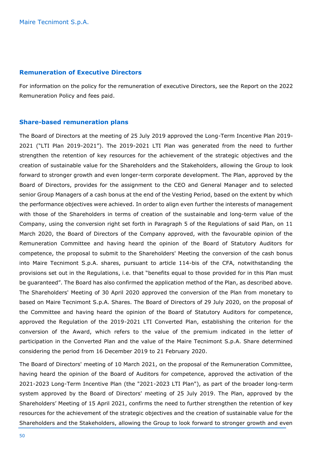#### **Remuneration of Executive Directors**

For information on the policy for the remuneration of executive Directors, see the Report on the 2022 Remuneration Policy and fees paid.

#### **Share-based remuneration plans**

The Board of Directors at the meeting of 25 July 2019 approved the Long-Term Incentive Plan 2019- 2021 ("LTI Plan 2019-2021"). The 2019-2021 LTI Plan was generated from the need to further strengthen the retention of key resources for the achievement of the strategic objectives and the creation of sustainable value for the Shareholders and the Stakeholders, allowing the Group to look forward to stronger growth and even longer-term corporate development. The Plan, approved by the Board of Directors, provides for the assignment to the CEO and General Manager and to selected senior Group Managers of a cash bonus at the end of the Vesting Period, based on the extent by which the performance objectives were achieved. In order to align even further the interests of management with those of the Shareholders in terms of creation of the sustainable and long-term value of the Company, using the conversion right set forth in Paragraph 5 of the Regulations of said Plan, on 11 March 2020, the Board of Directors of the Company approved, with the favourable opinion of the Remuneration Committee and having heard the opinion of the Board of Statutory Auditors for competence, the proposal to submit to the Shareholders' Meeting the conversion of the cash bonus into Maire Tecnimont S.p.A. shares, pursuant to article 114-bis of the CFA, notwithstanding the provisions set out in the Regulations, i.e. that "benefits equal to those provided for in this Plan must be guaranteed". The Board has also confirmed the application method of the Plan, as described above. The Shareholders' Meeting of 30 April 2020 approved the conversion of the Plan from monetary to based on Maire Tecnimont S.p.A. Shares. The Board of Directors of 29 July 2020, on the proposal of the Committee and having heard the opinion of the Board of Statutory Auditors for competence, approved the Regulation of the 2019-2021 LTI Converted Plan, establishing the criterion for the conversion of the Award, which refers to the value of the premium indicated in the letter of participation in the Converted Plan and the value of the Maire Tecnimont S.p.A. Share determined considering the period from 16 December 2019 to 21 February 2020.

The Board of Directors' meeting of 10 March 2021, on the proposal of the Remuneration Committee, having heard the opinion of the Board of Auditors for competence, approved the activation of the 2021-2023 Long-Term Incentive Plan (the "2021-2023 LTI Plan"), as part of the broader long-term system approved by the Board of Directors' meeting of 25 July 2019. The Plan, approved by the Shareholders' Meeting of 15 April 2021, confirms the need to further strengthen the retention of key resources for the achievement of the strategic objectives and the creation of sustainable value for the Shareholders and the Stakeholders, allowing the Group to look forward to stronger growth and even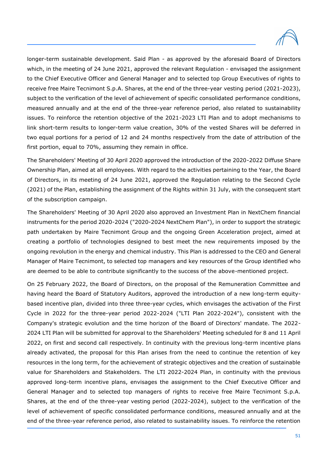

longer-term sustainable development. Said Plan - as approved by the aforesaid Board of Directors which, in the meeting of 24 June 2021, approved the relevant Regulation - envisaged the assignment to the Chief Executive Officer and General Manager and to selected top Group Executives of rights to receive free Maire Tecnimont S.p.A. Shares, at the end of the three-year vesting period (2021-2023), subject to the verification of the level of achievement of specific consolidated performance conditions, measured annually and at the end of the three-year reference period, also related to sustainability issues. To reinforce the retention objective of the 2021-2023 LTI Plan and to adopt mechanisms to link short-term results to longer-term value creation, 30% of the vested Shares will be deferred in two equal portions for a period of 12 and 24 months respectively from the date of attribution of the first portion, equal to 70%, assuming they remain in office.

The Shareholders' Meeting of 30 April 2020 approved the introduction of the 2020-2022 Diffuse Share Ownership Plan, aimed at all employees. With regard to the activities pertaining to the Year, the Board of Directors, in its meeting of 24 June 2021, approved the Regulation relating to the Second Cycle (2021) of the Plan, establishing the assignment of the Rights within 31 July, with the consequent start of the subscription campaign.

The Shareholders' Meeting of 30 April 2020 also approved an Investment Plan in NextChem financial instruments for the period 2020-2024 ("2020-2024 NextChem Plan"), in order to support the strategic path undertaken by Maire Tecnimont Group and the ongoing Green Acceleration project, aimed at creating a portfolio of technologies designed to best meet the new requirements imposed by the ongoing revolution in the energy and chemical industry. This Plan is addressed to the CEO and General Manager of Maire Tecnimont, to selected top managers and key resources of the Group identified who are deemed to be able to contribute significantly to the success of the above-mentioned project.

On 25 February 2022, the Board of Directors, on the proposal of the Remuneration Committee and having heard the Board of Statutory Auditors, approved the introduction of a new long-term equitybased incentive plan, divided into three three-year cycles, which envisages the activation of the First Cycle in 2022 for the three-year period 2022-2024 ("LTI Plan 2022-2024"), consistent with the Company's strategic evolution and the time horizon of the Board of Directors' mandate. The 2022- 2024 LTI Plan will be submitted for approval to the Shareholders' Meeting scheduled for 8 and 11 April 2022, on first and second call respectively. In continuity with the previous long-term incentive plans already activated, the proposal for this Plan arises from the need to continue the retention of key resources in the long term, for the achievement of strategic objectives and the creation of sustainable value for Shareholders and Stakeholders. The LTI 2022-2024 Plan, in continuity with the previous approved long-term incentive plans, envisages the assignment to the Chief Executive Officer and General Manager and to selected top managers of rights to receive free Maire Tecnimont S.p.A. Shares, at the end of the three-year vesting period (2022-2024), subject to the verification of the level of achievement of specific consolidated performance conditions, measured annually and at the end of the three-year reference period, also related to sustainability issues. To reinforce the retention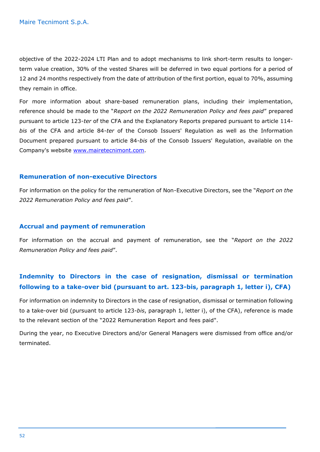objective of the 2022-2024 LTI Plan and to adopt mechanisms to link short-term results to longerterm value creation, 30% of the vested Shares will be deferred in two equal portions for a period of 12 and 24 months respectively from the date of attribution of the first portion, equal to 70%, assuming they remain in office.

For more information about share-based remuneration plans, including their implementation, reference should be made to the "*Report on the 2022 Remuneration Policy and fees paid*" prepared pursuant to article 123-*ter* of the CFA and the Explanatory Reports prepared pursuant to article 114 *bis* of the CFA and article 84-*ter* of the Consob Issuers' Regulation as well as the Information Document prepared pursuant to article 84-*bis* of the Consob Issuers' Regulation, available on the Company's website [www.mairetecnimont.com.](http://www.mairetecnimont.com/)

#### **Remuneration of non-executive Directors**

For information on the policy for the remuneration of Non-Executive Directors, see the "*Report on the 2022 Remuneration Policy and fees paid*".

#### **Accrual and payment of remuneration**

For information on the accrual and payment of remuneration, see the "*Report on the 2022 Remuneration Policy and fees paid*".

# **Indemnity to Directors in the case of resignation, dismissal or termination following to a take-over bid (pursuant to art. 123-bis, paragraph 1, letter i), CFA)**

For information on indemnity to Directors in the case of resignation, dismissal or termination following to a take-over bid (pursuant to article 123-*bis*, paragraph 1, letter i), of the CFA), reference is made to the relevant section of the "2022 Remuneration Report and fees paid".

During the year, no Executive Directors and/or General Managers were dismissed from office and/or terminated.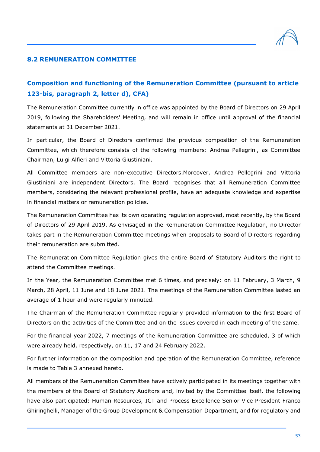

## **8.2 REMUNERATION COMMITTEE**

# **Composition and functioning of the Remuneration Committee (pursuant to article 123-bis, paragraph 2, letter d), CFA)**

The Remuneration Committee currently in office was appointed by the Board of Directors on 29 April 2019, following the Shareholders' Meeting, and will remain in office until approval of the financial statements at 31 December 2021.

In particular, the Board of Directors confirmed the previous composition of the Remuneration Committee, which therefore consists of the following members: Andrea Pellegrini, as Committee Chairman, Luigi Alfieri and Vittoria Giustiniani.

All Committee members are non-executive Directors.Moreover, Andrea Pellegrini and Vittoria Giustiniani are independent Directors. The Board recognises that all Remuneration Committee members, considering the relevant professional profile, have an adequate knowledge and expertise in financial matters or remuneration policies.

The Remuneration Committee has its own operating regulation approved, most recently, by the Board of Directors of 29 April 2019. As envisaged in the Remuneration Committee Regulation, no Director takes part in the Remuneration Committee meetings when proposals to Board of Directors regarding their remuneration are submitted.

The Remuneration Committee Regulation gives the entire Board of Statutory Auditors the right to attend the Committee meetings.

In the Year, the Remuneration Committee met 6 times, and precisely: on 11 February, 3 March, 9 March, 28 April, 11 June and 18 June 2021. The meetings of the Remuneration Committee lasted an average of 1 hour and were regularly minuted.

The Chairman of the Remuneration Committee regularly provided information to the first Board of Directors on the activities of the Committee and on the issues covered in each meeting of the same.

For the financial year 2022, 7 meetings of the Remuneration Committee are scheduled, 3 of which were already held, respectively, on 11, 17 and 24 February 2022.

For further information on the composition and operation of the Remuneration Committee, reference is made to Table 3 annexed hereto.

All members of the Remuneration Committee have actively participated in its meetings together with the members of the Board of Statutory Auditors and, invited by the Committee itself, the following have also participated: Human Resources, ICT and Process Excellence Senior Vice President Franco Ghiringhelli, Manager of the Group Development & Compensation Department, and for regulatory and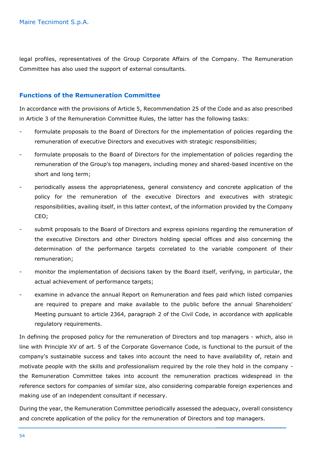legal profiles, representatives of the Group Corporate Affairs of the Company. The Remuneration Committee has also used the support of external consultants.

### **Functions of the Remuneration Committee**

In accordance with the provisions of Article 5, Recommendation 25 of the Code and as also prescribed in Article 3 of the Remuneration Committee Rules, the latter has the following tasks:

- formulate proposals to the Board of Directors for the implementation of policies regarding the remuneration of executive Directors and executives with strategic responsibilities;
- formulate proposals to the Board of Directors for the implementation of policies regarding the remuneration of the Group's top managers, including money and shared-based incentive on the short and long term;
- periodically assess the appropriateness, general consistency and concrete application of the policy for the remuneration of the executive Directors and executives with strategic responsibilities, availing itself, in this latter context, of the information provided by the Company CEO;
- submit proposals to the Board of Directors and express opinions regarding the remuneration of the executive Directors and other Directors holding special offices and also concerning the determination of the performance targets correlated to the variable component of their remuneration;
- monitor the implementation of decisions taken by the Board itself, verifying, in particular, the actual achievement of performance targets;
- examine in advance the annual Report on Remuneration and fees paid which listed companies are required to prepare and make available to the public before the annual Shareholders' Meeting pursuant to article 2364, paragraph 2 of the Civil Code, in accordance with applicable regulatory requirements.

In defining the proposed policy for the remuneration of Directors and top managers - which, also in line with Principle XV of art. 5 of the Corporate Governance Code, is functional to the pursuit of the company's sustainable success and takes into account the need to have availability of, retain and motivate people with the skills and professionalism required by the role they hold in the company the Remuneration Committee takes into account the remuneration practices widespread in the reference sectors for companies of similar size, also considering comparable foreign experiences and making use of an independent consultant if necessary.

During the year, the Remuneration Committee periodically assessed the adequacy, overall consistency and concrete application of the policy for the remuneration of Directors and top managers.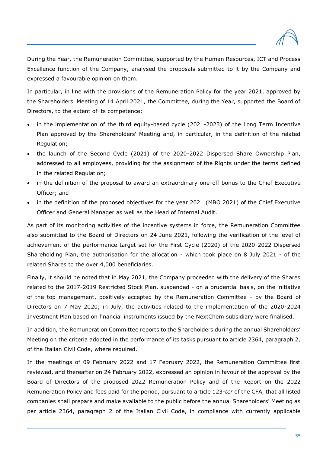

During the Year, the Remuneration Committee, supported by the Human Resources, ICT and Process Excellence function of the Company, analysed the proposals submitted to it by the Company and expressed a favourable opinion on them.

In particular, in line with the provisions of the Remuneration Policy for the year 2021, approved by the Shareholders' Meeting of 14 April 2021, the Committee, during the Year, supported the Board of Directors, to the extent of its competence:

- in the implementation of the third equity-based cycle (2021-2023) of the Long Term Incentive Plan approved by the Shareholders' Meeting and, in particular, in the definition of the related Regulation;
- the launch of the Second Cycle (2021) of the 2020-2022 Dispersed Share Ownership Plan, addressed to all employees, providing for the assignment of the Rights under the terms defined in the related Regulation;
- in the definition of the proposal to award an extraordinary one-off bonus to the Chief Executive Officer; and
- in the definition of the proposed objectives for the year 2021 (MBO 2021) of the Chief Executive Officer and General Manager as well as the Head of Internal Audit.

As part of its monitoring activities of the incentive systems in force, the Remuneration Committee also submitted to the Board of Directors on 24 June 2021, following the verification of the level of achievement of the performance target set for the First Cycle (2020) of the 2020-2022 Dispersed Shareholding Plan, the authorisation for the allocation - which took place on 8 July 2021 - of the related Shares to the over 4,000 beneficiaries.

Finally, it should be noted that in May 2021, the Company proceeded with the delivery of the Shares related to the 2017-2019 Restricted Stock Plan, suspended - on a prudential basis, on the initiative of the top management, positively accepted by the Remuneration Committee - by the Board of Directors on 7 May 2020; in July, the activities related to the implementation of the 2020-2024 Investment Plan based on financial instruments issued by the NextChem subsidiary were finalised.

In addition, the Remuneration Committee reports to the Shareholders during the annual Shareholders' Meeting on the criteria adopted in the performance of its tasks pursuant to article 2364, paragraph 2, of the Italian Civil Code, where required.

In the meetings of 09 February 2022 and 17 February 2022, the Remuneration Committee first reviewed, and thereafter on 24 February 2022, expressed an opinion in favour of the approval by the Board of Directors of the proposed 2022 Remuneration Policy and of the Report on the 2022 Remuneration Policy and fees paid for the period, pursuant to article 123-*ter* of the CFA, that all listed companies shall prepare and make available to the public before the annual Shareholders' Meeting as per article 2364, paragraph 2 of the Italian Civil Code, in compliance with currently applicable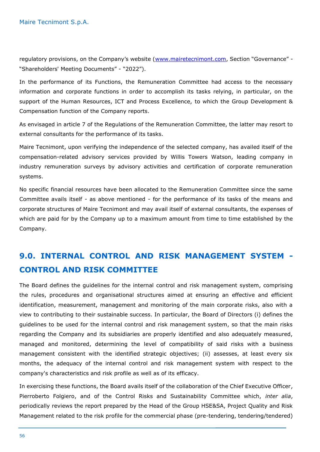regulatory provisions, on the Company's website ([www.mairetecnimont.com](http://www.mairetecnimont.com/), Section "Governance" -"Shareholders' Meeting Documents" - "2022").

In the performance of its Functions, the Remuneration Committee had access to the necessary information and corporate functions in order to accomplish its tasks relying, in particular, on the support of the Human Resources, ICT and Process Excellence, to which the Group Development & Compensation function of the Company reports.

As envisaged in article 7 of the Regulations of the Remuneration Committee, the latter may resort to external consultants for the performance of its tasks.

Maire Tecnimont, upon verifying the independence of the selected company, has availed itself of the compensation-related advisory services provided by Willis Towers Watson, leading company in industry remuneration surveys by advisory activities and certification of corporate remuneration systems.

No specific financial resources have been allocated to the Remuneration Committee since the same Committee avails itself - as above mentioned - for the performance of its tasks of the means and corporate structures of Maire Tecnimont and may avail itself of external consultants, the expenses of which are paid for by the Company up to a maximum amount from time to time established by the Company.

# **9.0. INTERNAL CONTROL AND RISK MANAGEMENT SYSTEM - CONTROL AND RISK COMMITTEE**

The Board defines the guidelines for the internal control and risk management system, comprising the rules, procedures and organisational structures aimed at ensuring an effective and efficient identification, measurement, management and monitoring of the main corporate risks, also with a view to contributing to their sustainable success. In particular, the Board of Directors (i) defines the guidelines to be used for the internal control and risk management system, so that the main risks regarding the Company and its subsidiaries are properly identified and also adequately measured, managed and monitored, determining the level of compatibility of said risks with a business management consistent with the identified strategic objectives; (ii) assesses, at least every six months, the adequacy of the internal control and risk management system with respect to the company's characteristics and risk profile as well as of its efficacy.

In exercising these functions, the Board avails itself of the collaboration of the Chief Executive Officer, Pierroberto Folgiero, and of the Control Risks and Sustainability Committee which, *inter alia*, periodically reviews the report prepared by the Head of the Group HSE&SA, Project Quality and Risk Management related to the risk profile for the commercial phase (pre-tendering, tendering/tendered)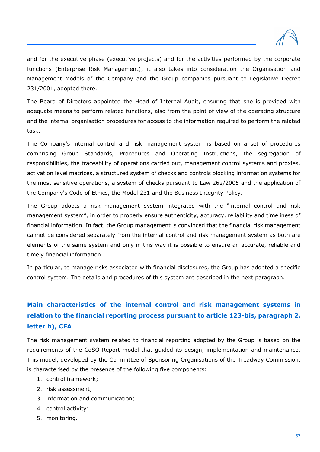

and for the executive phase (executive projects) and for the activities performed by the corporate functions (Enterprise Risk Management); it also takes into consideration the Organisation and Management Models of the Company and the Group companies pursuant to Legislative Decree 231/2001, adopted there.

The Board of Directors appointed the Head of Internal Audit, ensuring that she is provided with adequate means to perform related functions, also from the point of view of the operating structure and the internal organisation procedures for access to the information required to perform the related task.

The Company's internal control and risk management system is based on a set of procedures comprising Group Standards, Procedures and Operating Instructions, the segregation of responsibilities, the traceability of operations carried out, management control systems and proxies, activation level matrices, a structured system of checks and controls blocking information systems for the most sensitive operations, a system of checks pursuant to Law 262/2005 and the application of the Company's Code of Ethics, the Model 231 and the Business Integrity Policy.

The Group adopts a risk management system integrated with the "internal control and risk management system", in order to properly ensure authenticity, accuracy, reliability and timeliness of financial information. In fact, the Group management is convinced that the financial risk management cannot be considered separately from the internal control and risk management system as both are elements of the same system and only in this way it is possible to ensure an accurate, reliable and timely financial information.

In particular, to manage risks associated with financial disclosures, the Group has adopted a specific control system. The details and procedures of this system are described in the next paragraph.

# **Main characteristics of the internal control and risk management systems in relation to the financial reporting process pursuant to article 123-bis, paragraph 2, letter b), CFA**

The risk management system related to financial reporting adopted by the Group is based on the requirements of the CoSO Report model that guided its design, implementation and maintenance. This model, developed by the Committee of Sponsoring Organisations of the Treadway Commission, is characterised by the presence of the following five components:

- 1. control framework;
- 2. risk assessment;
- 3. information and communication;
- 4. control activity:
- 5. monitoring.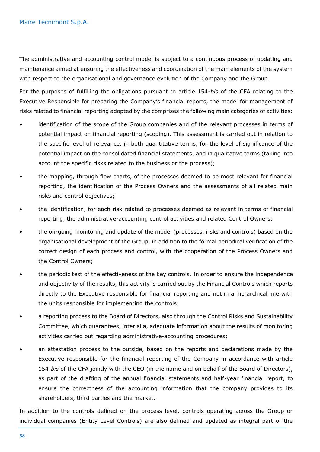The administrative and accounting control model is subject to a continuous process of updating and maintenance aimed at ensuring the effectiveness and coordination of the main elements of the system with respect to the organisational and governance evolution of the Company and the Group.

For the purposes of fulfilling the obligations pursuant to article 154-*bis* of the CFA relating to the Executive Responsible for preparing the Company's financial reports, the model for management of risks related to financial reporting adopted by the comprises the following main categories of activities:

- identification of the scope of the Group companies and of the relevant processes in terms of potential impact on financial reporting (scoping). This assessment is carried out in relation to the specific level of relevance, in both quantitative terms, for the level of significance of the potential impact on the consolidated financial statements, and in qualitative terms (taking into account the specific risks related to the business or the process);
- the mapping, through flow charts, of the processes deemed to be most relevant for financial reporting, the identification of the Process Owners and the assessments of all related main risks and control objectives;
- the identification, for each risk related to processes deemed as relevant in terms of financial reporting, the administrative-accounting control activities and related Control Owners;
- the on-going monitoring and update of the model (processes, risks and controls) based on the organisational development of the Group, in addition to the formal periodical verification of the correct design of each process and control, with the cooperation of the Process Owners and the Control Owners;
- the periodic test of the effectiveness of the key controls. In order to ensure the independence and objectivity of the results, this activity is carried out by the Financial Controls which reports directly to the Executive responsible for financial reporting and not in a hierarchical line with the units responsible for implementing the controls;
- a reporting process to the Board of Directors, also through the Control Risks and Sustainability Committee, which guarantees, inter alia, adequate information about the results of monitoring activities carried out regarding administrative-accounting procedures;
- an attestation process to the outside, based on the reports and declarations made by the Executive responsible for the financial reporting of the Company in accordance with article 154-*bis* of the CFA jointly with the CEO (in the name and on behalf of the Board of Directors), as part of the drafting of the annual financial statements and half-year financial report, to ensure the correctness of the accounting information that the company provides to its shareholders, third parties and the market.

In addition to the controls defined on the process level, controls operating across the Group or individual companies (Entity Level Controls) are also defined and updated as integral part of the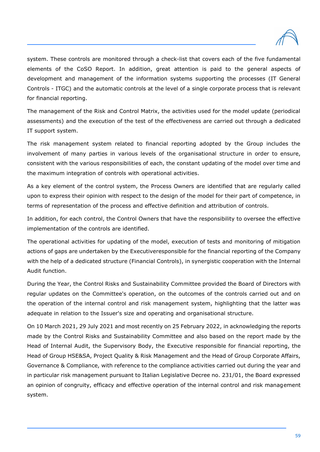

system. These controls are monitored through a check-list that covers each of the five fundamental elements of the CoSO Report. In addition, great attention is paid to the general aspects of development and management of the information systems supporting the processes (IT General Controls - ITGC) and the automatic controls at the level of a single corporate process that is relevant for financial reporting.

The management of the Risk and Control Matrix, the activities used for the model update (periodical assessments) and the execution of the test of the effectiveness are carried out through a dedicated IT support system.

The risk management system related to financial reporting adopted by the Group includes the involvement of many parties in various levels of the organisational structure in order to ensure, consistent with the various responsibilities of each, the constant updating of the model over time and the maximum integration of controls with operational activities.

As a key element of the control system, the Process Owners are identified that are regularly called upon to express their opinion with respect to the design of the model for their part of competence, in terms of representation of the process and effective definition and attribution of controls.

In addition, for each control, the Control Owners that have the responsibility to oversee the effective implementation of the controls are identified.

The operational activities for updating of the model, execution of tests and monitoring of mitigation actions of gaps are undertaken by the Executiveresponsible for the financial reporting of the Company with the help of a dedicated structure (Financial Controls), in synergistic cooperation with the Internal Audit function.

During the Year, the Control Risks and Sustainability Committee provided the Board of Directors with regular updates on the Committee's operation, on the outcomes of the controls carried out and on the operation of the internal control and risk management system, highlighting that the latter was adequate in relation to the Issuer's size and operating and organisational structure.

On 10 March 2021, 29 July 2021 and most recently on 25 February 2022, in acknowledging the reports made by the Control Risks and Sustainability Committee and also based on the report made by the Head of Internal Audit, the Supervisory Body, the Executive responsible for financial reporting, the Head of Group HSE&SA, Project Quality & Risk Management and the Head of Group Corporate Affairs, Governance & Compliance, with reference to the compliance activities carried out during the year and in particular risk management pursuant to Italian Legislative Decree no. 231/01, the Board expressed an opinion of congruity, efficacy and effective operation of the internal control and risk management system.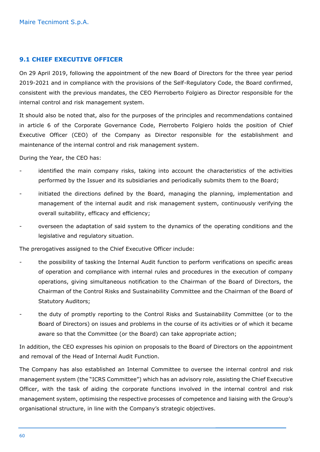### **9.1 CHIEF EXECUTIVE OFFICER**

On 29 April 2019, following the appointment of the new Board of Directors for the three year period 2019-2021 and in compliance with the provisions of the Self-Regulatory Code, the Board confirmed, consistent with the previous mandates, the CEO Pierroberto Folgiero as Director responsible for the internal control and risk management system.

It should also be noted that, also for the purposes of the principles and recommendations contained in article 6 of the Corporate Governance Code, Pierroberto Folgiero holds the position of Chief Executive Officer (CEO) of the Company as Director responsible for the establishment and maintenance of the internal control and risk management system.

During the Year, the CEO has:

- identified the main company risks, taking into account the characteristics of the activities performed by the Issuer and its subsidiaries and periodically submits them to the Board;
- initiated the directions defined by the Board, managing the planning, implementation and management of the internal audit and risk management system, continuously verifying the overall suitability, efficacy and efficiency;
- overseen the adaptation of said system to the dynamics of the operating conditions and the legislative and regulatory situation.

The prerogatives assigned to the Chief Executive Officer include:

- the possibility of tasking the Internal Audit function to perform verifications on specific areas of operation and compliance with internal rules and procedures in the execution of company operations, giving simultaneous notification to the Chairman of the Board of Directors, the Chairman of the Control Risks and Sustainability Committee and the Chairman of the Board of Statutory Auditors;
- the duty of promptly reporting to the Control Risks and Sustainability Committee (or to the Board of Directors) on issues and problems in the course of its activities or of which it became aware so that the Committee (or the Board) can take appropriate action;

In addition, the CEO expresses his opinion on proposals to the Board of Directors on the appointment and removal of the Head of Internal Audit Function.

The Company has also established an Internal Committee to oversee the internal control and risk management system (the "ICRS Committee") which has an advisory role, assisting the Chief Executive Officer, with the task of aiding the corporate functions involved in the internal control and risk management system, optimising the respective processes of competence and liaising with the Group's organisational structure, in line with the Company's strategic objectives.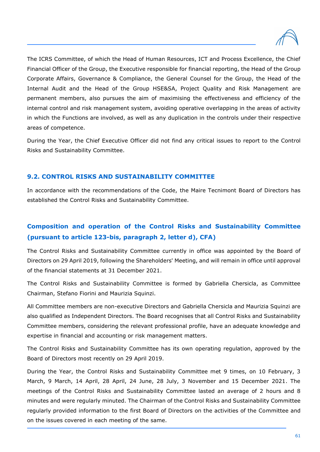

The ICRS Committee, of which the Head of Human Resources, ICT and Process Excellence, the Chief Financial Officer of the Group, the Executive responsible for financial reporting, the Head of the Group Corporate Affairs, Governance & Compliance, the General Counsel for the Group, the Head of the Internal Audit and the Head of the Group HSE&SA, Project Quality and Risk Management are permanent members, also pursues the aim of maximising the effectiveness and efficiency of the internal control and risk management system, avoiding operative overlapping in the areas of activity in which the Functions are involved, as well as any duplication in the controls under their respective areas of competence.

During the Year, the Chief Executive Officer did not find any critical issues to report to the Control Risks and Sustainability Committee.

### **9.2. CONTROL RISKS AND SUSTAINABILITY COMMITTEE**

In accordance with the recommendations of the Code, the Maire Tecnimont Board of Directors has established the Control Risks and Sustainability Committee.

# **Composition and operation of the Control Risks and Sustainability Committee (pursuant to article 123-bis, paragraph 2, letter d), CFA)**

The Control Risks and Sustainability Committee currently in office was appointed by the Board of Directors on 29 April 2019, following the Shareholders' Meeting, and will remain in office until approval of the financial statements at 31 December 2021.

The Control Risks and Sustainability Committee is formed by Gabriella Chersicla, as Committee Chairman, Stefano Fiorini and Maurizia Squinzi.

All Committee members are non-executive Directors and Gabriella Chersicla and Maurizia Squinzi are also qualified as Independent Directors. The Board recognises that all Control Risks and Sustainability Committee members, considering the relevant professional profile, have an adequate knowledge and expertise in financial and accounting or risk management matters.

The Control Risks and Sustainability Committee has its own operating regulation, approved by the Board of Directors most recently on 29 April 2019.

During the Year, the Control Risks and Sustainability Committee met 9 times, on 10 February, 3 March, 9 March, 14 April, 28 April, 24 June, 28 July, 3 November and 15 December 2021. The meetings of the Control Risks and Sustainability Committee lasted an average of 2 hours and 8 minutes and were regularly minuted. The Chairman of the Control Risks and Sustainability Committee regularly provided information to the first Board of Directors on the activities of the Committee and on the issues covered in each meeting of the same.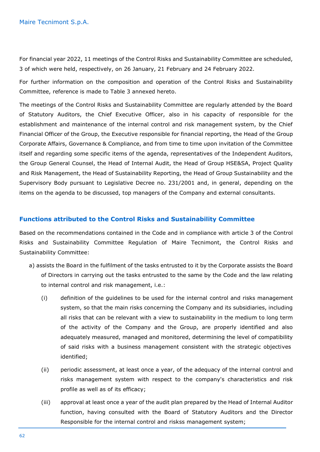For financial year 2022, 11 meetings of the Control Risks and Sustainability Committee are scheduled, 3 of which were held, respectively, on 26 January, 21 February and 24 February 2022.

For further information on the composition and operation of the Control Risks and Sustainability Committee, reference is made to Table 3 annexed hereto.

The meetings of the Control Risks and Sustainability Committee are regularly attended by the Board of Statutory Auditors, the Chief Executive Officer, also in his capacity of responsible for the establishment and maintenance of the internal control and risk management system, by the Chief Financial Officer of the Group, the Executive responsible for financial reporting, the Head of the Group Corporate Affairs, Governance & Compliance, and from time to time upon invitation of the Committee itself and regarding some specific items of the agenda, representatives of the Independent Auditors, the Group General Counsel, the Head of Internal Audit, the Head of Group HSE&SA, Project Quality and Risk Management, the Head of Sustainability Reporting, the Head of Group Sustainability and the Supervisory Body pursuant to Legislative Decree no. 231/2001 and, in general, depending on the items on the agenda to be discussed, top managers of the Company and external consultants.

### **Functions attributed to the Control Risks and Sustainability Committee**

Based on the recommendations contained in the Code and in compliance with article 3 of the Control Risks and Sustainability Committee Regulation of Maire Tecnimont, the Control Risks and Sustainability Committee:

- a) assists the Board in the fulfilment of the tasks entrusted to it by the Corporate assists the Board of Directors in carrying out the tasks entrusted to the same by the Code and the law relating to internal control and risk management, i.e.:
	- (i) definition of the guidelines to be used for the internal control and risks management system, so that the main risks concerning the Company and its subsidiaries, including all risks that can be relevant with a view to sustainability in the medium to long term of the activity of the Company and the Group, are properly identified and also adequately measured, managed and monitored, determining the level of compatibility of said risks with a business management consistent with the strategic objectives identified;
	- (ii) periodic assessment, at least once a year, of the adequacy of the internal control and risks management system with respect to the company's characteristics and risk profile as well as of its efficacy;
	- (iii) approval at least once a year of the audit plan prepared by the Head of Internal Auditor function, having consulted with the Board of Statutory Auditors and the Director Responsible for the internal control and riskss management system;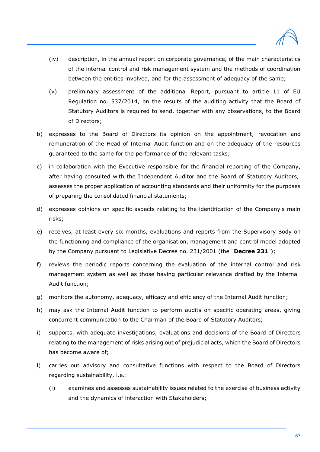

- (iv) description, in the annual report on corporate governance, of the main characteristics of the internal control and risk management system and the methods of coordination between the entities involved, and for the assessment of adequacy of the same;
- (v) preliminary assessment of the additional Report, pursuant to article 11 of EU Regulation no. 537/2014, on the results of the auditing activity that the Board of Statutory Auditors is required to send, together with any observations, to the Board of Directors;
- b) expresses to the Board of Directors its opinion on the appointment, revocation and remuneration of the Head of Internal Audit function and on the adequacy of the resources guaranteed to the same for the performance of the relevant tasks;
- c) in collaboration with the Executive responsible for the financial reporting of the Company, after having consulted with the Independent Auditor and the Board of Statutory Auditors, assesses the proper application of accounting standards and their uniformity for the purposes of preparing the consolidated financial statements;
- d) expresses opinions on specific aspects relating to the identification of the Company's main risks;
- e) receives, at least every six months, evaluations and reports from the Supervisory Body on the functioning and compliance of the organisation, management and control model adopted by the Company pursuant to Legislative Decree no. 231/2001 (the "**Decree 231**");
- f) reviews the periodic reports concerning the evaluation of the internal control and risk management system as well as those having particular relevance drafted by the Internal Audit function;
- g) monitors the autonomy, adequacy, efficacy and efficiency of the Internal Audit function;
- h) may ask the Internal Audit function to perform audits on specific operating areas, giving concurrent communication to the Chairman of the Board of Statutory Auditors;
- i) supports, with adequate investigations, evaluations and decisions of the Board of Directors relating to the management of risks arising out of prejudicial acts, which the Board of Directors has become aware of;
- l) carries out advisory and consultative functions with respect to the Board of Directors regarding sustainability, i.e.:
	- (i) examines and assesses sustainability issues related to the exercise of business activity and the dynamics of interaction with Stakeholders;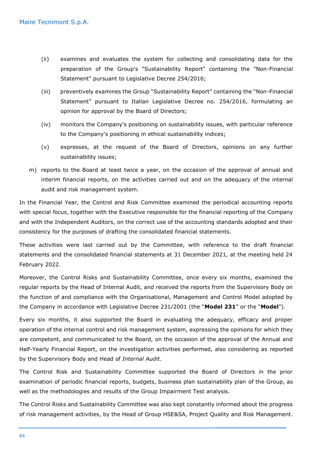- (ii) examines and evaluates the system for collecting and consolidating data for the preparation of the Group's "Sustainability Report" containing the "Non-Financial Statement" pursuant to Legislative Decree 254/2016;
- (iii) preventively examines the Group "Sustainability Report" containing the "Non-Financial Statement" pursuant to Italian Legislative Decree no. 254/2016, formulating an opinion for approval by the Board of Directors;
- (iv) monitors the Company's positioning on sustainability issues, with particular reference to the Company's positioning in ethical sustainability indices;
- (v) expresses, at the request of the Board of Directors, opinions on any further sustainability issues;
- m) reports to the Board at least twice a year, on the occasion of the approval of annual and interim financial reports, on the activities carried out and on the adequacy of the internal audit and risk management system.

In the Financial Year, the Control and Risk Committee examined the periodical accounting reports with special *focus*, together with the Executive responsible for the financial reporting of the Company and with the Independent Auditors, on the correct use of the accounting standards adopted and their consistency for the purposes of drafting the consolidated financial statements.

These activities were last carried out by the Committee, with reference to the draft financial statements and the consolidated financial statements at 31 December 2021, at the meeting held 24 February 2022.

Moreover, the Control Risks and Sustainability Committee, once every six months, examined the regular reports by the Head of Internal Audit, and received the reports from the Supervisory Body on the function of and compliance with the Organisational, Management and Control Model adopted by the Company in accordance with Legislative Decree 231/2001 (the "**Model 231**" or the "**Model**").

Every six months, it also supported the Board in evaluating the adequacy, efficacy and proper operation of the internal control and risk management system, expressing the opinions for which they are competent, and communicated to the Board, on the occasion of the approval of the Annual and Half-Yearly Financial Report, on the investigation activities performed, also considering as reported by the Supervisory Body and Head of *Internal Audit*.

The Control Risk and Sustainability Committee supported the Board of Directors in the prior examination of periodic financial reports, budgets, business plan sustainability plan of the Group, as well as the methodologies and results of the Group Impairment Test analysis.

The Control Risks and Sustainability Committee was also kept constantly informed about the progress of risk management activities, by the Head of Group HSE&SA, Project Quality and Risk Management.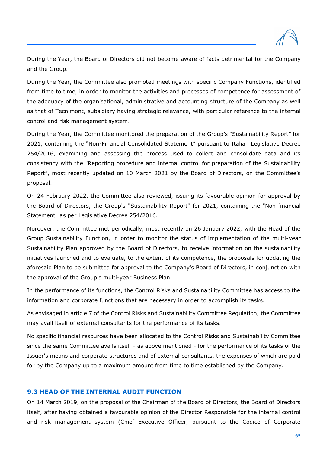

During the Year, the Board of Directors did not become aware of facts detrimental for the Company and the Group.

During the Year, the Committee also promoted meetings with specific Company Functions, identified from time to time, in order to monitor the activities and processes of competence for assessment of the adequacy of the organisational, administrative and accounting structure of the Company as well as that of Tecnimont, subsidiary having strategic relevance, with particular reference to the internal control and risk management system.

During the Year, the Committee monitored the preparation of the Group's "Sustainability Report" for 2021, containing the "Non-Financial Consolidated Statement" pursuant to Italian Legislative Decree 254/2016, examining and assessing the process used to collect and consolidate data and its consistency with the "Reporting procedure and internal control for preparation of the Sustainability Report", most recently updated on 10 March 2021 by the Board of Directors, on the Committee's proposal.

On 24 February 2022, the Committee also reviewed, issuing its favourable opinion for approval by the Board of Directors, the Group's "Sustainability Report" for 2021, containing the "Non-financial Statement" as per Legislative Decree 254/2016.

Moreover, the Committee met periodically, most recently on 26 January 2022, with the Head of the Group Sustainability Function, in order to monitor the status of implementation of the multi-year Sustainability Plan approved by the Board of Directors, to receive information on the sustainability initiatives launched and to evaluate, to the extent of its competence, the proposals for updating the aforesaid Plan to be submitted for approval to the Company's Board of Directors, in conjunction with the approval of the Group's multi-year Business Plan.

In the performance of its functions, the Control Risks and Sustainability Committee has access to the information and corporate functions that are necessary in order to accomplish its tasks.

As envisaged in article 7 of the Control Risks and Sustainability Committee Regulation, the Committee may avail itself of external consultants for the performance of its tasks.

No specific financial resources have been allocated to the Control Risks and Sustainability Committee since the same Committee avails itself - as above mentioned - for the performance of its tasks of the Issuer's means and corporate structures and of external consultants, the expenses of which are paid for by the Company up to a maximum amount from time to time established by the Company.

## **9.3 HEAD OF THE INTERNAL AUDIT FUNCTION**

On 14 March 2019, on the proposal of the Chairman of the Board of Directors, the Board of Directors itself, after having obtained a favourable opinion of the Director Responsible for the internal control and risk management system (Chief Executive Officer, pursuant to the Codice of Corporate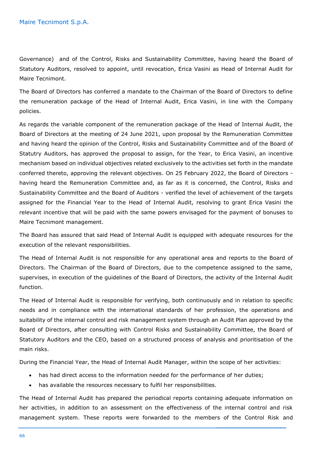Governance) and of the Control, Risks and Sustainability Committee, having heard the Board of Statutory Auditors, resolved to appoint, until revocation, Erica Vasini as Head of Internal Audit for Maire Tecnimont.

The Board of Directors has conferred a mandate to the Chairman of the Board of Directors to define the remuneration package of the Head of Internal Audit, Erica Vasini, in line with the Company policies.

As regards the variable component of the remuneration package of the Head of Internal Audit, the Board of Directors at the meeting of 24 June 2021, upon proposal by the Remuneration Committee and having heard the opinion of the Control, Risks and Sustainability Committee and of the Board of Statutry Auditors, has approved the proposal to assign, for the Year, to Erica Vasini, an incentive mechanism based on individual objectives related exclusively to the activities set forth in the mandate conferred thereto, approving the relevant objectives. On 25 February 2022, the Board of Directors having heard the Remuneration Committee and, as far as it is concerned, the Control, Risks and Sustainability Committee and the Board of Auditors - verified the level of achievement of the targets assigned for the Financial Year to the Head of Internal Audit, resolving to grant Erica Vasini the relevant incentive that will be paid with the same powers envisaged for the payment of bonuses to Maire Tecnimont management.

The Board has assured that said Head of Internal Audit is equipped with adequate resources for the execution of the relevant responsibilities.

The Head of Internal Audit is not responsible for any operational area and reports to the Board of Directors. The Chairman of the Board of Directors, due to the competence assigned to the same, supervises, in execution of the guidelines of the Board of Directors, the activity of the Internal Audit function.

The Head of Internal Audit is responsible for verifying, both continuously and in relation to specific needs and in compliance with the international standards of her profession, the operations and suitability of the internal control and risk management system through an Audit Plan approved by the Board of Directors, after consulting with Control Risks and Sustainability Committee, the Board of Statutory Auditors and the CEO, based on a structured process of analysis and prioritisation of the main risks.

During the Financial Year, the Head of Internal Audit Manager, within the scope of her activities:

- has had direct access to the information needed for the performance of her duties;
- has available the resources necessary to fulfil her responsibilities.

The Head of Internal Audit has prepared the periodical reports containing adequate information on her activities, in addition to an assessment on the effectiveness of the internal control and risk management system. These reports were forwarded to the members of the Control Risk and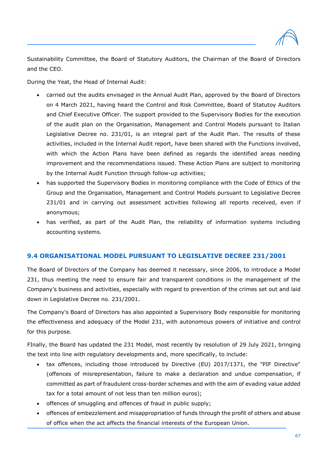

Sustainability Committee, the Board of Statutory Auditors, the Chairman of the Board of Directors and the CEO.

During the Yeat, the Head of Internal Audit:

- carried out the audits envisaged in the Annual Audit Plan, approved by the Board of Directors on 4 March 2021, having heard the Control and Risk Committee, Board of Statutoy Auditors and Chief Executive Officer. The support provided to the Supervisory Bodies for the execution of the audit plan on the Organisation, Management and Control Models pursuant to Italian Legislative Decree no. 231/01, is an integral part of the Audit Plan. The results of these activities, included in the Internal Audit report, have been shared with the Functions involved, with which the Action Plans have been defined as regards the identified areas needing improvement and the recommendations issued. These Action Plans are subject to monitoring by the Internal Audit Function through follow-up activities;
- has supported the Supervisory Bodies in monitoring compliance with the Code of Ethics of the Group and the Organisation, Management and Control Models pursuant to Legislative Decree 231/01 and in carrying out assessment activities following all reports received, even if anonymous;
- has verified, as part of the Audit Plan, the reliability of information systems including accounting systems.

## **9.4 ORGANISATIONAL MODEL PURSUANT TO LEGISLATIVE DECREE 231/2001**

The Board of Directors of the Company has deemed it necessary, since 2006, to introduce a Model 231, thus meeting the need to ensure fair and transparent conditions in the management of the Company's business and activities, especially with regard to prevention of the crimes set out and laid down in Legislative Decree no. 231/2001.

The Company's Board of Directors has also appointed a Supervisory Body responsible for monitoring the effectiveness and adequacy of the Model 231, with autonomous powers of initiative and control for this purpose.

FInally, the Board has updated the 231 Model, most recently by resolution of 29 July 2021, bringing the text into line with regulatory developments and, more specifically, to include:

- tax offences, including those introduced by Directive (EU) 2017/1371, the "PIF Directive" (offences of misrepresentation, failure to make a declaration and undue compensation, if committed as part of fraudulent cross-border schemes and with the aim of evading value added tax for a total amount of not less than ten million euros);
- offences of smuggling and offences of fraud in public supply;
- offences of embezzlement and misappropriation of funds through the profit of others and abuse of office when the act affects the financial interests of the European Union.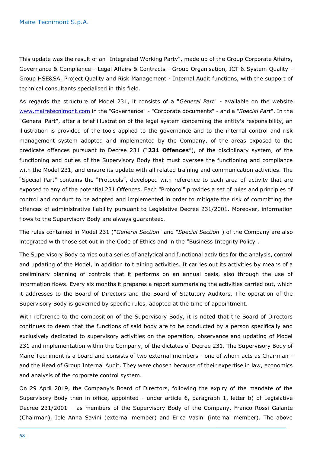This update was the result of an "Integrated Working Party", made up of the Group Corporate Affairs, Governance & Compliance - Legal Affairs & Contracts - Group Organisation, ICT & System Quality - Group HSE&SA, Project Quality and Risk Management - Internal Audit functions, with the support of technical consultants specialised in this field.

As regards the structure of Model 231, it consists of a "*General Part*" - available on the website [www.mairetecnimont.com](http://www.mairetecnimont.com/) in the "Governance" - "Corporate documents" - and a "*Special Part*". In the "General Part", after a brief illustration of the legal system concerning the entity's responsibility, an illustration is provided of the tools applied to the governance and to the internal control and risk management system adopted and implemented by the Company, of the areas exposed to the predicate offences pursuant to Decree 231 ("**231 Offences**"), of the disciplinary system, of the functioning and duties of the Supervisory Body that must oversee the functioning and compliance with the Model 231, and ensure its update with all related training and communication activities. The "Special Part" contains the "Protocols", developed with reference to each area of activity that are exposed to any of the potential 231 Offences. Each "Protocol" provides a set of rules and principles of control and conduct to be adopted and implemented in order to mitigate the risk of committing the offences of administrative liability pursuant to Legislative Decree 231/2001. Moreover, information flows to the Supervisory Body are always guaranteed.

The rules contained in Model 231 ("*General Section*" and "*Special Section*") of the Company are also integrated with those set out in the Code of Ethics and in the "Business Integrity Policy".

The Supervisory Body carries out a series of analytical and functional activities for the analysis, control and updating of the Model, in addition to training activities. It carries out its activities by means of a preliminary planning of controls that it performs on an annual basis, also through the use of information flows. Every six months it prepares a report summarising the activities carried out, which it addresses to the Board of Directors and the Board of Statutory Auditors. The operation of the Supervisory Body is governed by specific rules, adopted at the time of appointment.

With reference to the composition of the Supervisory Body, it is noted that the Board of Directors continues to deem that the functions of said body are to be conducted by a person specifically and exclusively dedicated to supervisory activities on the operation, observance and updating of Model 231 and implementation within the Company, of the dictates of Decree 231. The Supervisory Body of Maire Tecnimont is a board and consists of two external members - one of whom acts as Chairman and the Head of Group Internal Audit. They were chosen because of their expertise in law, economics and analysis of the corporate control system.

On 29 April 2019, the Company's Board of Directors, following the expiry of the mandate of the Supervisory Body then in office, appointed - under article 6, paragraph 1, letter b) of Legislative Decree 231/2001 – as members of the Supervisory Body of the Company, Franco Rossi Galante (Chairman), Iole Anna Savini (external member) and Erica Vasini (internal member). The above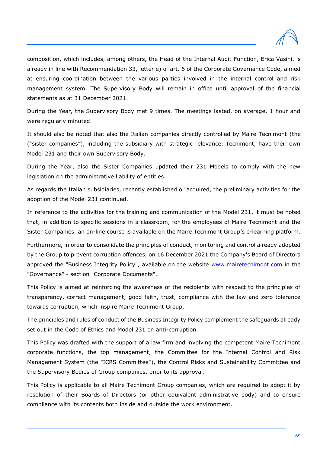

composition, which includes, among others, the Head of the Internal Audit Function, Erica Vasini, is already in line with Recommendation 33, letter e) of art. 6 of the Corporate Governance Code, aimed at ensuring coordination between the various parties involved in the internal control and risk management system. The Supervisory Body will remain in office until approval of the financial statements as at 31 December 2021.

During the Year, the Supervisory Body met 9 times. The meetings lasted, on average, 1 hour and were regularly minuted.

It should also be noted that also the Italian companies directly controlled by Maire Tecnimont (the ("sister companies"), including the subsidiary with strategic relevance, Tecnimont, have their own Model 231 and their own Supervisory Body.

During the Year, also the Sister Companies updated their 231 Models to comply with the new legislation on the administrative liability of entities.

As regards the Italian subsidiaries, recently established or acquired, the preliminary activities for the adoption of the Model 231 continued.

In reference to the activities for the training and communication of the Model 231, it must be noted that, in addition to specific sessions in a classroom, for the employees of Maire Tecnimont and the Sister Companies, an on-line course is available on the Maire Tecnimont Group's e-learning platform.

Furthermore, in order to consolidate the principles of conduct, monitoring and control already adopted by the Group to prevent corruption offences, on 16 December 2021 the Company's Board of Directors approved the "Business Integrity Policy", available on the website [www.mairetecnimont.com](http://www.mairetecnimont.com/) in the "Governance" - section "Corporate Documents".

This Policy is aimed at reinforcing the awareness of the recipients with respect to the principles of transparency, correct management, good faith, trust, compliance with the law and zero tolerance towards corruption, which inspire Maire Tecnimont Group.

The principles and rules of conduct of the Business Integrity Policy complement the safeguards already set out in the Code of Ethics and Model 231 on anti-corruption.

This Policy was drafted with the support of a law firm and involving the competent Maire Tecnimont corporate functions, the top management, the Committee for the Internal Control and Risk Management System (the "ICRS Committee"), the Control Risks and Sustainability Committee and the Supervisory Bodies of Group companies, prior to its approval.

This Policy is applicable to all Maire Tecnimont Group companies, which are required to adopt it by resolution of their Boards of Directors (or other equivalent administrative body) and to ensure compliance with its contents both inside and outside the work environment.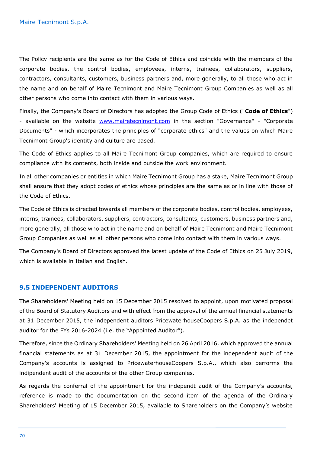The Policy recipients are the same as for the Code of Ethics and coincide with the members of the corporate bodies, the control bodies, employees, interns, trainees, collaborators, suppliers, contractors, consultants, customers, business partners and, more generally, to all those who act in the name and on behalf of Maire Tecnimont and Maire Tecnimont Group Companies as well as all other persons who come into contact with them in various ways.

Finally, the Company's Board of Directors has adopted the Group Code of Ethics ("**Code of Ethics**") - available on the website [www.mairetecnimont.com](http://www.mairetecnimont.com/) in the section "Governance" - "Corporate Documents" - which incorporates the principles of "corporate ethics" and the values on which Maire Tecnimont Group's identity and culture are based.

The Code of Ethics applies to all Maire Tecnimont Group companies, which are required to ensure compliance with its contents, both inside and outside the work environment.

In all other companies or entities in which Maire Tecnimont Group has a stake, Maire Tecnimont Group shall ensure that they adopt codes of ethics whose principles are the same as or in line with those of the Code of Ethics.

The Code of Ethics is directed towards all members of the corporate bodies, control bodies, employees, interns, trainees, collaborators, suppliers, contractors, consultants, customers, business partners and, more generally, all those who act in the name and on behalf of Maire Tecnimont and Maire Tecnimont Group Companies as well as all other persons who come into contact with them in various ways.

The Company's Board of Directors approved the latest update of the Code of Ethics on 25 July 2019, which is available in Italian and English.

#### **9.5 INDEPENDENT AUDITORS**

The Shareholders' Meeting held on 15 December 2015 resolved to appoint, upon motivated proposal of the Board of Statutory Auditors and with effect from the approval of the annual financial statements at 31 December 2015, the independent auditors PricewaterhouseCoopers S.p.A. as the independet auditor for the FYs 2016-2024 (i.e. the "Appointed Auditor").

Therefore, since the Ordinary Shareholders' Meeting held on 26 April 2016, which approved the annual financial statements as at 31 December 2015, the appointment for the independent audit of the Company's accounts is assigned to PricewaterhouseCoopers S.p.A., which also performs the indipendent audit of the accounts of the other Group companies.

As regards the conferral of the appointment for the independt audit of the Company's accounts, reference is made to the documentation on the second item of the agenda of the Ordinary Shareholders' Meeting of 15 December 2015, available to Shareholders on the Company's website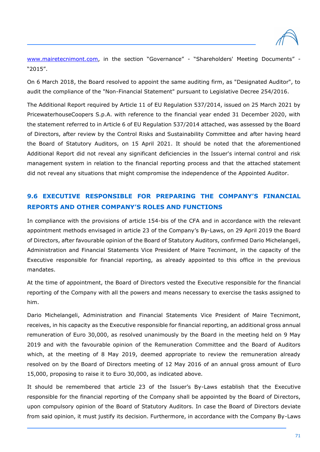

[www.mairetecnimont.com](http://www.mairetecnimont.com/), in the section "Governance" - "Shareholders' Meeting Documents" -"2015".

On 6 March 2018, the Board resolved to appoint the same auditing firm, as "Designated Auditor", to audit the compliance of the "Non-Financial Statement" pursuant to Legislative Decree 254/2016.

The Additional Report required by Article 11 of EU Regulation 537/2014, issued on 25 March 2021 by PricewaterhouseCoopers S.p.A. with reference to the financial year ended 31 December 2020, with the statement referred to in Article 6 of EU Regulation 537/2014 attached, was assessed by the Board of Directors, after review by the Control Risks and Sustainability Committee and after having heard the Board of Statutory Auditors, on 15 April 2021. It should be noted that the aforementioned Additional Report did not reveal any significant deficiencies in the Issuer's internal control and risk management system in relation to the financial reporting process and that the attached statement did not reveal any situations that might compromise the independence of the Appointed Auditor.

# **9.6 EXECUTIVE RESPONSIBLE FOR PREPARING THE COMPANY'S FINANCIAL REPORTS AND OTHER COMPANY'S ROLES AND FUNCTIONS**

In compliance with the provisions of article 154-bis of the CFA and in accordance with the relevant appointment methods envisaged in article 23 of the Company's By-Laws, on 29 April 2019 the Board of Directors, after favourable opinion of the Board of Statutory Auditors, confirmed Dario Michelangeli, Administration and Financial Statements Vice President of Maire Tecnimont, in the capacity of the Executive responsible for financial reporting, as already appointed to this office in the previous mandates.

At the time of appointment, the Board of Directors vested the Executive responsible for the financial reporting of the Company with all the powers and means necessary to exercise the tasks assigned to him.

Dario Michelangeli, Administration and Financial Statements Vice President of Maire Tecnimont, receives, in his capacity as the Executive responsible for financial reporting, an additional gross annual remuneration of Euro 30,000, as resolved unanimously by the Board in the meeting held on 9 May 2019 and with the favourable opinion of the Remuneration Committee and the Board of Auditors which, at the meeting of 8 May 2019, deemed appropriate to review the remuneration already resolved on by the Board of Directors meeting of 12 May 2016 of an annual gross amount of Euro 15,000, proposing to raise it to Euro 30,000, as indicated above.

It should be remembered that article 23 of the Issuer's By-Laws establish that the Executive responsible for the financial reporting of the Company shall be appointed by the Board of Directors, upon compulsory opinion of the Board of Statutory Auditors. In case the Board of Directors deviate from said opinion, it must justify its decision. Furthermore, in accordance with the Company By-Laws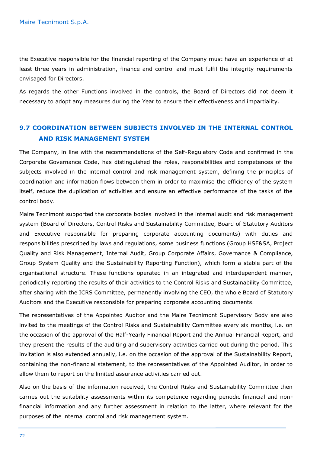the Executive responsible for the financial reporting of the Company must have an experience of at least three years in administration, finance and control and must fulfil the integrity requirements envisaged for Directors.

As regards the other Functions involved in the controls, the Board of Directors did not deem it necessary to adopt any measures during the Year to ensure their effectiveness and impartiality.

# **9.7 COORDINATION BETWEEN SUBJECTS INVOLVED IN THE INTERNAL CONTROL AND RISK MANAGEMENT SYSTEM**

The Company, in line with the recommendations of the Self-Regulatory Code and confirmed in the Corporate Governance Code, has distinguished the roles, responsibilities and competences of the subjects involved in the internal control and risk management system, defining the principles of coordination and information flows between them in order to maximise the efficiency of the system itself, reduce the duplication of activities and ensure an effective performance of the tasks of the control body.

Maire Tecnimont supported the corporate bodies involved in the internal audit and risk management system (Board of Directors, Control Risks and Sustainability Committee, Board of Statutory Auditors and Executive responsible for preparing corporate accounting documents) with duties and responsibilities prescribed by laws and regulations, some business functions (Group HSE&SA, Project Quality and Risk Management, Internal Audit, Group Corporate Affairs, Governance & Compliance, Group System Quality and the Sustainability Reporting Function), which form a stable part of the organisational structure. These functions operated in an integrated and interdependent manner, periodically reporting the results of their activities to the Control Risks and Sustainability Committee, after sharing with the ICRS Committee, permanently involving the CEO, the whole Board of Statutory Auditors and the Executive responsible for preparing corporate accounting documents.

The representatives of the Appointed Auditor and the Maire Tecnimont Supervisory Body are also invited to the meetings of the Control Risks and Sustainability Committee every six months, i.e. on the occasion of the approval of the Half-Yearly Financial Report and the Annual Financial Report, and they present the results of the auditing and supervisory activities carried out during the period. This invitation is also extended annually, i.e. on the occasion of the approval of the Sustainability Report, containing the non-financial statement, to the representatives of the Appointed Auditor, in order to allow them to report on the limited assurance activities carried out.

Also on the basis of the information received, the Control Risks and Sustainability Committee then carries out the suitability assessments within its competence regarding periodic financial and nonfinancial information and any further assessment in relation to the latter, where relevant for the purposes of the internal control and risk management system.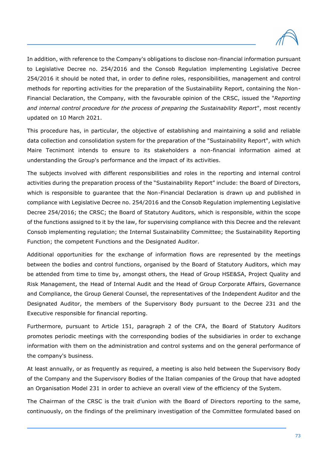

In addition, with reference to the Company's obligations to disclose non-financial information pursuant to Legislative Decree no. 254/2016 and the Consob Regulation implementing Legislative Decree 254/2016 it should be noted that, in order to define roles, responsibilities, management and control methods for reporting activities for the preparation of the Sustainability Report, containing the Non-Financial Declaration, the Company, with the favourable opinion of the CRSC, issued the "*Reporting and internal control procedure for the process of preparing the Sustainability Report*", most recently updated on 10 March 2021.

This procedure has, in particular, the objective of establishing and maintaining a solid and reliable data collection and consolidation system for the preparation of the "Sustainability Report", with which Maire Tecnimont intends to ensure to its stakeholders a non-financial information aimed at understanding the Group's performance and the impact of its activities.

The subjects involved with different responsibilities and roles in the reporting and internal control activities during the preparation process of the "Sustainability Report" include: the Board of Directors, which is responsible to guarantee that the Non-Financial Declaration is drawn up and published in compliance with Legislative Decree no. 254/2016 and the Consob Regulation implementing Legislative Decree 254/2016; the CRSC; the Board of Statutory Auditors, which is responsible, within the scope of the functions assigned to it by the law, for supervising compliance with this Decree and the relevant Consob implementing regulation; the Internal Sustainability Committee; the Sustainability Reporting Function; the competent Functions and the Designated Auditor.

Additional opportunities for the exchange of information flows are represented by the meetings between the bodies and control functions, organised by the Board of Statutory Auditors, which may be attended from time to time by, amongst others, the Head of Group HSE&SA, Project Quality and Risk Management, the Head of Internal Audit and the Head of Group Corporate Affairs, Governance and Compliance, the Group General Counsel, the representatives of the Independent Auditor and the Designated Auditor, the members of the Supervisory Body pursuant to the Decree 231 and the Executive responsible for financial reporting.

Furthermore, pursuant to Article 151, paragraph 2 of the CFA, the Board of Statutory Auditors promotes periodic meetings with the corresponding bodies of the subsidiaries in order to exchange information with them on the administration and control systems and on the general performance of the company's business.

At least annually, or as frequently as required, a meeting is also held between the Supervisory Body of the Company and the Supervisory Bodies of the Italian companies of the Group that have adopted an Organisation Model 231 in order to achieve an overall view of the efficiency of the System.

The Chairman of the CRSC is the trait d'union with the Board of Directors reporting to the same, continuously, on the findings of the preliminary investigation of the Committee formulated based on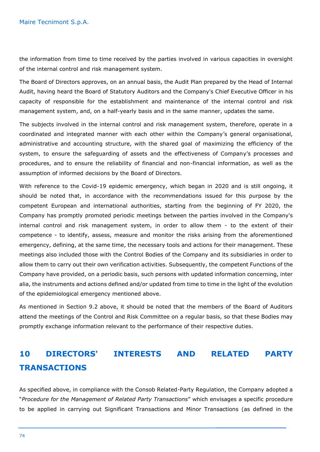the information from time to time received by the parties involved in various capacities in oversight of the internal control and risk management system.

The Board of Directors approves, on an annual basis, the Audit Plan prepared by the Head of Internal Audit, having heard the Board of Statutory Auditors and the Company's Chief Executive Officer in his capacity of responsible for the establishment and maintenance of the internal control and risk management system, and, on a half-yearly basis and in the same manner, updates the same.

The subjects involved in the internal control and risk management system, therefore, operate in a coordinated and integrated manner with each other within the Company's general organisational, administrative and accounting structure, with the shared goal of maximizing the efficiency of the system, to ensure the safeguarding of assets and the effectiveness of Company's processes and procedures, and to ensure the reliability of financial and non-financial information, as well as the assumption of informed decisions by the Board of Directors.

With reference to the Covid-19 epidemic emergency, which began in 2020 and is still ongoing, it should be noted that, in accordance with the recommendations issued for this purpose by the competent European and international authorities, starting from the beginning of FY 2020, the Company has promptly promoted periodic meetings between the parties involved in the Company's internal control and risk management system, in order to allow them - to the extent of their competence - to identify, assess, measure and monitor the risks arising from the aforementioned emergency, defining, at the same time, the necessary tools and actions for their management. These meetings also included those with the Control Bodies of the Company and its subsidiaries in order to allow them to carry out their own verification activities. Subsequently, the competent Functions of the Company have provided, on a periodic basis, such persons with updated information concerning, inter alia, the instruments and actions defined and/or updated from time to time in the light of the evolution of the epidemiological emergency mentioned above.

As mentioned in Section 9.2 above, it should be noted that the members of the Board of Auditors attend the meetings of the Control and Risk Committee on a regular basis, so that these Bodies may promptly exchange information relevant to the performance of their respective duties.

# **10 DIRECTORS' INTERESTS AND RELATED PARTY TRANSACTIONS**

As specified above, in compliance with the Consob Related-Party Regulation, the Company adopted a "*Procedure for the Management of Related Party Transactions*" which envisages a specific procedure to be applied in carrying out Significant Transactions and Minor Transactions (as defined in the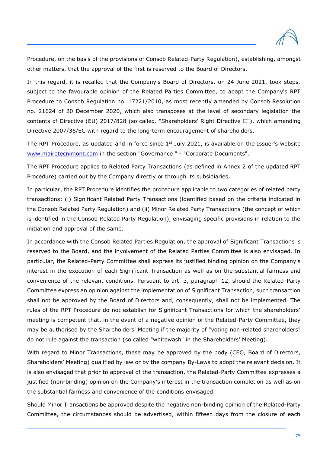

Procedure, on the basis of the provisions of Consob Related-Party Regulation), establishing, amongst other matters, that the approval of the first is reserved to the Board of Directors.

In this regard, it is recalled that the Company's Board of Directors, on 24 June 2021, took steps, subject to the favourable opinion of the Related Parties Committee, to adapt the Company's RPT Procedure to Consob Regulation no. 17221/2010, as most recently amended by Consob Resolution no. 21624 of 20 December 2020, which also transposes at the level of secondary legislation the contents of Directive (EU) 2017/828 (so called. "Shareholders' Right Directive II"), which amending Directive 2007/36/EC with regard to the long-term encouragement of shareholders.

The RPT Procedure, as updated and in force since  $1<sup>st</sup>$  July 2021, is available on the Issuer's website [www.mairetecnimont.com](http://www.mairetecnimont.com/) in the section "Governance " - "Corporate Documents".

The RPT Procedure applies to Related Party Transactions (as defined in Annex 2 of the updated RPT Procedure) carried out by the Company directly or through its subsidiaries.

In particular, the RPT Procedure identifies the procedure applicable to two categories of related party transactions: (i) Significant Related Party Transactions (identified based on the criteria indicated in the Consob Related Party Regulation) and (ii) Minor Related Party Transactions (the concept of which is identified in the Consob Related Party Regulation), envisaging specific provisions in relation to the initiation and approval of the same.

In accordance with the Consob Related Parties Regulation, the approval of Significant Transactions is reserved to the Board, and the involvement of the Related Parties Committee is also envisaged. In particular, the Related-Party Committee shall express its justified binding opinion on the Company's interest in the execution of each Significant Transaction as well as on the substantial fairness and convenience of the relevant conditions. Pursuant to art. 3, paragraph 12, should the Related-Party Committee express an opinion against the implementation of Significant Transaction, such transaction shall not be approved by the Board of Directors and, consequently, shall not be implemented. The rules of the RPT Procedure do not establish for Significant Transactions for which the shareholders' meeting is competent that, in the event of a negative opinion of the Related-Party Committee, they may be authorised by the Shareholders' Meeting if the majority of "voting non-related shareholders" do not rule against the transaction (so called "whitewash" in the Shareholders' Meeting).

With regard to Minor Transactions, these may be approved by the body (CEO, Board of Directors, Shareholders' Meeting) qualified by law or by the company By-Laws to adopt the relevant decision. It is also envisaged that prior to approval of the transaction, the Related-Party Committee expresses a justified (non-binding) opinion on the Company's interest in the transaction completion as well as on the substantial fairness and convenience of the conditions envisaged.

Should Minor Transactions be approved despite the negative non-binding opinion of the Related-Party Committee, the circumstances should be advertised, within fifteen days from the closure of each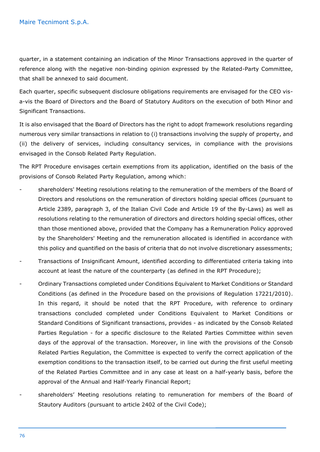quarter, in a statement containing an indication of the Minor Transactions approved in the quarter of reference along with the negative non-binding opinion expressed by the Related-Party Committee, that shall be annexed to said document.

Each quarter, specific subsequent disclosure obligations requirements are envisaged for the CEO visa-vis the Board of Directors and the Board of Statutory Auditors on the execution of both Minor and Significant Transactions.

It is also envisaged that the Board of Directors has the right to adopt framework resolutions regarding numerous very similar transactions in relation to (i) transactions involving the supply of property, and (ii) the delivery of services, including consultancy services, in compliance with the provisions envisaged in the Consob Related Party Regulation.

The RPT Procedure envisages certain exemptions from its application, identified on the basis of the provisions of Consob Related Party Regulation, among which:

- shareholders' Meeting resolutions relating to the remuneration of the members of the Board of Directors and resolutions on the remuneration of directors holding special offices (pursuant to Article 2389, paragraph 3, of the Italian Civil Code and Article 19 of the By-Laws) as well as resolutions relating to the remuneration of directors and directors holding special offices, other than those mentioned above, provided that the Company has a Remuneration Policy approved by the Shareholders' Meeting and the remuneration allocated is identified in accordance with this policy and quantified on the basis of criteria that do not involve discretionary assessments;
- Transactions of Insignificant Amount, identified according to differentiated criteria taking into account at least the nature of the counterparty (as defined in the RPT Procedure);
- Ordinary Transactions completed under Conditions Equivalent to Market Conditions or Standard Conditions (as defined in the Procedure based on the provisions of Regulation 17221/2010). In this regard, it should be noted that the RPT Procedure, with reference to ordinary transactions concluded completed under Conditions Equivalent to Market Conditions or Standard Conditions of Significant transactions, provides - as indicated by the Consob Related Parties Regulation - for a specific disclosure to the Related Parties Committee within seven days of the approval of the transaction. Moreover, in line with the provisions of the Consob Related Parties Regulation, the Committee is expected to verify the correct application of the exemption conditions to the transaction itself, to be carried out during the first useful meeting of the Related Parties Committee and in any case at least on a half-yearly basis, before the approval of the Annual and Half-Yearly Financial Report;
- shareholders' Meeting resolutions relating to remuneration for members of the Board of Stautory Auditors (pursuant to article 2402 of the Civil Code);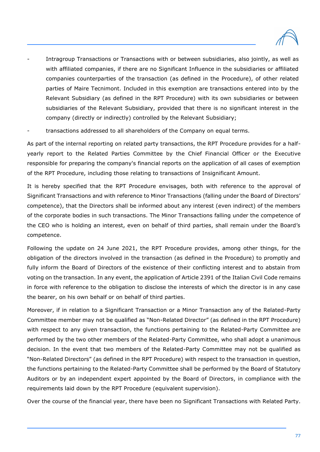

- Intragroup Transactions or Transactions with or between subsidiaries, also jointly, as well as with affiliated companies, if there are no Significant Influence in the subsidiaries or affiliated companies counterparties of the transaction (as defined in the Procedure), of other related parties of Maire Tecnimont. Included in this exemption are transactions entered into by the Relevant Subsidiary (as defined in the RPT Procedure) with its own subsidiaries or between subsidiaries of the Relevant Subsidiary, provided that there is no significant interest in the company (directly or indirectly) controlled by the Relevant Subsidiary;
- transactions addressed to all shareholders of the Company on equal terms.

As part of the internal reporting on related party transactions, the RPT Procedure provides for a halfyearly report to the Related Parties Committee by the Chief Financial Officer or the Executive responsible for preparing the company's financial reports on the application of all cases of exemption of the RPT Procedure, including those relating to transactions of Insignificant Amount.

It is hereby specified that the RPT Procedure envisages, both with reference to the approval of Significant Transactions and with reference to Minor Transactions (falling under the Board of Directors' competence), that the Directors shall be informed about any interest (even indirect) of the members of the corporate bodies in such transactions. The Minor Transactions falling under the competence of the CEO who is holding an interest, even on behalf of third parties, shall remain under the Board's competence.

Following the update on 24 June 2021, the RPT Procedure provides, among other things, for the obligation of the directors involved in the transaction (as defined in the Procedure) to promptly and fully inform the Board of Directors of the existence of their conflicting interest and to abstain from voting on the transaction. In any event, the application of Article 2391 of the Italian Civil Code remains in force with reference to the obligation to disclose the interests of which the director is in any case the bearer, on his own behalf or on behalf of third parties.

Moreover, if in relation to a Significant Transaction or a Minor Transaction any of the Related-Party Committee member may not be qualified as "Non-Related Director" (as defined in the RPT Procedure) with respect to any given transaction, the functions pertaining to the Related-Party Committee are performed by the two other members of the Related-Party Committee, who shall adopt a unanimous decision. In the event that two members of the Related-Party Committee may not be qualified as "Non-Related Directors" (as defined in the RPT Procedure) with respect to the transaction in question, the functions pertaining to the Related-Party Committee shall be performed by the Board of Statutory Auditors or by an independent expert appointed by the Board of Directors, in compliance with the requirements laid down by the RPT Procedure (equivalent supervision).

Over the course of the financial year, there have been no Significant Transactions with Related Party.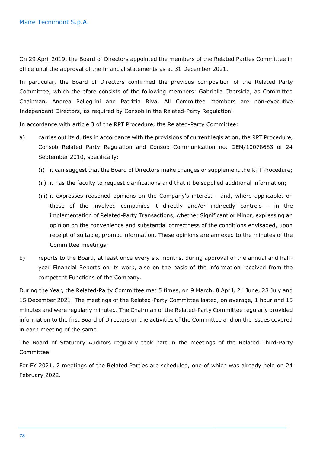On 29 April 2019, the Board of Directors appointed the members of the Related Parties Committee in office until the approval of the financial statements as at 31 December 2021.

In particular, the Board of Directors confirmed the previous composition of the Related Party Committee, which therefore consists of the following members: Gabriella Chersicla, as Committee Chairman, Andrea Pellegrini and Patrizia Riva. All Committee members are non-executive Independent Directors, as required by Consob in the Related-Party Regulation.

In accordance with article 3 of the RPT Procedure, the Related-Party Committee:

- a) carries out its duties in accordance with the provisions of current legislation, the RPT Procedure, Consob Related Party Regulation and Consob Communication no. DEM/10078683 of 24 September 2010, specifically:
	- (i) it can suggest that the Board of Directors make changes or supplement the RPT Procedure;
	- (ii) it has the faculty to request clarifications and that it be supplied additional information;
	- (iii) it expresses reasoned opinions on the Company's interest and, where applicable, on those of the involved companies it directly and/or indirectly controls - in the implementation of Related-Party Transactions, whether Significant or Minor, expressing an opinion on the convenience and substantial correctness of the conditions envisaged, upon receipt of suitable, prompt information. These opinions are annexed to the minutes of the Committee meetings;
- b) reports to the Board, at least once every six months, during approval of the annual and halfyear Financial Reports on its work, also on the basis of the information received from the competent Functions of the Company.

During the Year, the Related-Party Committee met 5 times, on 9 March, 8 April, 21 June, 28 July and 15 December 2021. The meetings of the Related-Party Committee lasted, on average, 1 hour and 15 minutes and were regularly minuted. The Chairman of the Related-Party Committee regularly provided information to the first Board of Directors on the activities of the Committee and on the issues covered in each meeting of the same.

The Board of Statutory Auditors regularly took part in the meetings of the Related Third-Party Committee.

For FY 2021, 2 meetings of the Related Parties are scheduled, one of which was already held on 24 February 2022.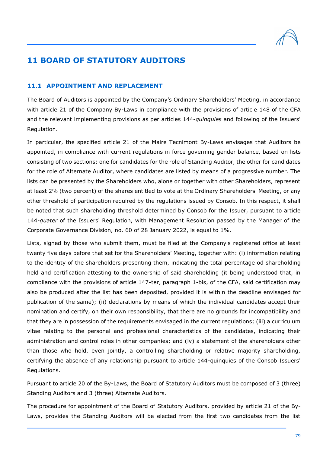

## **11 BOARD OF STATUTORY AUDITORS**

### **11.1 APPOINTMENT AND REPLACEMENT**

The Board of Auditors is appointed by the Company's Ordinary Shareholders' Meeting, in accordance with article 21 of the Company By-Laws in compliance with the provisions of article 148 of the CFA and the relevant implementing provisions as per articles 144-*quinquies* and following of the Issuers' Regulation.

In particular, the specified article 21 of the Maire Tecnimont By-Laws envisages that Auditors be appointed, in compliance with current regulations in force governing gender balance, based on lists consisting of two sections: one for candidates for the role of Standing Auditor, the other for candidates for the role of Alternate Auditor, where candidates are listed by means of a progressive number. The lists can be presented by the Shareholders who, alone or together with other Shareholders, represent at least 2% (two percent) of the shares entitled to vote at the Ordinary Shareholders' Meeting, or any other threshold of participation required by the regulations issued by Consob. In this respect, it shall be noted that such shareholding threshold determined by Consob for the Issuer, pursuant to article 144-*quater* of the Issuers' Regulation, with Management Resolution passed by the Manager of the Corporate Governance Division, no. 60 of 28 January 2022, is equal to 1%.

Lists, signed by those who submit them, must be filed at the Company's registered office at least twenty five days before that set for the Shareholders' Meeting, together with: (i) information relating to the identity of the shareholders presenting them, indicating the total percentage od shareholding held and certification attesting to the ownership of said shareholding (it being understood that, in compliance with the provisions of article 147-ter, paragraph 1-bis, of the CFA, said certification may also be produced after the list has been deposited, provided it is within the deadline envisaged for publication of the same); (ii) declarations by means of which the individual candidates accept their nomination and certify, on their own responsibility, that there are no grounds for incompatibility and that they are in possession of the requirements envisaged in the current regulations; (iii) a curriculum vitae relating to the personal and professional characteristics of the candidates, indicating their administration and control roles in other companies; and (iv) a statement of the shareholders other than those who hold, even jointly, a controlling shareholding or relative majority shareholding, certifying the absence of any relationship pursuant to article 144-quinquies of the Consob Issuers' Regulations.

Pursuant to article 20 of the By-Laws, the Board of Statutory Auditors must be composed of 3 (three) Standing Auditors and 3 (three) Alternate Auditors.

The procedure for appointment of the Board of Statutory Auditors, provided by article 21 of the By-Laws, provides the Standing Auditors will be elected from the first two candidates from the list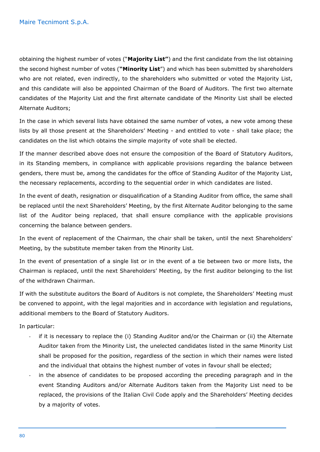obtaining the highest number of votes ("**Majority List"**) and the first candidate from the list obtaining the second highest number of votes (**"Minority List**") and which has been submitted by shareholders who are not related, even indirectly, to the shareholders who submitted or voted the Majority List, and this candidate will also be appointed Chairman of the Board of Auditors. The first two alternate candidates of the Majority List and the first alternate candidate of the Minority List shall be elected Alternate Auditors;

In the case in which several lists have obtained the same number of votes, a new vote among these lists by all those present at the Shareholders' Meeting - and entitled to vote - shall take place; the candidates on the list which obtains the simple majority of vote shall be elected.

If the manner described above does not ensure the composition of the Board of Statutory Auditors, in its Standing members, in compliance with applicable provisions regarding the balance between genders, there must be, among the candidates for the office of Standing Auditor of the Majority List, the necessary replacements, according to the sequential order in which candidates are listed.

In the event of death, resignation or disqualification of a Standing Auditor from office, the same shall be replaced until the next Shareholders' Meeting, by the first Alternate Auditor belonging to the same list of the Auditor being replaced, that shall ensure compliance with the applicable provisions concerning the balance between genders.

In the event of replacement of the Chairman, the chair shall be taken, until the next Shareholders' Meeting, by the substitute member taken from the Minority List.

In the event of presentation of a single list or in the event of a tie between two or more lists, the Chairman is replaced, until the next Shareholders' Meeting, by the first auditor belonging to the list of the withdrawn Chairman.

If with the substitute auditors the Board of Auditors is not complete, the Shareholders' Meeting must be convened to appoint, with the legal majorities and in accordance with legislation and regulations, additional members to the Board of Statutory Auditors.

In particular:

- if it is necessary to replace the (i) Standing Auditor and/or the Chairman or (ii) the Alternate Auditor taken from the Minority List, the unelected candidates listed in the same Minority List shall be proposed for the position, regardless of the section in which their names were listed and the individual that obtains the highest number of votes in favour shall be elected;
- in the absence of candidates to be proposed according the preceding paragraph and in the event Standing Auditors and/or Alternate Auditors taken from the Majority List need to be replaced, the provisions of the Italian Civil Code apply and the Shareholders' Meeting decides by a majority of votes.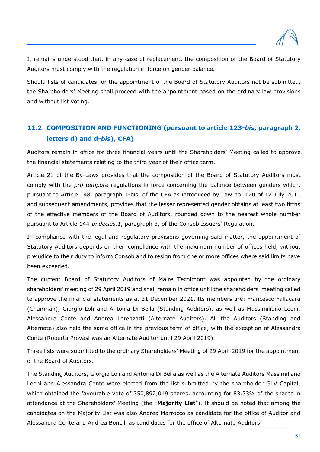

It remains understood that, in any case of replacement, the composition of the Board of Statutory Auditors must comply with the regulation in force on gender balance.

Should lists of candidates for the appointment of the Board of Statutory Auditors not be submitted, the Shareholders' Meeting shall proceed with the appointment based on the ordinary law provisions and without list voting.

### **11.2 COMPOSITION AND FUNCTIONING (pursuant to article 123-***bis***, paragraph 2, letters d) and d-***bis***), CFA)**

Auditors remain in office for three financial years until the Shareholders' Meeting called to approve the financial statements relating to the third year of their office term.

Article 21 of the By-Laws provides that the composition of the Board of Statutory Auditors must comply with the *pro tempore* regulations in force concerning the balance between genders which, pursuant to Article 148, paragraph 1-bis, of the CFA as introduced by Law no. 120 of 12 July 2011 and subsequent amendments, provides that the lesser represented gender obtains at least two fifths of the effective members of the Board of Auditors, rounded down to the nearest whole number pursuant to Article 144-*undecies.1*, paragraph 3, of the Consob Issuers' Regulation.

In compliance with the legal and regulatory provisions governing said matter, the appointment of Statutory Auditors depends on their compliance with the maximum number of offices held, without prejudice to their duty to inform Consob and to resign from one or more offices where said limits have been exceeded.

The current Board of Statutory Auditors of Maire Tecnimont was appointed by the ordinary shareholders' meeting of 29 April 2019 and shall remain in office until the shareholders' meeting called to approve the financial statements as at 31 December 2021. Its members are: Francesco Fallacara (Chairman), Giorgio Loli and Antonia Di Bella (Standing Auditors), as well as Massimiliano Leoni, Alessandra Conte and Andrea Lorenzatti (Alternate Auditors). All the Auditors (Standing and Alternate) also held the same office in the previous term of office, with the exception of Alessandra Conte (Roberta Provasi was an Alternate Auditor until 29 April 2019).

Three lists were submitted to the ordinary Shareholders' Meeting of 29 April 2019 for the appointment of the Board of Auditors.

The Standing Auditors, Giorgio Loli and Antonia Di Bella as well as the Alternate Auditors Massimiliano Leoni and Alessandra Conte were elected from the list submitted by the shareholder GLV Capital, which obtained the favourable vote of 350,892,019 shares, accounting for 83.33% of the shares in attendance at the Shareholders' Meeting (the "**Majority List**"). It should be noted that among the candidates on the Majority List was also Andrea Marrocco as candidate for the office of Auditor and Alessandra Conte and Andrea Bonelli as candidates for the office of Alternate Auditors.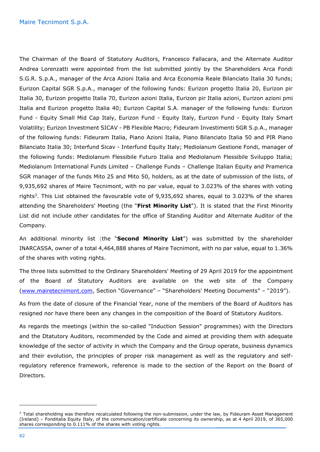The Chairman of the Board of Statutory Auditors, Francesco Fallacara, and the Alternate Auditor Andrea Lorenzatti were appointed from the list submitted jointly by the Shareholders Arca Fondi S.G.R. S.p.A., manager of the Arca Azioni Italia and Arca Economia Reale Bilanciato Italia 30 funds; Eurizon Capital SGR S.p.A., manager of the following funds: Eurizon progetto Italia 20, Eurizon pir Italia 30, Eurizon progetto Italia 70, Eurizon azioni Italia, Eurizon pir Italia azioni, Eurizon azioni pmi Italia and Eurizon progetto Italia 40; Eurizon Capital S.A. manager of the following funds: Eurizon Fund - Equity Small Mid Cap Italy, Eurizon Fund - Equity Italy, Eurizon Fund - Equity Italy Smart Volatility; Eurizon Investment SICAV - PB Flexible Macro; Fideuram Investimenti SGR S.p.A., manager of the following funds: Fideuram Italia, Piano Azioni Italia, Piano Bilanciato Italia 50 and PIR Piano Bilanciato Italia 30; Interfund Sicav - Interfund Equity Italy; Mediolanum Gestione Fondi, manager of the following funds: Mediolanum Flessibile Futuro Italia and Mediolanum Flessibile Sviluppo Italia; Mediolanum International Funds Limited – Challenge Funds – Challenge Italian Equity and Pramerica SGR manager of the funds Mito 25 and Mito 50, holders, as at the date of submission of the lists, of 9,935,692 shares of Maire Tecnimont, with no par value, equal to 3.023% of the shares with voting rights<sup>3</sup>. This List obtained the favourable vote of 9,935,692 shares, equal to 3.023% of the shares attending the Shareholders' Meeting (the "**First Minority List**"). It is stated that the First Minority List did not include other candidates for the office of Standing Auditor and Alternate Auditor of the Company.

An additional minority list (the "**Second Minority List**") was submitted by the shareholder INARCASSA, owner of a total 4,464,888 shares of Maire Tecnimont, with no par value, equal to 1.36% of the shares with voting rights.

The three lists submitted to the Ordinary Shareholders' Meeting of 29 April 2019 for the appointment of the Board of Statutory Auditors are available on the web site of the Company [\(www.mairetecnimont.com](http://www.mairetecnimont.com/), Section "Governance" – "Shareholders' Meeting Documents" – "2019").

As from the date of closure of the Financial Year, none of the members of the Board of Auditors has resigned nor have there been any changes in the composition of the Board of Statutory Auditors.

As regards the meetings (within the so-called "Induction Session" programmes) with the Directors and the Dtatutory Auditors, recommended by the Code and aimed at providing them with adequate knowledge of the sector of activity in which the Company and the Group operate, business dynamics and their evolution, the principles of proper risk management as well as the regulatory and selfregulatory reference framework, reference is made to the section of the Report on the Board of Directors.

<sup>&</sup>lt;sup>3</sup> Total shareholding was therefore recalculated following the non-submission, under the law, by Fideuram Asset Management (Ireland) – Fonditalia Equity Italy, of the communication/certificate concerning its ownership, as at 4 April 2019, of 365,000 shares corresponding to 0.111% of the shares with voting rights.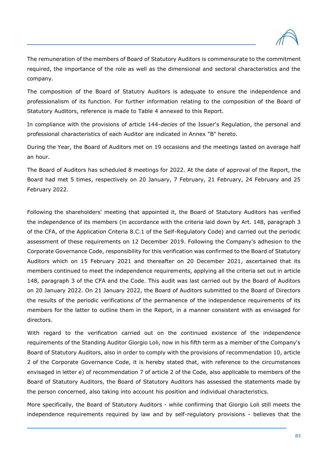

The remuneration of the members of Board of Statutory Auditors is commensurate to the commitment required, the importance of the role as well as the dimensional and sectoral characteristics and the company.

The composition of the Board of Statutry Auditors is adequate to ensure the independence and professionalism of its function. For further information relating to the composition of the Board of Statutory Auditors, reference is made to Table 4 annexed to this Report.

In compliance with the provisions of article 144-*decies* of the Issuer's Regulation, the personal and professional characteristics of each Auditor are indicated in Annex "B" hereto.

During the Year, the Board of Auditors met on 19 occasions and the meetings lasted on average half an hour.

The Board of Auditors has scheduled 8 meetings for 2022. At the date of approval of the Report, the Board had met 5 times, respectively on 20 January, 7 February, 21 February, 24 February and 25 February 2022.

Following the shareholders' meeting that appointed it, the Board of Statutory Auditors has verified the independence of its members (in accordance with the criteria laid down by Art. 148, paragraph 3 of the CFA, of the Application Criteria 8.C.1 of the Self-Regulatory Code) and carried out the periodic assessment of these requirements on 12 December 2019. Following the Company's adhesion to the Corporate Governance Code, responsibility for this verification was confirmed to the Board of Statutory Auditors which on 15 February 2021 and thereafter on 20 December 2021, ascertained that its members continued to meet the independence requirements, applying all the criteria set out in article 148, paragraph 3 of the CFA and the Code. This audit was last carried out by the Board of Auditors on 20 January 2022. On 21 January 2022, the Board of Auditors submitted to the Board of Directors the results of the periodic verifications of the permanence of the independence requirements of its members for the latter to outline them in the Report, in a manner consistent with as envisaged for directors.

With regard to the verification carried out on the continued existence of the independence requirements of the Standing Auditor Giorgio Loli, now in his fifth term as a member of the Company's Board of Statutory Auditors, also in order to comply with the provisions of recommendation 10, article 2 of the Corporate Governance Code, it is hereby stated that, with reference to the circumstances envisaged in letter e) of recommendation 7 of article 2 of the Code, also applicable to members of the Board of Statutory Auditors, the Board of Statutory Auditors has assessed the statements made by the person concerned, also taking into account his position and individual characteristics.

More specifically, the Board of Statutory Auditors - while confirming that Giorgio Loli still meets the independence requirements required by law and by self-regulatory provisions - believes that the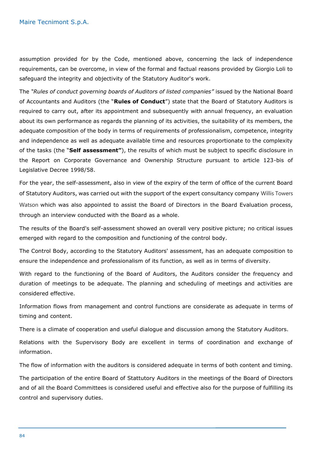Maire Tecnimont S.p.A.

assumption provided for by the Code, mentioned above, concerning the lack of independence requirements, can be overcome, in view of the formal and factual reasons provided by Giorgio Loli to safeguard the integrity and objectivity of the Statutory Auditor's work.

The *"Rules of conduct governing boards of Auditors of listed companies"* issued by the National Board of Accountants and Auditors (the "**Rules of Conduct**") state that the Board of Statutory Auditors is required to carry out, after its appointment and subsequently with annual frequency, an evaluation about its own performance as regards the planning of its activities, the suitability of its members, the adequate composition of the body in terms of requirements of professionalism, competence, integrity and independence as well as adequate available time and resources proportionate to the complexity of the tasks (the "**Self assessment"**), the results of which must be subject to specific disclosure in the Report on Corporate Governance and Ownership Structure pursuant to article 123-bis of Legislative Decree 1998/58.

For the year, the self-assessment, also in view of the expiry of the term of office of the current Board of Statutory Auditors, was carried out with the support of the expert consultancy company Willis Towers Watson which was also appointed to assist the Board of Directors in the Board Evaluation process, through an interview conducted with the Board as a whole.

The results of the Board's self-assessment showed an overall very positive picture; no critical issues emerged with regard to the composition and functioning of the control body.

The Control Body, according to the Statutory Auditors' assessment, has an adequate composition to ensure the independence and professionalism of its function, as well as in terms of diversity.

With regard to the functioning of the Board of Auditors, the Auditors consider the frequency and duration of meetings to be adequate. The planning and scheduling of meetings and activities are considered effective.

Information flows from management and control functions are considerate as adequate in terms of timing and content.

There is a climate of cooperation and useful dialogue and discussion among the Statutory Auditors.

Relations with the Supervisory Body are excellent in terms of coordination and exchange of information.

The flow of information with the auditors is considered adequate in terms of both content and timing.

The participation of the entire Board of Stattutory Auditors in the meetings of the Board of Directors and of all the Board Committees is considered useful and effective also for the purpose of fulfilling its control and supervisory duties.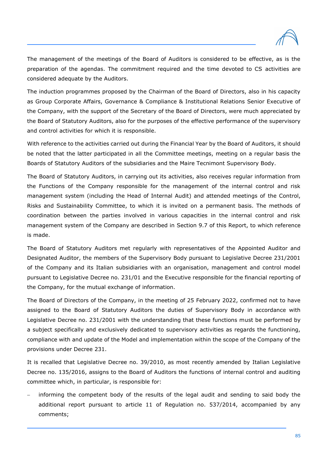

The management of the meetings of the Board of Auditors is considered to be effective, as is the preparation of the agendas. The commitment required and the time devoted to CS activities are considered adequate by the Auditors.

The induction programmes proposed by the Chairman of the Board of Directors, also in his capacity as Group Corporate Affairs, Governance & Compliance & Institutional Relations Senior Executive of the Company, with the support of the Secretary of the Board of Directors, were much appreciated by the Board of Statutory Auditors, also for the purposes of the effective performance of the supervisory and control activities for which it is responsible.

With reference to the activities carried out during the Financial Year by the Board of Auditors, it should be noted that the latter participated in all the Committee meetings, meeting on a regular basis the Boards of Statutory Auditors of the subsidiaries and the Maire Tecnimont Supervisory Body.

The Board of Statutory Auditors, in carrying out its activities, also receives regular information from the Functions of the Company responsible for the management of the internal control and risk management system (including the Head of Internal Audit) and attended meetings of the Control, Risks and Sustainability Committee, to which it is invited on a permanent basis. The methods of coordination between the parties involved in various capacities in the internal control and risk management system of the Company are described in Section 9.7 of this Report, to which reference is made.

The Board of Statutory Auditors met regularly with representatives of the Appointed Auditor and Designated Auditor, the members of the Supervisory Body pursuant to Legislative Decree 231/2001 of the Company and its Italian subsidiaries with an organisation, management and control model pursuant to Legislative Decree no. 231/01 and the Executive responsible for the financial reporting of the Company, for the mutual exchange of information.

The Board of Directors of the Company, in the meeting of 25 February 2022, confirmed not to have assigned to the Board of Statutory Auditors the duties of Supervisory Body in accordance with Legislative Decree no. 231/2001 with the understanding that these functions must be performed by a subject specifically and exclusively dedicated to supervisory activities as regards the functioning, compliance with and update of the Model and implementation within the scope of the Company of the provisions under Decree 231.

It is recalled that Legislative Decree no. 39/2010, as most recently amended by Italian Legislative Decree no. 135/2016, assigns to the Board of Auditors the functions of internal control and auditing committee which, in particular, is responsible for:

informing the competent body of the results of the legal audit and sending to said body the additional report pursuant to article 11 of Regulation no. 537/2014, accompanied by any comments;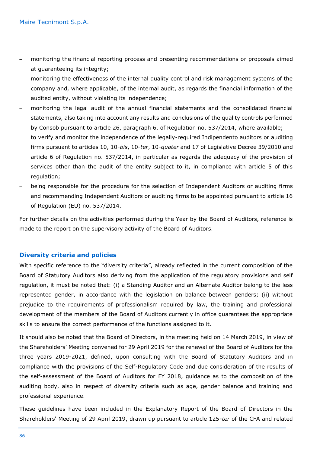- monitoring the financial reporting process and presenting recommendations or proposals aimed at guaranteeing its integrity;
- monitoring the effectiveness of the internal quality control and risk management systems of the company and, where applicable, of the internal audit, as regards the financial information of the audited entity, without violating its independence;
- monitoring the legal audit of the annual financial statements and the consolidated financial statements, also taking into account any results and conclusions of the quality controls performed by Consob pursuant to article 26, paragraph 6, of Regulation no. 537/2014, where available;
- to verify and monitor the independence of the legally-required Indipendento auditors or auditing firms pursuant to articles 10, 10-*bis*, 10-*ter*, 10-*quater* and 17 of Legislative Decree 39/2010 and article 6 of Regulation no. 537/2014, in particular as regards the adequacy of the provision of services other than the audit of the entity subject to it, in compliance with article 5 of this regulation;
- − being responsible for the procedure for the selection of Independent Auditors or auditing firms and recommending Independent Auditors or auditing firms to be appointed pursuant to article 16 of Regulation (EU) no. 537/2014.

For further details on the activities performed during the Year by the Board of Auditors, reference is made to the report on the supervisory activity of the Board of Auditors.

### **Diversity criteria and policies**

With specific reference to the "diversity criteria", already reflected in the current composition of the Board of Statutory Auditors also deriving from the application of the regulatory provisions and self regulation, it must be noted that: (i) a Standing Auditor and an Alternate Auditor belong to the less represented gender, in accordance with the legislation on balance between genders; (ii) without prejudice to the requirements of professionalism required by law, the training and professional development of the members of the Board of Auditors currently in office guarantees the appropriate skills to ensure the correct performance of the functions assigned to it.

It should also be noted that the Board of Directors, in the meeting held on 14 March 2019, in view of the Shareholders' Meeting convened for 29 April 2019 for the renewal of the Board of Auditors for the three years 2019-2021, defined, upon consulting with the Board of Statutory Auditors and in compliance with the provisions of the Self-Regulatory Code and due consideration of the results of the self-assessment of the Board of Auditors for FY 2018, guidance as to the composition of the auditing body, also in respect of diversity criteria such as age, gender balance and training and professional experience.

These guidelines have been included in the Explanatory Report of the Board of Directors in the Shareholders' Meeting of 29 April 2019, drawn up pursuant to article 125-*ter* of the CFA and related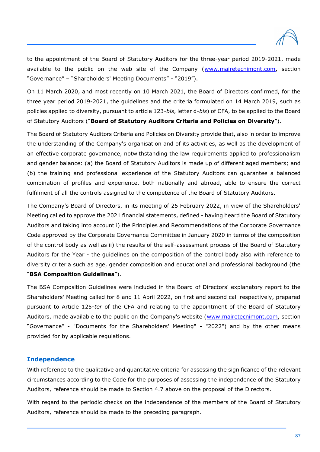

to the appointment of the Board of Statutory Auditors for the three-year period 2019-2021, made available to the public on the web site of the Company [\(www.mairetecnimont.com,](http://www.mairetecnimont.com/) section "Governance" – "Shareholders' Meeting Documents" - "2019").

On 11 March 2020, and most recently on 10 March 2021, the Board of Directors confirmed, for the three year period 2019-2021, the guidelines and the criteria formulated on 14 March 2019, such as policies applied to diversity, pursuant to article 123-*bis*, letter d-*bis*) of CFA, to be applied to the Board of Statutory Auditors ("**Board of Statutory Auditors Criteria and Policies on Diversity**").

The Board of Statutory Auditors Criteria and Policies on Diversity provide that, also in order to improve the understanding of the Company's organisation and of its activities, as well as the development of an effective corporate governance, notwithstanding the law requirements applied to professionalism and gender balance: (a) the Board of Statutory Auditors is made up of different aged members; and (b) the training and professional experience of the Statutory Auditors can guarantee a balanced combination of profiles and experience, both nationally and abroad, able to ensure the correct fulfilment of all the controls assigned to the competence of the Board of Statutory Auditors.

The Company's Board of Directors, in its meeting of 25 February 2022, in view of the Shareholders' Meeting called to approve the 2021 financial statements, defined - having heard the Board of Statutory Auditors and taking into account i) the Principles and Recommendations of the Corporate Governance Code approved by the Corporate Governance Committee in January 2020 in terms of the composition of the control body as well as ii) the results of the self-assessment process of the Board of Statutory Auditors for the Year - the guidelines on the composition of the control body also with reference to diversity criteria such as age, gender composition and educational and professional background (the "**BSA Composition Guidelines**").

The BSA Composition Guidelines were included in the Board of Directors' explanatory report to the Shareholders' Meeting called for 8 and 11 April 2022, on first and second call respectively, prepared pursuant to Article 125-*ter* of the CFA and relating to the appointment of the Board of Statutory Auditors, made available to the public on the Company's website [\(www.mairetecnimont.com,](http://www.mairetecnimont.com/) section "Governance" - "Documents for the Shareholders' Meeting" - "2022") and by the other means provided for by applicable regulations.

### **Independence**

With reference to the qualitative and quantitative criteria for assessing the significance of the relevant circumstances according to the Code for the purposes of assessing the independence of the Statutory Auditors, reference should be made to Section 4.7 above on the proposal of the Directors.

With regard to the periodic checks on the independence of the members of the Board of Statutory Auditors, reference should be made to the preceding paragraph.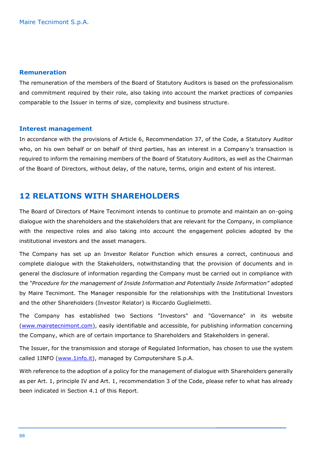### **Remuneration**

The remuneration of the members of the Board of Statutory Auditors is based on the professionalism and commitment required by their role, also taking into account the market practices of companies comparable to the Issuer in terms of size, complexity and business structure.

### **Interest management**

In accordance with the provisions of Article 6, Recommendation 37, of the Code, a Statutory Auditor who, on his own behalf or on behalf of third parties, has an interest in a Company's transaction is required to inform the remaining members of the Board of Statutory Auditors, as well as the Chairman of the Board of Directors, without delay, of the nature, terms, origin and extent of his interest.

### **12 RELATIONS WITH SHAREHOLDERS**

The Board of Directors of Maire Tecnimont intends to continue to promote and maintain an on-going dialogue with the shareholders and the stakeholders that are relevant for the Company, in compliance with the respective roles and also taking into account the engagement policies adopted by the institutional investors and the asset managers.

The Company has set up an Investor Relator Function which ensures a correct, continuous and complete dialogue with the Stakeholders, notwithstanding that the provision of documents and in general the disclosure of information regarding the Company must be carried out in compliance with the *"Procedure for the management of Inside Information and Potentially Inside Information"* adopted by Maire Tecnimont. The Manager responsible for the relationships with the Institutional Investors and the other Shareholders (Investor Relator) is Riccardo Guglielmetti.

The Company has established two Sections "Investors" and "Governance" in its website [\(www.mairetecnimont.com\)](http://www.mairetecnimont.com/), easily identifiable and accessible, for publishing information concerning the Company, which are of certain importance to Shareholders and Stakeholders in general.

The Issuer, for the transmission and storage of Regulated Information, has chosen to use the system called 1INFO [\(www.1info.it\)](http://www.1info.it/), managed by Computershare S.p.A.

With reference to the adoption of a policy for the management of dialogue with Shareholders generally as per Art. 1, principle IV and Art. 1, recommendation 3 of the Code, please refer to what has already been indicated in Section 4.1 of this Report.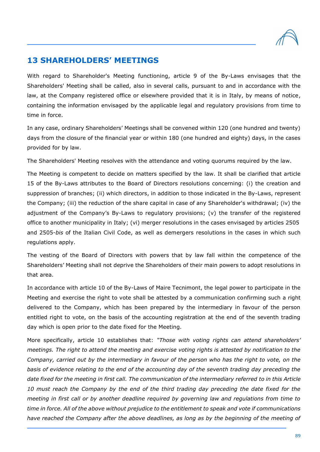

### **13 SHAREHOLDERS' MEETINGS**

With regard to Shareholder's Meeting functioning, article 9 of the By-Laws envisages that the Shareholders' Meeting shall be called, also in several calls, pursuant to and in accordance with the law, at the Company registered office or elsewhere provided that it is in Italy, by means of notice, containing the information envisaged by the applicable legal and regulatory provisions from time to time in force.

In any case, ordinary Shareholders' Meetings shall be convened within 120 (one hundred and twenty) days from the closure of the financial year or within 180 (one hundred and eighty) days, in the cases provided for by law.

The Shareholders' Meeting resolves with the attendance and voting quorums required by the law.

The Meeting is competent to decide on matters specified by the law. It shall be clarified that article 15 of the By-Laws attributes to the Board of Directors resolutions concerning: (i) the creation and suppression of branches; (ii) which directors, in addition to those indicated in the By-Laws, represent the Company; (iii) the reduction of the share capital in case of any Shareholder's withdrawal; (iv) the adjustment of the Company's By-Laws to regulatory provisions; (v) the transfer of the registered office to another municipality in Italy; (vi) merger resolutions in the cases envisaged by articles 2505 and 2505-*bis* of the Italian Civil Code, as well as demergers resolutions in the cases in which such regulations apply.

The vesting of the Board of Directors with powers that by law fall within the competence of the Shareholders' Meeting shall not deprive the Shareholders of their main powers to adopt resolutions in that area.

In accordance with article 10 of the By-Laws of Maire Tecnimont, the legal power to participate in the Meeting and exercise the right to vote shall be attested by a communication confirming such a right delivered to the Company, which has been prepared by the intermediary in favour of the person entitled right to vote, on the basis of the accounting registration at the end of the seventh trading day which is open prior to the date fixed for the Meeting.

More specifically, article 10 establishes that: *"Those with voting rights can attend shareholders' meetings. The right to attend the meeting and exercise voting rights is attested by notification to the Company, carried out by the intermediary in favour of the person who has the right to vote, on the basis of evidence relating to the end of the accounting day of the seventh trading day preceding the date fixed for the meeting in first call. The communication of the intermediary referred to in this Article 10 must reach the Company by the end of the third trading day preceding the date fixed for the meeting in first call or by another deadline required by governing law and regulations from time to time in force. All of the above without prejudice to the entitlement to speak and vote if communications*  have reached the Company after the above deadlines, as long as by the beginning of the meeting of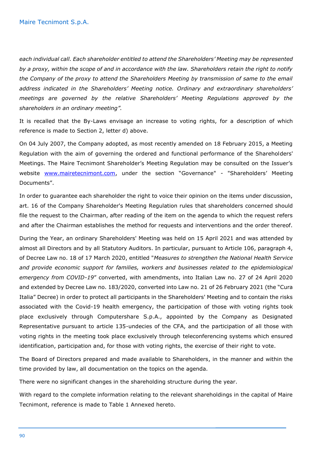*each individual call. Each shareholder entitled to attend the Shareholders' Meeting may be represented by a proxy, within the scope of and in accordance with the law. Shareholders retain the right to notify the Company of the proxy to attend the Shareholders Meeting by transmission of same to the email address indicated in the Shareholders' Meeting notice. Ordinary and extraordinary shareholders' meetings are governed by the relative Shareholders' Meeting Regulations approved by the shareholders in an ordinary meeting".*

It is recalled that the By-Laws envisage an increase to voting rights, for a description of which reference is made to Section 2, letter d) above.

On 04 July 2007, the Company adopted, as most recently amended on 18 February 2015, a Meeting Regulation with the aim of governing the ordered and functional performance of the Shareholders' Meetings. The Maire Tecnimont Shareholder's Meeting Regulation may be consulted on the Issuer's website [www.mairetecnimont.com,](http://www.mairetecnimont.com/) under the section "Governance" - "Shareholders' Meeting Documents".

In order to guarantee each shareholder the right to voice their opinion on the items under discussion, art. 16 of the Company Shareholder's Meeting Regulation rules that shareholders concerned should file the request to the Chairman, after reading of the item on the agenda to which the request refers and after the Chairman establishes the method for requests and interventions and the order thereof.

During the Year, an ordinary Shareholders' Meeting was held on 15 April 2021 and was attended by almost all Directors and by all Statutory Auditors. In particular, pursuant to Article 106, paragraph 4, of Decree Law no. 18 of 17 March 2020, entitled "*Measures to strengthen the National Health Service and provide economic support for families, workers and businesses related to the epidemiological emergency from COVID-19*" converted, with amendments, into Italian Law no. 27 of 24 April 2020 and extended by Decree Law no. 183/2020, converted into Law no. 21 of 26 February 2021 (the "Cura Italia" Decree) in order to protect all participants in the Shareholders' Meeting and to contain the risks associated with the Covid-19 health emergency, the participation of those with voting rights took place exclusively through Computershare S.p.A., appointed by the Company as Designated Representative pursuant to article 135-undecies of the CFA, and the participation of all those with voting rights in the meeting took place exclusively through teleconferencing systems which ensured identification, participation and, for those with voting rights, the exercise of their right to vote.

The Board of Directors prepared and made available to Shareholders, in the manner and within the time provided by law, all documentation on the topics on the agenda.

There were no significant changes in the shareholding structure during the year.

With regard to the complete information relating to the relevant shareholdings in the capital of Maire Tecnimont, reference is made to Table 1 Annexed hereto.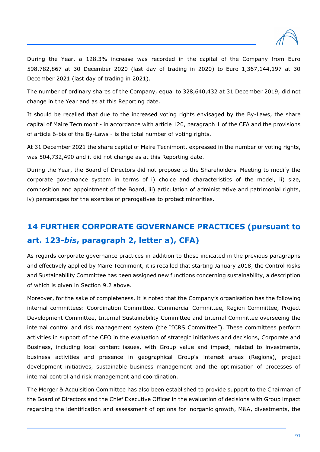

During the Year, a 128.3% increase was recorded in the capital of the Company from Euro 598,782,867 at 30 December 2020 (last day of trading in 2020) to Euro 1,367,144,197 at 30 December 2021 (last day of trading in 2021).

The number of ordinary shares of the Company, equal to 328,640,432 at 31 December 2019, did not change in the Year and as at this Reporting date.

It should be recalled that due to the increased voting rights envisaged by the By-Laws, the share capital of Maire Tecnimont - in accordance with article 120, paragraph 1 of the CFA and the provisions of article 6-bis of the By-Laws - is the total number of voting rights.

At 31 December 2021 the share capital of Maire Tecnimont, expressed in the number of voting rights, was 504,732,490 and it did not change as at this Reporting date.

During the Year, the Board of Directors did not propose to the Shareholders' Meeting to modify the corporate governance system in terms of i) choice and characteristics of the model, ii) size, composition and appointment of the Board, iii) articulation of administrative and patrimonial rights, iv) percentages for the exercise of prerogatives to protect minorities.

# **14 FURTHER CORPORATE GOVERNANCE PRACTICES (pursuant to art. 123-***bis***, paragraph 2, letter a), CFA)**

As regards corporate governance practices in addition to those indicated in the previous paragraphs and effectively applied by Maire Tecnimont, it is recalled that starting January 2018, the Control Risks and Sustainability Committee has been assigned new functions concerning sustainability, a description of which is given in Section 9.2 above.

Moreover, for the sake of completeness, it is noted that the Company's organisation has the following internal committees: Coordination Committee, Commercial Committee, Region Committee, Project Development Committee, Internal Sustainability Committee and Internal Committee overseeing the internal control and risk management system (the "ICRS Committee"). These committees perform activities in support of the CEO in the evaluation of strategic initiatives and decisions, Corporate and Business, including local content issues, with Group value and impact, related to investments, business activities and presence in geographical Group's interest areas (Regions), project development initiatives, sustainable business management and the optimisation of processes of internal control and risk management and coordination.

The Merger & Acquisition Committee has also been established to provide support to the Chairman of the Board of Directors and the Chief Executive Officer in the evaluation of decisions with Group impact regarding the identification and assessment of options for inorganic growth, M&A, divestments, the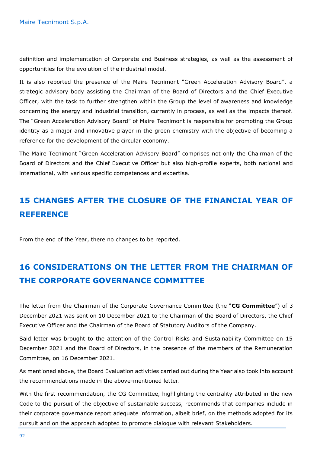definition and implementation of Corporate and Business strategies, as well as the assessment of opportunities for the evolution of the industrial model.

It is also reported the presence of the Maire Tecnimont "Green Acceleration Advisory Board", a strategic advisory body assisting the Chairman of the Board of Directors and the Chief Executive Officer, with the task to further strengthen within the Group the level of awareness and knowledge concerning the energy and industrial transition, currently in process, as well as the impacts thereof. The "Green Acceleration Advisory Board" of Maire Tecnimont is responsible for promoting the Group identity as a major and innovative player in the green chemistry with the objective of becoming a reference for the development of the circular economy.

The Maire Tecnimont "Green Acceleration Advisory Board" comprises not only the Chairman of the Board of Directors and the Chief Executive Officer but also high-profile experts, both national and international, with various specific competences and expertise.

# **15 CHANGES AFTER THE CLOSURE OF THE FINANCIAL YEAR OF REFERENCE**

From the end of the Year, there no changes to be reported.

# **16 CONSIDERATIONS ON THE LETTER FROM THE CHAIRMAN OF THE CORPORATE GOVERNANCE COMMITTEE**

The letter from the Chairman of the Corporate Governance Committee (the "**CG Committee**") of 3 December 2021 was sent on 10 December 2021 to the Chairman of the Board of Directors, the Chief Executive Officer and the Chairman of the Board of Statutory Auditors of the Company.

Said letter was brought to the attention of the Control Risks and Sustainability Committee on 15 December 2021 and the Board of Directors, in the presence of the members of the Remuneration Committee, on 16 December 2021.

As mentioned above, the Board Evaluation activities carried out during the Year also took into account the recommendations made in the above-mentioned letter.

With the first recommendation, the CG Committee, highlighting the centrality attributed in the new Code to the pursuit of the objective of sustainable success, recommends that companies include in their corporate governance report adequate information, albeit brief, on the methods adopted for its pursuit and on the approach adopted to promote dialogue with relevant Stakeholders.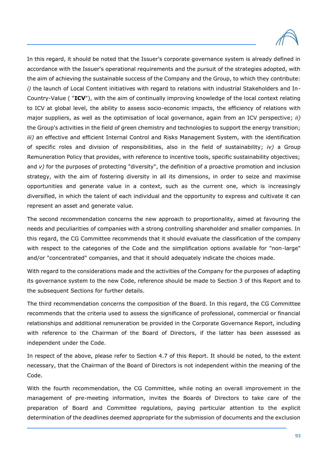

In this regard, it should be noted that the Issuer's corporate governance system is already defined in accordance with the Issuer's operational requirements and the pursuit of the strategies adopted, with the aim of achieving the sustainable success of the Company and the Group, to which they contribute: *i)* the launch of Local Content initiatives with regard to relations with industrial Stakeholders and In-Country-Value ( "**ICV**"), with the aim of continually improving knowledge of the local context relating to ICV at global level, the ability to assess socio-economic impacts, the efficiency of relations with major suppliers, as well as the optimisation of local governance, again from an ICV perspective; *ii)* the Group's activities in the field of green chemistry and technologies to support the energy transition; *iii)* an effective and efficient Internal Control and Risks Management System, with the identification of specific roles and division of responsibilities, also in the field of sustainability; *iv)* a Group Remuneration Policy that provides, with reference to incentive tools, specific sustainability objectives; and *v*) for the purposes of protecting "diversity", the definition of a proactive promotion and inclusion strategy, with the aim of fostering diversity in all its dimensions, in order to seize and maximise opportunities and generate value in a context, such as the current one, which is increasingly diversified, in which the talent of each individual and the opportunity to express and cultivate it can represent an asset and generate value.

The second recommendation concerns the new approach to proportionality, aimed at favouring the needs and peculiarities of companies with a strong controlling shareholder and smaller companies. In this regard, the CG Committee recommends that it should evaluate the classification of the company with respect to the categories of the Code and the simplification options available for "non-large" and/or "concentrated" companies, and that it should adequately indicate the choices made.

With regard to the considerations made and the activities of the Company for the purposes of adapting its governance system to the new Code, reference should be made to Section 3 of this Report and to the subsequent Sections for further details.

The third recommendation concerns the composition of the Board. In this regard, the CG Committee recommends that the criteria used to assess the significance of professional, commercial or financial relationships and additional remuneration be provided in the Corporate Governance Report, including with reference to the Chairman of the Board of Directors, if the latter has been assessed as independent under the Code.

In respect of the above, please refer to Section 4.7 of this Report. It should be noted, to the extent necessary, that the Chairman of the Board of Directors is not independent within the meaning of the Code.

With the fourth recommendation, the CG Committee, while noting an overall improvement in the management of pre-meeting information, invites the Boards of Directors to take care of the preparation of Board and Committee regulations, paying particular attention to the explicit determination of the deadlines deemed appropriate for the submission of documents and the exclusion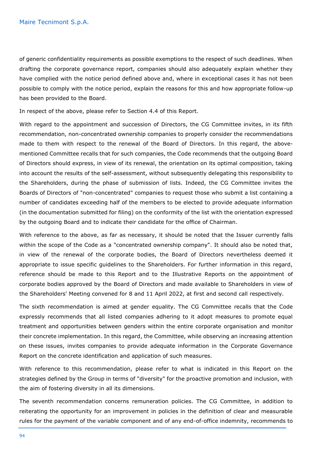of generic confidentiality requirements as possible exemptions to the respect of such deadlines. When drafting the corporate governance report, companies should also adequately explain whether they have complied with the notice period defined above and, where in exceptional cases it has not been possible to comply with the notice period, explain the reasons for this and how appropriate follow-up has been provided to the Board.

In respect of the above, please refer to Section 4.4 of this Report.

With regard to the appointment and succession of Directors, the CG Committee invites, in its fifth recommendation, non-concentrated ownership companies to properly consider the recommendations made to them with respect to the renewal of the Board of Directors. In this regard, the abovementioned Committee recalls that for such companies, the Code recommends that the outgoing Board of Directors should express, in view of its renewal, the orientation on its optimal composition, taking into account the results of the self-assessment, without subsequently delegating this responsibility to the Shareholders, during the phase of submission of lists. Indeed, the CG Committee invites the Boards of Directors of "non-concentrated" companies to request those who submit a list containing a number of candidates exceeding half of the members to be elected to provide adequate information (in the documentation submitted for filing) on the conformity of the list with the orientation expressed by the outgoing Board and to indicate their candidate for the office of Chairman.

With reference to the above, as far as necessary, it should be noted that the Issuer currently falls within the scope of the Code as a "concentrated ownership company". It should also be noted that, in view of the renewal of the corporate bodies, the Board of Directors nevertheless deemed it appropriate to issue specific guidelines to the Shareholders. For further information in this regard, reference should be made to this Report and to the Illustrative Reports on the appointment of corporate bodies approved by the Board of Directors and made available to Shareholders in view of the Shareholders' Meeting convened for 8 and 11 April 2022, at first and second call respectively.

The sixth recommendation is aimed at gender equality. The CG Committee recalls that the Code expressly recommends that all listed companies adhering to it adopt measures to promote equal treatment and opportunities between genders within the entire corporate organisation and monitor their concrete implementation. In this regard, the Committee, while observing an increasing attention on these issues, invites companies to provide adequate information in the Corporate Governance Report on the concrete identification and application of such measures.

With reference to this recommendation, please refer to what is indicated in this Report on the strategies defined by the Group in terms of "diversity" for the proactive promotion and inclusion, with the aim of fostering diversity in all its dimensions.

The seventh recommendation concerns remuneration policies. The CG Committee, in addition to reiterating the opportunity for an improvement in policies in the definition of clear and measurable rules for the payment of the variable component and of any end-of-office indemnity, recommends to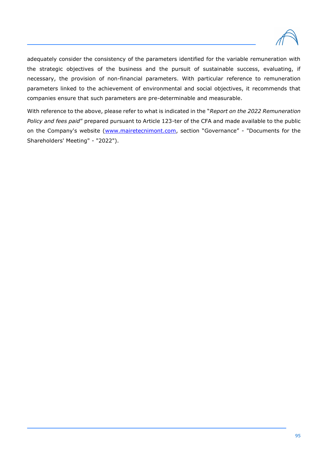

adequately consider the consistency of the parameters identified for the variable remuneration with the strategic objectives of the business and the pursuit of sustainable success, evaluating, if necessary, the provision of non-financial parameters. With particular reference to remuneration parameters linked to the achievement of environmental and social objectives, it recommends that companies ensure that such parameters are pre-determinable and measurable.

With reference to the above, please refer to what is indicated in the "*Report on the 2022 Remuneration Policy and fees paid*" prepared pursuant to Article 123-ter of the CFA and made available to the public on the Company's website [\(www.mairetecnimont.com](https://eur02.safelinks.protection.outlook.com/?url=http://www.mairetecnimont.com/&data=04|01|sara.frassine@mairetecnimont.it|d03b5b2be0ee419f5e7a08d9f6ce1f35|7cc918885aa049e5a83622cda2eae0fc|0|0|637812187435209089|Unknown|TWFpbGZsb3d8eyJWIjoiMC4wLjAwMDAiLCJQIjoiV2luMzIiLCJBTiI6Ik1haWwiLCJXVCI6Mn0=|3000&sdata=mqSYfNzOEt9BJ65vE+RUbkdBxmc9xHykT696RKlmZS0=&reserved=0), section "Governance" - "Documents for the Shareholders' Meeting" - "2022").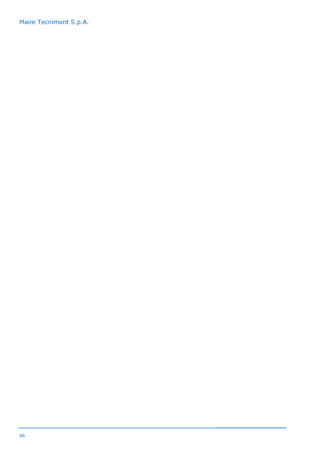Maire Tecnimont S.p.A.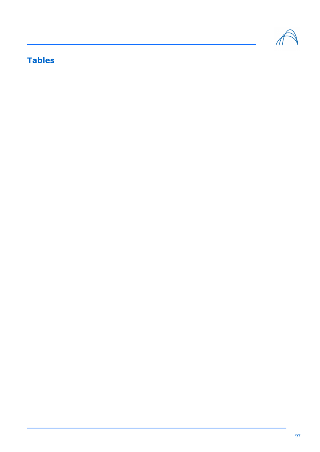

# **Tables**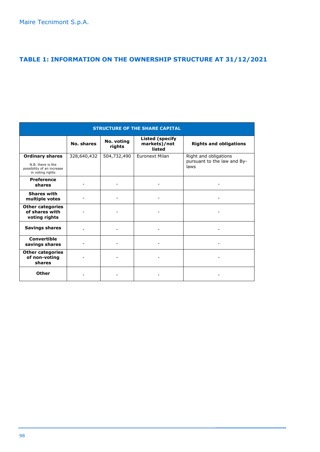### **TABLE 1: INFORMATION ON THE OWNERSHIP STRUCTURE AT 31/12/2021**

| <b>STRUCTURE OF THE SHARE CAPITAL</b>                                                         |             |                      |                                                  |                                                              |  |  |  |  |  |  |  |
|-----------------------------------------------------------------------------------------------|-------------|----------------------|--------------------------------------------------|--------------------------------------------------------------|--|--|--|--|--|--|--|
|                                                                                               | No. shares  | No. voting<br>rights | <b>Listed (specify</b><br>markets)/not<br>listed | <b>Rights and obligations</b>                                |  |  |  |  |  |  |  |
| <b>Ordinary shares</b><br>N.B. there is the<br>possibility of an increase<br>in voting rights | 328,640,432 | 504,732,490          | Euronext Milan                                   | Right and obligations<br>pursuant to the law and By-<br>laws |  |  |  |  |  |  |  |
| <b>Preference</b><br>shares                                                                   |             |                      |                                                  |                                                              |  |  |  |  |  |  |  |
| <b>Shares with</b><br>multiple votes                                                          |             |                      |                                                  |                                                              |  |  |  |  |  |  |  |
| <b>Other categories</b><br>of shares with<br>voting rights                                    |             |                      |                                                  |                                                              |  |  |  |  |  |  |  |
| <b>Savings shares</b>                                                                         |             |                      |                                                  |                                                              |  |  |  |  |  |  |  |
| <b>Convertible</b><br>savings shares                                                          |             |                      |                                                  |                                                              |  |  |  |  |  |  |  |
| <b>Other categories</b><br>of non-voting<br>shares                                            |             |                      |                                                  |                                                              |  |  |  |  |  |  |  |
| Other                                                                                         |             |                      |                                                  |                                                              |  |  |  |  |  |  |  |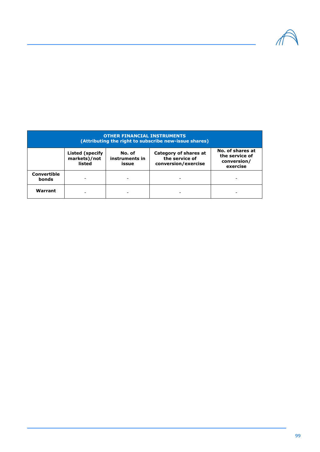

| <b>OTHER FINANCIAL INSTRUMENTS</b><br>(Attributing the right to subscribe new-issue shares) |                                                  |                                                               |  |  |  |  |  |  |  |
|---------------------------------------------------------------------------------------------|--------------------------------------------------|---------------------------------------------------------------|--|--|--|--|--|--|--|
|                                                                                             | <b>Listed (specify</b><br>markets)/not<br>listed | No. of shares at<br>the service of<br>conversion/<br>exercise |  |  |  |  |  |  |  |
| <b>Convertible</b><br>bonds                                                                 |                                                  |                                                               |  |  |  |  |  |  |  |
| Warrant                                                                                     |                                                  |                                                               |  |  |  |  |  |  |  |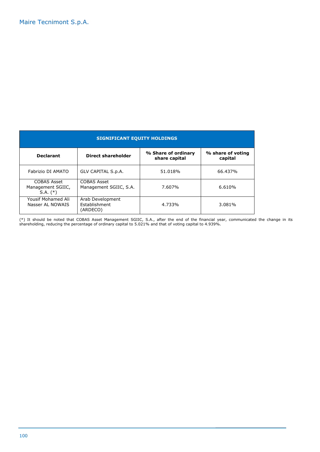| <b>SIGNIFICANT EQUITY HOLDINGS</b>                      |                                               |                                      |                              |  |  |  |  |  |  |
|---------------------------------------------------------|-----------------------------------------------|--------------------------------------|------------------------------|--|--|--|--|--|--|
| <b>Declarant</b>                                        | Direct shareholder                            | % Share of ordinary<br>share capital | % share of voting<br>capital |  |  |  |  |  |  |
| Fabrizio DI AMATO                                       | GLV CAPITAL S.p.A.                            | 51.018%                              | 66.437%                      |  |  |  |  |  |  |
| <b>COBAS Asset</b><br>Management SGIIC,<br>$S.A.$ $(*)$ | <b>COBAS Asset</b><br>Management SGIIC, S.A.  | 7.607%                               | 6.610%                       |  |  |  |  |  |  |
| Yousif Mohamed Ali<br>Nasser AL NOWAIS                  | Arab Development<br>Establishment<br>(ARDECO) | 4.733%                               | 3.081%                       |  |  |  |  |  |  |

(\*) It should be noted that COBAS Asset Management SGIIC, S.A., after the end of the financial year, communicated the change in its shareholding, reducing the percentage of ordinary capital to 5.021% and that of voting capital to 4.939%.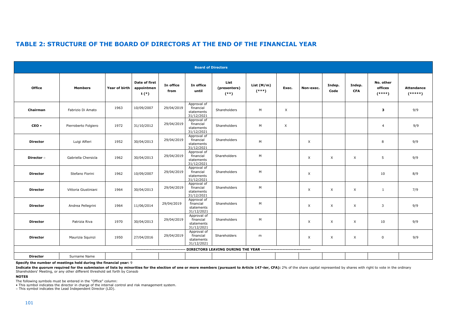| TABLE 2: STRUCTURE OF THE BOARD OF DIRECTORS AT THE END OF THE FINANCIAL YEAR |
|-------------------------------------------------------------------------------|
|-------------------------------------------------------------------------------|

| <b>Board of Directors</b> |                      |               |                                       |                                 |                                                      |                                                                            |                         |                  |                           |                |                      |                                  |                                |
|---------------------------|----------------------|---------------|---------------------------------------|---------------------------------|------------------------------------------------------|----------------------------------------------------------------------------|-------------------------|------------------|---------------------------|----------------|----------------------|----------------------------------|--------------------------------|
| <b>Office</b>             | Members              | Year of birth | Date of first<br>appointmen<br>$t(*)$ | In office<br>from               | In office<br>until                                   | List<br>(presenters)<br>$(**)$                                             | List $(M/m)$<br>$(***)$ | Exec.            | Non-exec.                 | Indep.<br>Code | Indep.<br><b>CFA</b> | No. other<br>offices<br>$(****)$ | <b>Attendance</b><br>$(****")$ |
| Chairman                  | Fabrizio Di Amato    | 1963          | 10/09/2007                            | 29/04/2019                      | Approval of<br>financial<br>statements<br>31/12/2021 | Shareholders                                                               | M                       | $\boldsymbol{X}$ |                           |                |                      | 3                                | 9/9                            |
| CEO .                     | Pierroberto Folgiero | 1972          | 31/10/2012                            | 29/04/2019                      | Approval of<br>financial<br>statements<br>31/12/2021 | Shareholders                                                               | М                       | X                |                           |                |                      | $\overline{4}$                   | 9/9                            |
| <b>Director</b>           | Luigi Alfieri        | 1952          | 30/04/2013                            | 29/04/2019                      | Approval of<br>financial<br>statements<br>31/12/2021 | Shareholders                                                               | М                       |                  | X                         |                |                      | 8                                | 9/9                            |
| Director $\circ$          | Gabriella Chersicla  | 1962          | 30/04/2013                            | 29/04/2019                      | Approval of<br>financial<br>statements<br>31/12/2021 | Shareholders                                                               | М                       |                  | X                         | $\times$       | X                    | 5                                | 9/9                            |
| <b>Director</b>           | Stefano Fiorini      | 1962          | 10/09/2007                            | 29/04/2019                      | Approval of<br>financial<br>statements<br>31/12/2021 | Shareholders                                                               | М                       |                  | X                         |                |                      | 10                               | 8/9                            |
| <b>Director</b>           | Vittoria Giustiniani | 1964          | 30/04/2013                            | 29/04/2019                      | Approval of<br>financial<br>statements<br>31/12/2021 | Shareholders                                                               | М                       |                  | $\times$                  | $\times$       | $\times$             | $\mathbf{1}$                     | 7/9                            |
| <b>Director</b>           | Andrea Pellegrini    | 1964          | 11/06/2014                            | 29/04/2019                      | Approval of<br>financial<br>statements<br>31/12/2021 | Shareholders                                                               | M                       |                  | $\times$                  | X              | $\times$             | 3                                | 9/9                            |
| <b>Director</b>           | Patrizia Riva        | 1970          | 30/04/2013                            | 29/04/2019                      | Approval of<br>financial<br>statements<br>31/12/2021 | Shareholders                                                               | М                       |                  | $\boldsymbol{\mathsf{X}}$ | $\times$       | $\times$             | 10                               | 9/9                            |
| <b>Director</b>           | Maurizia Squinzi     | 1950          | 27/04/2016                            | 29/04/2019                      | Approval of<br>financial<br>statements<br>31/12/2021 | Shareholders                                                               | m                       |                  | $\times$                  | X              | X                    | $\mathbf 0$                      | 9/9                            |
|                           |                      |               |                                       | ------------------------------- |                                                      | <b>DIRECTORS LEAVING DURING THE YEAR ---------------------------------</b> |                         |                  |                           |                |                      |                                  |                                |
| <b>Director</b>           | Surname Name         |               |                                       |                                 |                                                      |                                                                            |                         |                  |                           |                |                      |                                  |                                |

**Specify the number of meetings held during the financial year:** 9

Indicate the quorum required for the submission of lists by minorities for the election of one or more members (pursuant to Article 147-ter, CFA): 2% of the share capital represented by shares with right to vote in the ord Shareholders' Meeting, or any other different threshold set forth by Consob

#### **NOTES**

The following symbols must be entered in the "Office" column:<br>• This symbol indicates the director in charge of the internal control and risk management system.<br>○ This symbol indicates the Lead Independent Director (LID).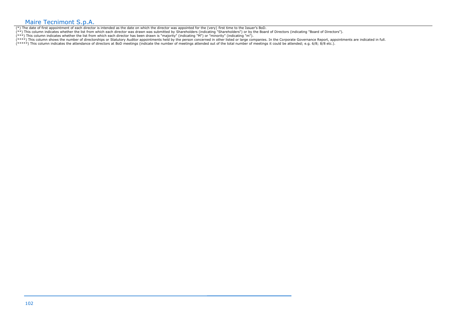(\*) The date of first appointment of each director is intended as the date on which the director was appointed for the (very) first time to the Issuer's BoD.<br>(\*\*) This column indicates whether the list from which each dire

(\*\*\*) This column indicates whether the list from which each director has been drawn is "majority" (indicating "M") or "minority" (indicating "m").<br>(\*\*\*\*) This column indicates the author of directorships or Statutory Audi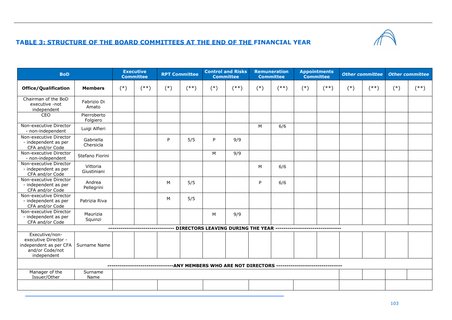

### **TABLE 3: STRUCTURE OF THE BOARD COMMITTEES AT THE END OF THE FINANCIAL YEAR**

| <b>BoD</b>                                                                                         |                         |       | <b>Executive</b><br><b>Committee</b> |       | <b>RPT Committee</b> | <b>Control and Risks</b><br><b>Committee</b> |                                                                                   | <b>Remuneration</b><br><b>Committee</b> |        | <b>Appointments</b><br><b>Committee</b> |        |       |        | <b>Other committee</b> |        | <b>Other committee</b> |  |
|----------------------------------------------------------------------------------------------------|-------------------------|-------|--------------------------------------|-------|----------------------|----------------------------------------------|-----------------------------------------------------------------------------------|-----------------------------------------|--------|-----------------------------------------|--------|-------|--------|------------------------|--------|------------------------|--|
| <b>Office/Qualification</b>                                                                        | <b>Members</b>          | $(*)$ | $(**)$                               | $(*)$ | $(**)$               | $(*)$                                        | $(**)$                                                                            | $(*)$                                   | $(**)$ | $(*)$                                   | $(**)$ | $(*)$ | $(**)$ | $(*)$                  | $(**)$ |                        |  |
| Chairman of the BoD<br>executive -not<br>independent                                               | Fabrizio Di<br>Amato    |       |                                      |       |                      |                                              |                                                                                   |                                         |        |                                         |        |       |        |                        |        |                        |  |
| CEO                                                                                                | Pierroberto<br>Folgiero |       |                                      |       |                      |                                              |                                                                                   |                                         |        |                                         |        |       |        |                        |        |                        |  |
| Non-executive Director<br>- non-independent                                                        | Luigi Alfieri           |       |                                      |       |                      |                                              |                                                                                   | M                                       | 6/6    |                                         |        |       |        |                        |        |                        |  |
| Non-executive Director<br>- independent as per<br>CFA and/or Code                                  | Gabriella<br>Chersicla  |       |                                      | P     | 5/5                  | P                                            | 9/9                                                                               |                                         |        |                                         |        |       |        |                        |        |                        |  |
| Non-executive Director<br>- non-independent                                                        | Stefano Fiorini         |       |                                      |       |                      | M                                            | 9/9                                                                               |                                         |        |                                         |        |       |        |                        |        |                        |  |
| Non-executive Director<br>- independent as per<br>CFA and/or Code                                  | Vittoria<br>Giustiniani |       |                                      |       |                      |                                              |                                                                                   | M                                       | 6/6    |                                         |        |       |        |                        |        |                        |  |
| Non-executive Director<br>- independent as per<br>CFA and/or Code                                  | Andrea<br>Pellegrini    |       |                                      | M     | 5/5                  |                                              |                                                                                   | P                                       | 6/6    |                                         |        |       |        |                        |        |                        |  |
| Non-executive Director<br>- independent as per<br>CFA and/or Code                                  | Patrizia Riva           |       |                                      | M     | 5/5                  |                                              |                                                                                   |                                         |        |                                         |        |       |        |                        |        |                        |  |
| Non-executive Director<br>- independent as per<br>CFA and/or Code                                  | Maurizia<br>Squinzi     |       |                                      |       |                      | M                                            | 9/9                                                                               |                                         |        |                                         |        |       |        |                        |        |                        |  |
|                                                                                                    |                         |       |                                      |       |                      |                                              | ------------------------------- DIRECTORS LEAVING DURING THE YEAR --------------- |                                         |        |                                         |        |       |        |                        |        |                        |  |
| Executive/non-<br>executive Director -<br>independent as per CFA<br>and/or Code/not<br>independent | Surname Name            |       |                                      |       |                      |                                              |                                                                                   |                                         |        |                                         |        |       |        |                        |        |                        |  |
| ----------------ANY MEMBERS WHO ARE NOT DIRECTORS ------------------------------                   |                         |       |                                      |       |                      |                                              |                                                                                   |                                         |        |                                         |        |       |        |                        |        |                        |  |
| Manager of the<br>Issuer/Other                                                                     | Surname<br>Name         |       |                                      |       |                      |                                              |                                                                                   |                                         |        |                                         |        |       |        |                        |        |                        |  |
|                                                                                                    |                         |       |                                      |       |                      |                                              |                                                                                   |                                         |        |                                         |        |       |        |                        |        |                        |  |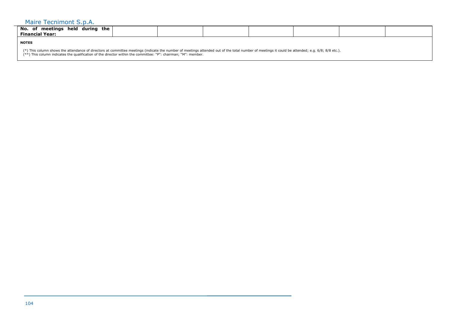### Maire Tecnimont S.p.A.

| .<br>TOLIL<br>'Ial.<br>$\sim$ $\omega_1 \omega_2 \omega_3$             |  |  |  |
|------------------------------------------------------------------------|--|--|--|
| No.<br>held<br>the<br>meetings<br>during<br>ot<br>Financial<br>l Year: |  |  |  |
|                                                                        |  |  |  |

**NOTES**

(\*) This column shows the attendance of directors at committee meetings (indicate the number of meetings attended out of the total number of meetings it could be attended; e.g. 6/8; 8/8 etc.).<br>(\*\*) This column indicates th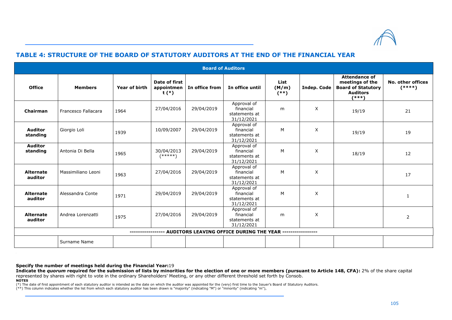

### **TABLE 4: STRUCTURE OF THE BOARD OF STATUTORY AUDITORS AT THE END OF THE FINANCIAL YEAR**

| <b>Board of Auditors</b>    |                                                                            |               |                                       |                |                                                         |                         |                    |                                                                                                    |                               |  |  |
|-----------------------------|----------------------------------------------------------------------------|---------------|---------------------------------------|----------------|---------------------------------------------------------|-------------------------|--------------------|----------------------------------------------------------------------------------------------------|-------------------------------|--|--|
| <b>Office</b>               | <b>Members</b>                                                             | Year of birth | Date of first<br>appointmen<br>$t(*)$ | In office from | In office until                                         | List<br>(M/m)<br>$(**)$ | <b>Indep. Code</b> | <b>Attendance of</b><br>meetings of the<br><b>Board of Statutory</b><br><b>Auditors</b><br>$(***)$ | No. other offices<br>$(****)$ |  |  |
| Chairman                    | Francesco Fallacara                                                        | 1964          | 27/04/2016                            | 29/04/2019     | Approval of<br>financial<br>statements at<br>31/12/2021 | m                       | X                  | 19/19                                                                                              | 21                            |  |  |
| <b>Auditor</b><br>standing  | Giorgio Loli                                                               | 1939          | 10/09/2007                            | 29/04/2019     | Approval of<br>financial<br>statements at<br>31/12/2021 | M                       | X                  | 19/19                                                                                              | 19                            |  |  |
| <b>Auditor</b><br>standing  | Antonia Di Bella                                                           | 1965          | 30/04/2013<br>$(*****)$               | 29/04/2019     | Approval of<br>financial<br>statements at<br>31/12/2021 | M                       | X                  | 18/19                                                                                              | 12                            |  |  |
| <b>Alternate</b><br>auditor | Massimiliano Leoni                                                         | 1963          | 27/04/2016                            | 29/04/2019     | Approval of<br>financial<br>statements at<br>31/12/2021 | M                       | X                  |                                                                                                    | 17                            |  |  |
| <b>Alternate</b><br>auditor | Alessandra Conte                                                           | 1971          | 29/04/2019                            | 29/04/2019     | Approval of<br>financial<br>statements at<br>31/12/2021 | M                       | X                  |                                                                                                    | $\mathbf{1}$                  |  |  |
| <b>Alternate</b><br>auditor | Andrea Lorenzatti                                                          | 1975          | 27/04/2016                            | 29/04/2019     | Approval of<br>financial<br>statements at<br>31/12/2021 | m                       | X                  |                                                                                                    | $\overline{2}$                |  |  |
|                             | ---------------- AUDITORS LEAVING OFFICE DURING THE YEAR ----------------- |               |                                       |                |                                                         |                         |                    |                                                                                                    |                               |  |  |
|                             | Surname Name                                                               |               |                                       |                |                                                         |                         |                    |                                                                                                    |                               |  |  |

**Specify the number of meetings held during the Financial Year:**19

**Indicate the** *quorum* **required for the submission of lists by minorities for the election of one or more members (pursuant to Article 148, CFA):** 2% of the share capital represented by shares with right to vote in the ordinary Shareholders' Meeting, or any other different threshold set forth by Consob. **NOTES**

(\*) The date of first appointment of each statutory auditor is intended as the date on which the auditor was appointed for the (very) first time to the Issuer's Board of Statutory Auditors.

(\*\*) This column indicates whether the list from which each statutory auditor has been drawn is "majority" (indicating "M") or "minority" (indicating "m"),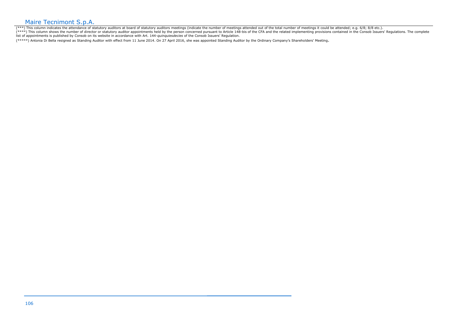### Maire Tecnimont S.p.A.

(\*\*\*) This column indicates the attendance of statutory auditors at board of statutory auditors meetings (indicate the number of meetings attended out of the total number of meetings it could be attended; e.g. 6/8; 8/8 etc list of appointments is published by Consob on its website in accordance with Art. 144-*quinquiesdecies* of the Consob Issuers' Regulation.

(\*\*\*\*\*) Antonia Di Bella resigned as Standing Auditor with effect from 11 June 2014. On 27 April 2016, she was appointed Standing Auditor by the Ordinary Company's Shareholders' Meeting.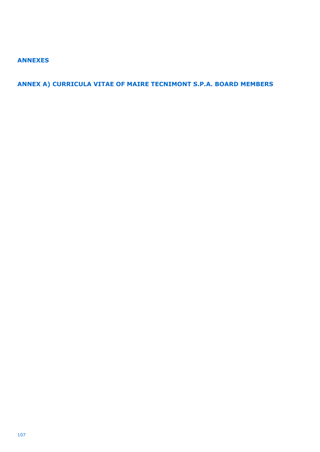### **ANNEXES**

**ANNEX A) CURRICULA VITAE OF MAIRE TECNIMONT S.P.A. BOARD MEMBERS**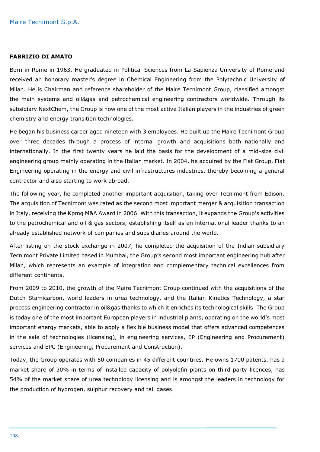#### **FABRIZIO DI AMATO**

Born in Rome in 1963. He graduated in Political Sciences from La Sapienza University of Rome and received an honorary master's degree in Chemical Engineering from the Polytechnic University of Milan. He is Chairman and reference shareholder of the Maire Tecnimont Group, classified amongst the main systems and oil&gas and petrochemical engineering contractors worldwide. Through its subsidiary NextChem, the Group is now one of the most active Italian players in the industries of green chemistry and energy transition technologies.

He began his business career aged nineteen with 3 employees. He built up the Maire Tecnimont Group over three decades through a process of internal growth and acquisitions both nationally and internationally. In the first twenty years he laid the basis for the development of a mid-size civil engineering group mainly operating in the Italian market. In 2004, he acquired by the Fiat Group, Fiat Engineering operating in the energy and civil infrastructures industries, thereby becoming a general contractor and also starting to work abroad.

The following year, he completed another important acquisition, taking over Tecnimont from Edison. The acquisition of Tecnimont was rated as the second most important merger & acquisition transaction in Italy, receiving the Kpmg M&A Award in 2006. With this transaction, it expands the Group's activities to the petrochemical and oil & gas sectors, establishing itself as an international leader thanks to an already established network of companies and subsidiaries around the world.

After listing on the stock exchange in 2007, he completed the acquisition of the Indian subsidiary Tecnimont Private Limited based in Mumbai, the Group's second most important engineering hub after Milan, which represents an example of integration and complementary technical excellences from different continents.

From 2009 to 2010, the growth of the Maire Tecnimont Group continued with the acquisitions of the Dutch Stamicarbon, world leaders in urea technology, and the Italian Kinetics Technology, a star process engineering contractor in oil&gas thanks to which it enriches its technological skills. The Group is today one of the most important European players in industrial plants, operating on the world's most important energy markets, able to apply a flexible business model that offers advanced competences in the sale of technologies (licensing), in engineering services, EP (Engineering and Procurement) services and EPC (Engineering, Procurement and Construction).

Today, the Group operates with 50 companies in 45 different countries. He owns 1700 patents, has a market share of 30% in terms of installed capacity of polyolefin plants on third party licences, has 54% of the market share of urea technology licensing and is amongst the leaders in technology for the production of hydrogen, sulphur recovery and tail gases.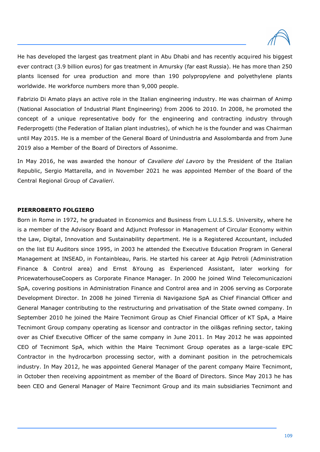

He has developed the largest gas treatment plant in Abu Dhabi and has recently acquired his biggest ever contract (3.9 billion euros) for gas treatment in Amursky (far east Russia). He has more than 250 plants licensed for urea production and more than 190 polypropylene and polyethylene plants worldwide. He workforce numbers more than 9,000 people.

Fabrizio Di Amato plays an active role in the Italian engineering industry. He was chairman of Animp (National Association of Industrial Plant Engineering) from 2006 to 2010. In 2008, he promoted the concept of a unique representative body for the engineering and contracting industry through Federprogetti (the Federation of Italian plant industries), of which he is the founder and was Chairman until May 2015. He is a member of the General Board of Unindustria and Assolombarda and from June 2019 also a Member of the Board of Directors of Assonime.

In May 2016, he was awarded the honour of *Cavaliere del Lavoro* by the President of the Italian Republic, Sergio Mattarella, and in November 2021 he was appointed Member of the Board of the Central Regional Group of *Cavalieri*.

# **PIERROBERTO FOLGIERO**

Born in Rome in 1972, he graduated in Economics and Business from L.U.I.S.S. University, where he is a member of the Advisory Board and Adjunct Professor in Management of Circular Economy within the Law, Digital, Innovation and Sustainability department. He is a Registered Accountant, included on the list EU Auditors since 1995, in 2003 he attended the Executive Education Program in General Management at INSEAD, in Fontainbleau, Paris. He started his career at Agip Petroli (Administration Finance & Control area) and Ernst &Young as Experienced Assistant, later working for PricewaterhouseCoopers as Corporate Finance Manager. In 2000 he joined Wind Telecomunicazioni SpA, covering positions in Administration Finance and Control area and in 2006 serving as Corporate Development Director. In 2008 he joined Tirrenia di Navigazione SpA as Chief Financial Officer and General Manager contributing to the restructuring and privatisation of the State owned company. In September 2010 he joined the Maire Tecnimont Group as Chief Financial Officer of KT SpA, a Maire Tecnimont Group company operating as licensor and contractor in the oil&gas refining sector, taking over as Chief Executive Officer of the same company in June 2011. In May 2012 he was appointed CEO of Tecnimont SpA, which within the Maire Tecnimont Group operates as a large-scale EPC Contractor in the hydrocarbon processing sector, with a dominant position in the petrochemicals industry. In May 2012, he was appointed General Manager of the parent company Maire Tecnimont, in October then receiving appointment as member of the Board of Directors. Since May 2013 he has been CEO and General Manager of Maire Tecnimont Group and its main subsidiaries Tecnimont and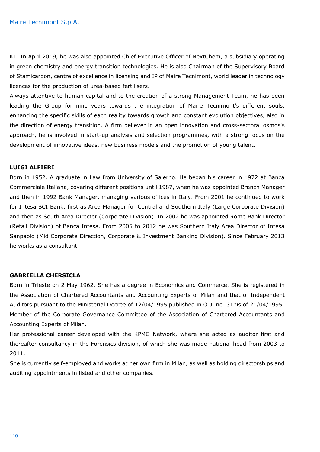KT. In April 2019, he was also appointed Chief Executive Officer of NextChem, a subsidiary operating in green chemistry and energy transition technologies. He is also Chairman of the Supervisory Board of Stamicarbon, centre of excellence in licensing and IP of Maire Tecnimont, world leader in technology licences for the production of urea-based fertilisers.

Always attentive to human capital and to the creation of a strong Management Team, he has been leading the Group for nine years towards the integration of Maire Tecnimont's different souls, enhancing the specific skills of each reality towards growth and constant evolution objectives, also in the direction of energy transition. A firm believer in an open innovation and cross-sectoral osmosis approach, he is involved in start-up analysis and selection programmes, with a strong focus on the development of innovative ideas, new business models and the promotion of young talent.

# **LUIGI ALFIERI**

Born in 1952. A graduate in Law from University of Salerno. He began his career in 1972 at Banca Commerciale Italiana, covering different positions until 1987, when he was appointed Branch Manager and then in 1992 Bank Manager, managing various offices in Italy. From 2001 he continued to work for Intesa BCI Bank, first as Area Manager for Central and Southern Italy (Large Corporate Division) and then as South Area Director (Corporate Division). In 2002 he was appointed Rome Bank Director (Retail Division) of Banca Intesa. From 2005 to 2012 he was Southern Italy Area Director of Intesa Sanpaolo (Mid Corporate Direction, Corporate & Investment Banking Division). Since February 2013 he works as a consultant.

## **GABRIELLA CHERSICLA**

Born in Trieste on 2 May 1962. She has a degree in Economics and Commerce. She is registered in the Association of Chartered Accountants and Accounting Experts of Milan and that of Independent Auditors pursuant to the Ministerial Decree of 12/04/1995 published in O.J. no. 31bis of 21/04/1995. Member of the Corporate Governance Committee of the Association of Chartered Accountants and Accounting Experts of Milan.

Her professional career developed with the KPMG Network, where she acted as auditor first and thereafter consultancy in the Forensics division, of which she was made national head from 2003 to 2011.

She is currently self-employed and works at her own firm in Milan, as well as holding directorships and auditing appointments in listed and other companies.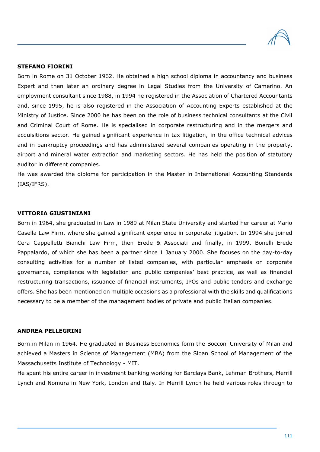

### **STEFANO FIORINI**

Born in Rome on 31 October 1962. He obtained a high school diploma in accountancy and business Expert and then later an ordinary degree in Legal Studies from the University of Camerino. An employment consultant since 1988, in 1994 he registered in the Association of Chartered Accountants and, since 1995, he is also registered in the Association of Accounting Experts established at the Ministry of Justice. Since 2000 he has been on the role of business technical consultants at the Civil and Criminal Court of Rome. He is specialised in corporate restructuring and in the mergers and acquisitions sector. He gained significant experience in tax litigation, in the office technical advices and in bankruptcy proceedings and has administered several companies operating in the property, airport and mineral water extraction and marketing sectors. He has held the position of statutory auditor in different companies.

He was awarded the diploma for participation in the Master in International Accounting Standards (IAS/IFRS).

### **VITTORIA GIUSTINIANI**

Born in 1964, she graduated in Law in 1989 at Milan State University and started her career at Mario Casella Law Firm, where she gained significant experience in corporate litigation. In 1994 she joined Cera Cappelletti Bianchi Law Firm, then Erede & Associati and finally, in 1999, Bonelli Erede Pappalardo, of which she has been a partner since 1 January 2000. She focuses on the day-to-day consulting activities for a number of listed companies, with particular emphasis on corporate governance, compliance with legislation and public companies' best practice, as well as financial restructuring transactions, issuance of financial instruments, IPOs and public tenders and exchange offers. She has been mentioned on multiple occasions as a professional with the skills and qualifications necessary to be a member of the management bodies of private and public Italian companies.

#### **ANDREA PELLEGRINI**

Born in Milan in 1964. He graduated in Business Economics form the Bocconi University of Milan and achieved a Masters in Science of Management (MBA) from the Sloan School of Management of the Massachusetts Institute of Technology - MIT.

He spent his entire career in investment banking working for Barclays Bank, Lehman Brothers, Merrill Lynch and Nomura in New York, London and Italy. In Merrill Lynch he held various roles through to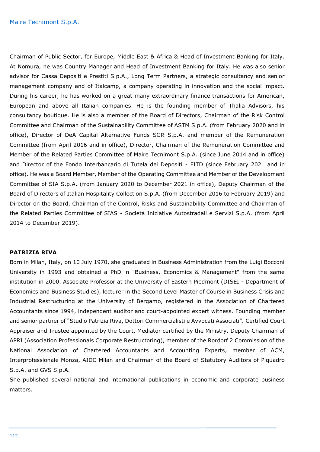Chairman of Public Sector, for Europe, Middle East & Africa & Head of Investment Banking for Italy. At Nomura, he was Country Manager and Head of Investment Banking for Italy. He was also senior advisor for Cassa Depositi e Prestiti S.p.A., Long Term Partners, a strategic consultancy and senior management company and of Italcamp, a company operating in innovation and the social impact. During his career, he has worked on a great many extraordinary finance transactions for American, European and above all Italian companies. He is the founding member of Thalia Advisors, his consultancy boutique. He is also a member of the Board of Directors, Chairman of the Risk Control Committee and Chairman of the Sustainability Committee of ASTM S.p.A. (from February 2020 and in office), Director of DeA Capital Alternative Funds SGR S.p.A. and member of the Remuneration Committee (from April 2016 and in office), Director, Chairman of the Remuneration Committee and Member of the Related Parties Committee of Maire Tecnimont S.p.A. (since June 2014 and in office) and Director of the Fondo Interbancario di Tutela dei Depositi - FITD (since February 2021 and in office). He was a Board Member, Member of the Operating Committee and Member of the Development Committee of SIA S.p.A. (from January 2020 to December 2021 in office), Deputy Chairman of the Board of Directors of Italian Hospitality Collection S.p.A. (from December 2016 to February 2019) and Director on the Board, Chairman of the Control, Risks and Sustainability Committee and Chairman of the Related Parties Committee of SIAS - Società Iniziative Autostradali e Servizi S.p.A. (from April 2014 to December 2019).

## **PATRIZIA RIVA**

Born in Milan, Italy, on 10 July 1970, she graduated in Business Administration from the Luigi Bocconi University in 1993 and obtained a PhD in "Business, Economics & Management" from the same institution in 2000. Associate Professor at the University of Eastern Piedmont (DISEI - Department of Economics and Business Studies), lecturer in the Second Level Master of Course in Business Crisis and Industrial Restructuring at the University of Bergamo, registered in the Association of Chartered Accountants since 1994, independent auditor and court-appointed expert witness. Founding member and senior partner of "Studio Patrizia Riva, Dottori Commercialisti e Avvocati Associati". Certified Court Appraiser and Trustee appointed by the Court. Mediator certified by the Ministry. Deputy Chairman of APRI (Association Professionals Corporate Restructoring), member of the Rordorf 2 Commission of the National Association of Chartered Accountants and Accounting Experts, member of ACM, Interprofessionale Monza, AIDC Milan and Chairman of the Board of Statutory Auditors of Piquadro S.p.A. and GVS S.p.A.

She published several national and international publications in economic and corporate business matters.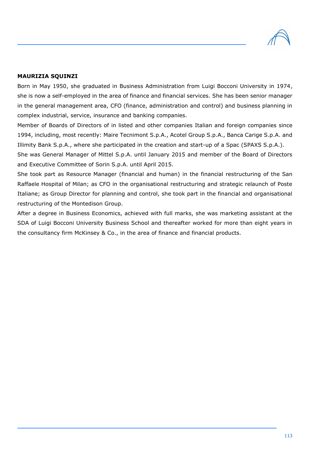

# **MAURIZIA SQUINZI**

Born in May 1950, she graduated in Business Administration from Luigi Bocconi University in 1974, she is now a self-employed in the area of finance and financial services. She has been senior manager in the general management area, CFO (finance, administration and control) and business planning in complex industrial, service, insurance and banking companies.

Member of Boards of Directors of in listed and other companies Italian and foreign companies since 1994, including, most recently: Maire Tecnimont S.p.A., Acotel Group S.p.A., Banca Carige S.p.A. and Illimity Bank S.p.A., where she participated in the creation and start-up of a Spac (SPAXS S.p.A.).

She was General Manager of Mittel S.p.A. until January 2015 and member of the Board of Directors and Executive Committee of Sorin S.p.A. until April 2015.

She took part as Resource Manager (financial and human) in the financial restructuring of the San Raffaele Hospital of Milan; as CFO in the organisational restructuring and strategic relaunch of Poste Italiane; as Group Director for planning and control, she took part in the financial and organisational restructuring of the Montedison Group.

After a degree in Business Economics, achieved with full marks, she was marketing assistant at the SDA of Luigi Bocconi University Business School and thereafter worked for more than eight years in the consultancy firm McKinsey & Co., in the area of finance and financial products.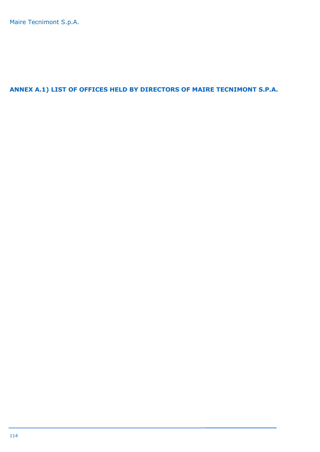# **ANNEX A.1) LIST OF OFFICES HELD BY DIRECTORS OF MAIRE TECNIMONT S.P.A.**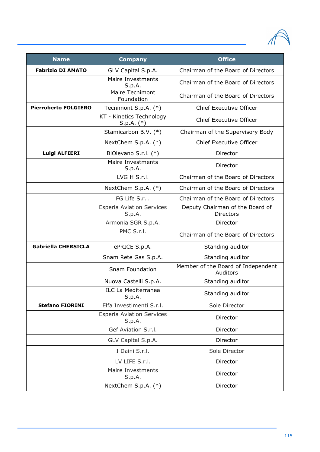

| <b>Name</b>                 | <b>Company</b>                             | <b>Office</b>                                  |
|-----------------------------|--------------------------------------------|------------------------------------------------|
| <b>Fabrizio DI AMATO</b>    | GLV Capital S.p.A.                         | Chairman of the Board of Directors             |
|                             | Maire Investments<br>S.p.A.                | Chairman of the Board of Directors             |
|                             | <b>Maire Tecnimont</b><br>Foundation       | Chairman of the Board of Directors             |
| <b>Pierroberto FOLGIERO</b> | Tecnimont S.p.A. (*)                       | <b>Chief Executive Officer</b>                 |
|                             | KT - Kinetics Technology<br>$S.p.A.$ $(*)$ | <b>Chief Executive Officer</b>                 |
|                             | Stamicarbon B.V. (*)                       | Chairman of the Supervisory Body               |
|                             | NextChem S.p.A. (*)                        | <b>Chief Executive Officer</b>                 |
| <b>Luigi ALFIERI</b>        | BiOlevano S.r.l. (*)                       | Director                                       |
|                             | Maire Investments<br>S.p.A.                | Director                                       |
|                             | LVG H S.r.l.                               | Chairman of the Board of Directors             |
|                             | NextChem S.p.A. (*)                        | Chairman of the Board of Directors             |
|                             | FG Life S.r.l.                             | Chairman of the Board of Directors             |
|                             | <b>Esperia Aviation Services</b><br>S.p.A. | Deputy Chairman of the Board of<br>Directors   |
|                             | Armonia SGR S.p.A.                         | Director                                       |
|                             | PMC S.r.l.                                 | Chairman of the Board of Directors             |
| <b>Gabriella CHERSICLA</b>  | ePRICE S.p.A.                              | Standing auditor                               |
|                             | Snam Rete Gas S.p.A.                       | Standing auditor                               |
|                             | Snam Foundation                            | Member of the Board of Independent<br>Auditors |
|                             | Nuova Castelli S.p.A.                      | Standing auditor                               |
|                             | <b>ILC La Mediterranea</b><br>S.p.A.       | Standing auditor                               |
| <b>Stefano FIORINI</b>      | Elfa Investimenti S.r.l.                   | Sole Director                                  |
|                             | <b>Esperia Aviation Services</b><br>S.p.A. | Director                                       |
|                             | Gef Aviation S.r.l.                        | Director                                       |
|                             | GLV Capital S.p.A.                         | Director                                       |
|                             | I Daini S.r.l.                             | Sole Director                                  |
|                             | LV LIFE S.r.l.                             | Director                                       |
|                             | Maire Investments<br>S.p.A.                | Director                                       |
|                             | NextChem S.p.A. (*)                        | Director                                       |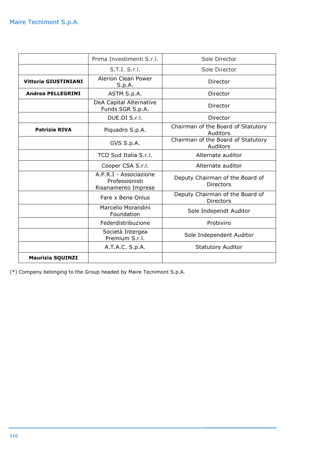|                             | Prima Investimenti S.r.l.                                       | Sole Director                                       |
|-----------------------------|-----------------------------------------------------------------|-----------------------------------------------------|
|                             | S.T.I. S.r.l.                                                   | Sole Director                                       |
| <b>Vittoria GIUSTINIANI</b> | <b>Alerion Clean Power</b><br>S.p.A.                            | Director                                            |
| <b>Andrea PELLEGRINI</b>    | ASTM S.p.A.                                                     | Director                                            |
|                             | DeA Capital Alternative<br>Funds SGR S.p.A.                     | Director                                            |
|                             | DUE.DI S.r.l.                                                   | Director                                            |
| <b>Patrizia RIVA</b>        | Piquadro S.p.A.                                                 | Chairman of the Board of Statutory<br>Auditors      |
|                             | GVS S.p.A.                                                      | Chairman of the Board of Statutory<br>Auditors      |
|                             | TCO Sud Italia S.r.I.                                           | Alternate auditor                                   |
|                             | Cooper CSA S.r.l.                                               | Alternate auditor                                   |
|                             | A.P.R.I - Associazione<br>Professionisti<br>Risanamento Imprese | Deputy Chairman of the Board of<br><b>Directors</b> |
|                             | Fare x Bene Onlus                                               | Deputy Chairman of the Board of<br>Directors        |
|                             | Marcello Morandini<br>Foundation                                | Sole Independt Auditor                              |
|                             | Federdistribuzione                                              | Probiviro                                           |
|                             | Società Intergea<br>Premium S.r.l.                              | Sole Independent Auditor                            |
|                             | A.T.A.C. S.p.A.                                                 | <b>Statutory Auditor</b>                            |
| <b>Maurizia SQUINZI</b>     |                                                                 |                                                     |

(\*) Company belonging to the Group headed by Maire Tecnimont S.p.A.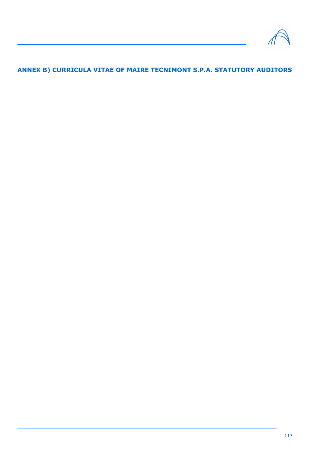

# **ANNEX B) CURRICULA VITAE OF MAIRE TECNIMONT S.P.A. STATUTORY AUDITORS**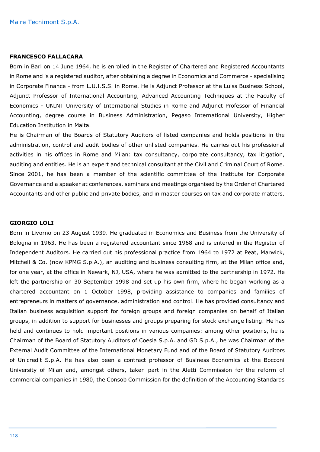# **FRANCESCO FALLACARA**

Born in Bari on 14 June 1964, he is enrolled in the Register of Chartered and Registered Accountants in Rome and is a registered auditor, after obtaining a degree in Economics and Commerce - specialising in Corporate Finance - from L.U.I.S.S. in Rome. He is Adjunct Professor at the Luiss Business School, Adjunct Professor of International Accounting, Advanced Accounting Techniques at the Faculty of Economics - UNINT University of International Studies in Rome and Adjunct Professor of Financial Accounting, degree course in Business Administration, Pegaso International University, Higher Education Institution in Malta.

He is Chairman of the Boards of Statutory Auditors of listed companies and holds positions in the administration, control and audit bodies of other unlisted companies. He carries out his professional activities in his offices in Rome and Milan: tax consultancy, corporate consultancy, tax litigation, auditing and entities. He is an expert and technical consultant at the Civil and Criminal Court of Rome. Since 2001, he has been a member of the scientific committee of the Institute for Corporate Governance and a speaker at conferences, seminars and meetings organised by the Order of Chartered Accountants and other public and private bodies, and in master courses on tax and corporate matters.

#### **GIORGIO LOLI**

Born in Livorno on 23 August 1939. He graduated in Economics and Business from the University of Bologna in 1963. He has been a registered accountant since 1968 and is entered in the Register of Independent Auditors. He carried out his professional practice from 1964 to 1972 at Peat, Marwick, Mitchell & Co. (now KPMG S.p.A.), an auditing and business consulting firm, at the Milan office and, for one year, at the office in Newark, NJ, USA, where he was admitted to the partnership in 1972. He left the partnership on 30 September 1998 and set up his own firm, where he began working as a chartered accountant on 1 October 1998, providing assistance to companies and families of entrepreneurs in matters of governance, administration and control. He has provided consultancy and Italian business acquisition support for foreign groups and foreign companies on behalf of Italian groups, in addition to support for businesses and groups preparing for stock exchange listing. He has held and continues to hold important positions in various companies: among other positions, he is Chairman of the Board of Statutory Auditors of Coesia S.p.A. and GD S.p.A., he was Chairman of the External Audit Committee of the International Monetary Fund and of the Board of Statutory Auditors of Unicredit S.p.A. He has also been a contract professor of Business Economics at the Bocconi University of Milan and, amongst others, taken part in the Aletti Commission for the reform of commercial companies in 1980, the Consob Commission for the definition of the Accounting Standards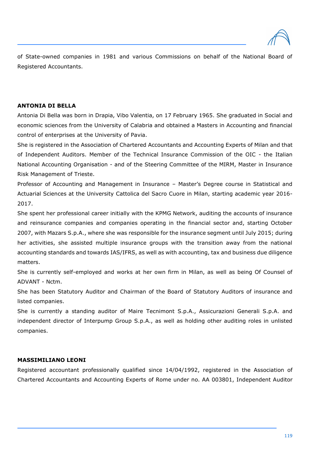

of State-owned companies in 1981 and various Commissions on behalf of the National Board of Registered Accountants.

# **ANTONIA DI BELLA**

Antonia Di Bella was born in Drapia, Vibo Valentia, on 17 February 1965. She graduated in Social and economic sciences from the University of Calabria and obtained a Masters in Accounting and financial control of enterprises at the University of Pavia.

She is registered in the Association of Chartered Accountants and Accounting Experts of Milan and that of Independent Auditors. Member of the Technical Insurance Commission of the OIC - the Italian National Accounting Organisation - and of the Steering Committee of the MIRM, Master in Insurance Risk Management of Trieste.

Professor of Accounting and Management in Insurance – Master's Degree course in Statistical and Actuarial Sciences at the University Cattolica del Sacro Cuore in Milan, starting academic year 2016- 2017.

She spent her professional career initially with the KPMG Network, auditing the accounts of insurance and reinsurance companies and companies operating in the financial sector and, starting October 2007, with Mazars S.p.A., where she was responsible for the insurance segment until July 2015; during her activities, she assisted multiple insurance groups with the transition away from the national accounting standards and towards IAS/IFRS, as well as with accounting, tax and business due diligence matters.

She is currently self-employed and works at her own firm in Milan, as well as being Of Counsel of ADVANT - Nctm.

She has been Statutory Auditor and Chairman of the Board of Statutory Auditors of insurance and listed companies.

She is currently a standing auditor of Maire Tecnimont S.p.A., Assicurazioni Generali S.p.A. and independent director of Interpump Group S.p.A., as well as holding other auditing roles in unlisted companies.

## **MASSIMILIANO LEONI**

Registered accountant professionally qualified since 14/04/1992, registered in the Association of Chartered Accountants and Accounting Experts of Rome under no. AA 003801, Independent Auditor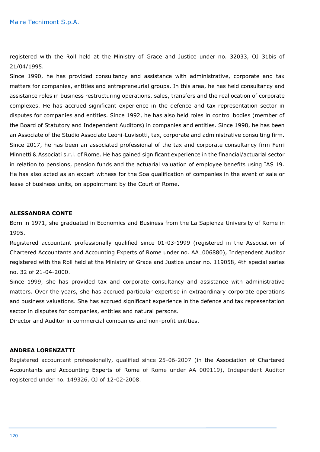registered with the Roll held at the Ministry of Grace and Justice under no. 32033, OJ 31bis of 21/04/1995.

Since 1990, he has provided consultancy and assistance with administrative, corporate and tax matters for companies, entities and entrepreneurial groups. In this area, he has held consultancy and assistance roles in business restructuring operations, sales, transfers and the reallocation of corporate complexes. He has accrued significant experience in the defence and tax representation sector in disputes for companies and entities. Since 1992, he has also held roles in control bodies (member of the Board of Statutory and Independent Auditors) in companies and entities. Since 1998, he has been an Associate of the Studio Associato Leoni-Luvisotti, tax, corporate and administrative consulting firm. Since 2017, he has been an associated professional of the tax and corporate consultancy firm Ferri Minnetti & Associati s.r.l. of Rome. He has gained significant experience in the financial/actuarial sector in relation to pensions, pension funds and the actuarial valuation of employee benefits using IAS 19. He has also acted as an expert witness for the Soa qualification of companies in the event of sale or lease of business units, on appointment by the Court of Rome.

### **ALESSANDRA CONTE**

Born in 1971, she graduated in Economics and Business from the La Sapienza University of Rome in 1995.

Registered accountant professionally qualified since 01-03-1999 (registered in the Association of Chartered Accountants and Accounting Experts of Rome under no. AA\_006880), Independent Auditor registered with the Roll held at the Ministry of Grace and Justice under no. 119058, 4th special series no. 32 of 21-04-2000.

Since 1999, she has provided tax and corporate consultancy and assistance with administrative matters. Over the years, she has accrued particular expertise in extraordinary corporate operations and business valuations. She has accrued significant experience in the defence and tax representation sector in disputes for companies, entities and natural persons.

Director and Auditor in commercial companies and non-profit entities.

## **ANDREA LORENZATTI**

Registered accountant professionally, qualified since 25-06-2007 (in the Association of Chartered Accountants and Accounting Experts of Rome of Rome under AA 009119), Independent Auditor registered under no. 149326, OJ of 12-02-2008.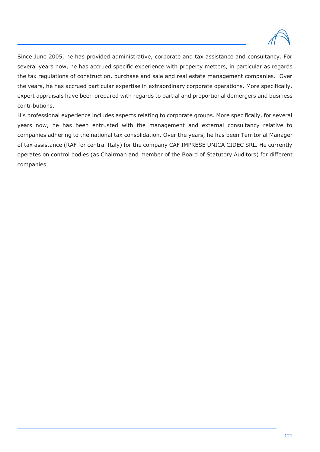

Since June 2005, he has provided administrative, corporate and tax assistance and consultancy. For several years now, he has accrued specific experience with property metters, in particular as regards the tax regulations of construction, purchase and sale and real estate management companies. Over the years, he has accrued particular expertise in extraordinary corporate operations. More specifically, expert appraisals have been prepared with regards to partial and proportional demergers and business contributions.

His professional experience includes aspects relating to corporate groups. More specifically, for several years now, he has been entrusted with the management and external consultancy relative to companies adhering to the national tax consolidation. Over the years, he has been Territorial Manager of tax assistance (RAF for central Italy) for the company CAF IMPRESE UNICA CIDEC SRL. He currently operates on control bodies (as Chairman and member of the Board of Statutory Auditors) for different companies.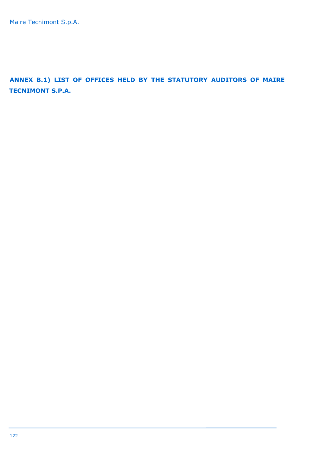**ANNEX B.1) LIST OF OFFICES HELD BY THE STATUTORY AUDITORS OF MAIRE TECNIMONT S.P.A.**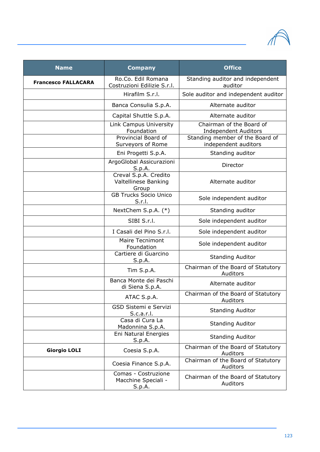

| <b>Name</b>                | <b>Company</b>                                         | <b>Office</b>                                           |
|----------------------------|--------------------------------------------------------|---------------------------------------------------------|
| <b>Francesco FALLACARA</b> | Ro.Co. Edil Romana<br>Costruzioni Edilizie S.r.l.      | Standing auditor and independent<br>auditor             |
|                            | Hirafilm S.r.l.                                        | Sole auditor and independent auditor                    |
|                            | Banca Consulia S.p.A.                                  | Alternate auditor                                       |
|                            | Capital Shuttle S.p.A.                                 | Alternate auditor                                       |
|                            | Link Campus University<br>Foundation                   | Chairman of the Board of<br><b>Independent Auditors</b> |
|                            | Provincial Board of<br>Surveyors of Rome               | Standing member of the Board of<br>independent auditors |
|                            | Eni Progetti S.p.A.                                    | Standing auditor                                        |
|                            | ArgoGlobal Assicurazioni<br>S.p.A.                     | Director                                                |
|                            | Creval S.p.A. Credito<br>Valtellinese Banking<br>Group | Alternate auditor                                       |
|                            | <b>GB Trucks Socio Unico</b><br>S.r.l.                 | Sole independent auditor                                |
|                            | NextChem S.p.A. (*)                                    | Standing auditor                                        |
|                            | SIBI S.r.l.                                            | Sole independent auditor                                |
|                            | I Casali del Pino S.r.l.                               | Sole independent auditor                                |
|                            | <b>Maire Tecnimont</b><br>Foundation                   | Sole independent auditor                                |
|                            | Cartiere di Guarcino<br>S.p.A.                         | <b>Standing Auditor</b>                                 |
|                            | Tim S.p.A.                                             | Chairman of the Board of Statutory<br>Auditors          |
|                            | Banca Monte dei Paschi<br>di Siena S.p.A.              | Alternate auditor                                       |
|                            | ATAC S.p.A.                                            | Chairman of the Board of Statutory<br>Auditors          |
|                            | GSD Sistemi e Servizi<br>S.c.a.r.l.                    | <b>Standing Auditor</b>                                 |
|                            | Casa di Cura La<br>Madonnina S.p.A.                    | <b>Standing Auditor</b>                                 |
|                            | Eni Natural Energies<br>S.p.A.                         | <b>Standing Auditor</b>                                 |
| <b>Giorgio LOLI</b>        | Coesia S.p.A.                                          | Chairman of the Board of Statutory<br>Auditors          |
|                            | Coesia Finance S.p.A.                                  | Chairman of the Board of Statutory<br>Auditors          |
|                            | Comas - Costruzione<br>Macchine Speciali -<br>S.p.A.   | Chairman of the Board of Statutory<br>Auditors          |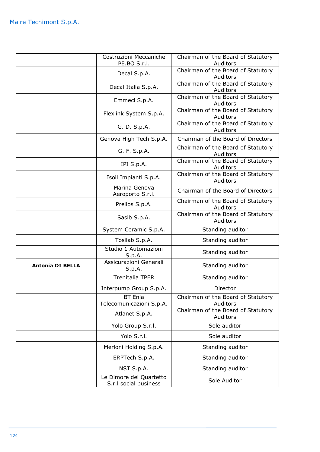|                         | Costruzioni Meccaniche<br>PE.BO S.r.l.           | Chairman of the Board of Statutory<br>Auditors |
|-------------------------|--------------------------------------------------|------------------------------------------------|
|                         | Decal S.p.A.                                     | Chairman of the Board of Statutory<br>Auditors |
|                         | Decal Italia S.p.A.                              | Chairman of the Board of Statutory<br>Auditors |
|                         | Emmeci S.p.A.                                    | Chairman of the Board of Statutory<br>Auditors |
|                         | Flexlink System S.p.A.                           | Chairman of the Board of Statutory<br>Auditors |
|                         | G. D. S.p.A.                                     | Chairman of the Board of Statutory<br>Auditors |
|                         | Genova High Tech S.p.A.                          | Chairman of the Board of Directors             |
|                         | G. F. S.p.A.                                     | Chairman of the Board of Statutory<br>Auditors |
|                         | IPI S.p.A.                                       | Chairman of the Board of Statutory<br>Auditors |
|                         | Isoil Impianti S.p.A.                            | Chairman of the Board of Statutory<br>Auditors |
|                         | Marina Genova<br>Aeroporto S.r.l.                | Chairman of the Board of Directors             |
|                         | Prelios S.p.A.                                   | Chairman of the Board of Statutory<br>Auditors |
|                         | Sasib S.p.A.                                     | Chairman of the Board of Statutory<br>Auditors |
|                         | System Ceramic S.p.A.                            | Standing auditor                               |
|                         | Tosilab S.p.A.                                   | Standing auditor                               |
|                         | Studio 1 Automazioni<br>S.p.A.                   | Standing auditor                               |
| <b>Antonia DI BELLA</b> | Assicurazioni Generali<br>S.p.A.                 | Standing auditor                               |
|                         | <b>Trenitalia TPER</b>                           | Standing auditor                               |
|                         | Interpump Group S.p.A.                           | Director                                       |
|                         | <b>BT</b> Enia<br>Telecomunicazioni S.p.A.       | Chairman of the Board of Statutory<br>Auditors |
|                         | Atlanet S.p.A.                                   | Chairman of the Board of Statutory<br>Auditors |
|                         | Yolo Group S.r.l.                                | Sole auditor                                   |
|                         | Yolo S.r.l.                                      | Sole auditor                                   |
|                         | Merloni Holding S.p.A.                           | Standing auditor                               |
|                         | ERPTech S.p.A.                                   | Standing auditor                               |
|                         | NST S.p.A.                                       | Standing auditor                               |
|                         | Le Dimore del Quartetto<br>S.r.I social business | Sole Auditor                                   |